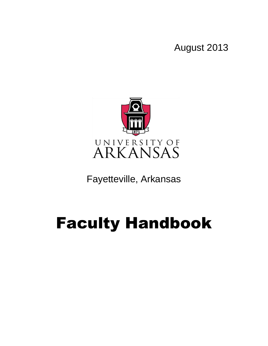August 2013



Fayetteville, Arkansas

# Faculty Handbook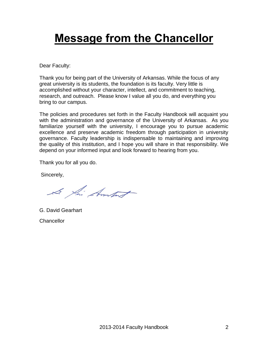## **Message from the Chancellor**

Dear Faculty:

Thank you for being part of the University of Arkansas. While the focus of any great university is its students, the foundation is its faculty. Very little is accomplished without your character, intellect, and commitment to teaching, research, and outreach. Please know I value all you do, and everything you bring to our campus.

The policies and procedures set forth in the Faculty Handbook will acquaint you with the administration and governance of the University of Arkansas. As you familiarize yourself with the university, I encourage you to pursue academic excellence and preserve academic freedom through participation in university governance. Faculty leadership is indispensable to maintaining and improving the quality of this institution, and I hope you will share in that responsibility. We depend on your informed input and look forward to hearing from you.

Thank you for all you do.

Sincerely,

Le fai Ambat

G. David Gearhart **Chancellor**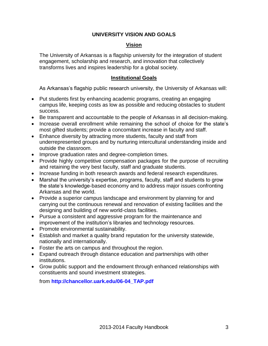#### **UNIVERSITY VISION AND GOALS**

#### **Vision**

The University of Arkansas is a flagship university for the integration of student engagement, scholarship and research, and innovation that collectively transforms lives and inspires leadership for a global society.

#### **Institutional Goals**

As Arkansas's flagship public research university, the University of Arkansas will:

- Put students first by enhancing academic programs, creating an engaging campus life, keeping costs as low as possible and reducing obstacles to student success.
- Be transparent and accountable to the people of Arkansas in all decision-making.
- Increase overall enrollment while remaining the school of choice for the state's most gifted students; provide a concomitant increase in faculty and staff.
- Enhance diversity by attracting more students, faculty and staff from underrepresented groups and by nurturing intercultural understanding inside and outside the classroom.
- Improve graduation rates and degree-completion times.
- Provide highly competitive compensation packages for the purpose of recruiting and retaining the very best faculty, staff and graduate students.
- Increase funding in both research awards and federal research expenditures.
- Marshal the university's expertise, programs, faculty, staff and students to grow the state's knowledge-based economy and to address major issues confronting Arkansas and the world.
- Provide a superior campus landscape and environment by planning for and carrying out the continuous renewal and renovation of existing facilities and the designing and building of new world-class facilities.
- Pursue a consistent and aggressive program for the maintenance and improvement of the institution's libraries and technology resources.
- Promote environmental sustainability.
- Establish and market a quality brand reputation for the university statewide, nationally and internationally.
- Foster the arts on campus and throughout the region.
- Expand outreach through distance education and partnerships with other institutions.
- Grow public support and the endowment through enhanced relationships with constituents and sound investment strategies.

from **[http://chancellor.uark.edu/06-04\\_TAP.pdf](http://chancellor.uark.edu/06-04_TAP.pdf)**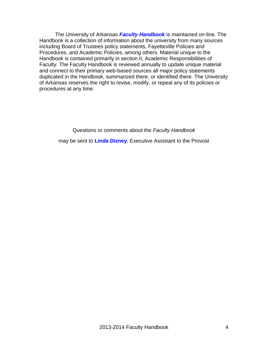The University of Arkansas *[Faculty Handbook](http://provost.uark.edu/72.php)* is maintained on-line. The Handbook is a collection of information about the university from many sources including Board of Trustees policy statements, Fayetteville Policies and Procedures, and Academic Policies, among others. Material unique to the Handbook is contained primarily in section II, Academic Responsibilities of Faculty. The Faculty Handbook is reviewed annually to update unique material and connect to their primary web-based sources all major policy statements duplicated in the Handbook, summarized there, or identified there. The University of Arkansas reserves the right to revise, modify, or repeal any of its policies or procedures at any time.

Questions or comments about the *Faculty Handbook*

may be sent to **[Linda Dizney](mailto:ldizney@uark.edu?subject=Faculty%20Handbook%20Question)**, Executive Assistant to the Provost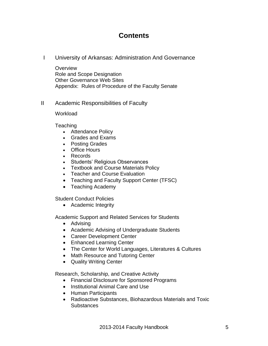## **Contents**

I University of Arkansas: Administration And Governance

**Overview** Role and Scope Designation Other Governance Web Sites Appendix: Rules of Procedure of the Faculty Senate

II Academic Responsibilities of Faculty

**Workload** 

Teaching

- Attendance Policy
- Grades and Exams
- Posting Grades
- Office Hours
- Records
- Students' Religious Observances
- Textbook and Course Materials Policy
- Teacher and Course Evaluation
- Teaching and Faculty Support Center (TFSC)
- Teaching Academy

Student Conduct Policies

• Academic Integrity

Academic Support and Related Services for Students

- Advising
- Academic Advising of Undergraduate Students
- Career Development Center
- Enhanced Learning Center
- The Center for World Languages, Literatures & Cultures
- Math Resource and Tutoring Center
- Quality Writing Center

Research, Scholarship, and Creative Activity

- Financial Disclosure for Sponsored Programs
- Institutional Animal Care and Use
- Human Participants
- Radioactive Substances, Biohazardous Materials and Toxic **Substances**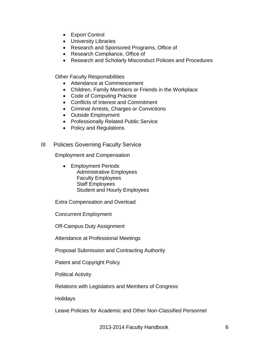- Export Control
- University Libraries
- Research and Sponsored Programs, Office of
- Research Compliance, Office of
- Research and Scholarly Misconduct Policies and Procedures

Other Faculty Responsibilities

- Attendance at Commencement
- Children, Family Members or Friends in the Workplace
- Code of Computing Practice
- Conflicts of Interest and Commitment
- Criminal Arrests, Charges or Convictions
- Outside Employment
- Professionally Related Public Service
- Policy and Regulations

#### III Policies Governing Faculty Service

Employment and Compensation

• Employment Periods Administrative Employees Faculty Employees Staff Employees Student and Hourly Employees

Extra Compensation and Overload

Concurrent Employment

Off-Campus Duty Assignment

Attendance at Professional Meetings

Proposal Submission and Contracting Authority

Patent and Copyright Policy

Political Activity

Relations with Legislators and Members of Congress

Holidays

Leave Policies for Academic and Other Non-Classified Personnel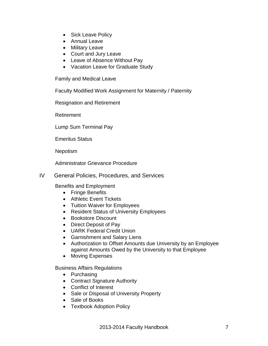- Sick Leave Policy
- Annual Leave
- Military Leave
- Court and Jury Leave
- Leave of Absence Without Pay
- Vacation Leave for Graduate Study

Family and Medical Leave

Faculty Modified Work Assignment for Maternity / Paternity

Resignation and Retirement

Retirement

Lump Sum Terminal Pay

Emeritus Status

Nepotism

Administrator Grievance Procedure

IV General Policies, Procedures, and Services

Benefits and Employment

- Fringe Benefits
- Athletic Event Tickets
- Tuition Waiver for Employees
- Resident Status of University Employees
- Bookstore Discount
- Direct Deposit of Pay
- UARK Federal Credit Union
- Garnishment and Salary Liens
- Authorization to Offset Amounts due University by an Employee against Amounts Owed by the University to that Employee
- Moving Expenses

Business Affairs Regulations

- Purchasing
- Contract Signature Authority
- Conflict of Interest
- Sale or Disposal of University Property
- Sale of Books
- Textbook Adoption Policy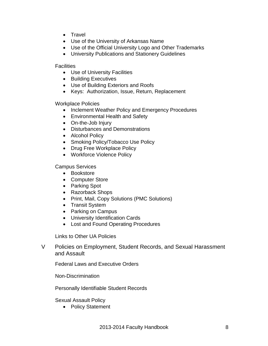- Travel
- Use of the University of Arkansas Name
- Use of the Official University Logo and Other Trademarks
- University Publications and Stationery Guidelines

**Facilities** 

- Use of University Facilities
- Building Executives
- Use of Building Exteriors and Roofs
- Keys: Authorization, Issue, Return, Replacement

Workplace Policies

- Inclement Weather Policy and Emergency Procedures
- Environmental Health and Safety
- On-the-Job Injury
- Disturbances and Demonstrations
- Alcohol Policy
- Smoking Policy/Tobacco Use Policy
- Drug Free Workplace Policy
- Workforce Violence Policy

Campus Services

- Bookstore
- Computer Store
- Parking Spot
- Razorback Shops
- Print, Mail, Copy Solutions (PMC Solutions)
- Transit System
- Parking on Campus
- University Identification Cards
- Lost and Found Operating Procedures

Links to Other UA Policies

V Policies on Employment, Student Records, and Sexual Harassment and Assault

Federal Laws and Executive Orders

Non-Discrimination

Personally Identifiable Student Records

Sexual Assault Policy

• Policy Statement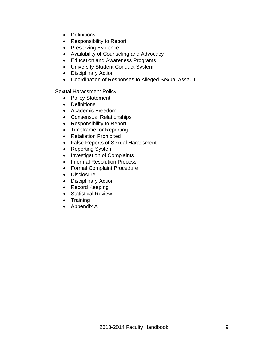- Definitions
- Responsibility to Report
- Preserving Evidence
- Availability of Counseling and Advocacy
- Education and Awareness Programs
- University Student Conduct System
- Disciplinary Action
- Coordination of Responses to Alleged Sexual Assault

Sexual Harassment Policy

- Policy Statement
- Definitions
- Academic Freedom
- Consensual Relationships
- Responsibility to Report
- Timeframe for Reporting
- Retaliation Prohibited
- False Reports of Sexual Harassment
- Reporting System
- Investigation of Complaints
- Informal Resolution Process
- Formal Complaint Procedure
- Disclosure
- Disciplinary Action
- Record Keeping
- Statistical Review
- Training
- Appendix A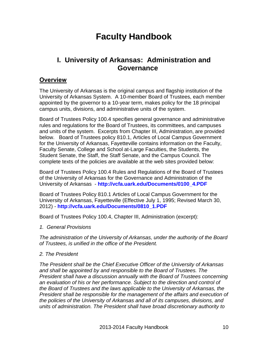## **Faculty Handbook**

## **I. University of Arkansas: Administration and Governance**

#### **Overview**

The University of Arkansas is the original campus and flagship institution of the University of Arkansas System. A 10-member Board of Trustees, each member appointed by the governor to a 10-year term, makes policy for the 18 principal campus units, divisions, and administrative units of the system.

Board of Trustees Policy 100.4 specifies general governance and administrative rules and regulations for the Board of Trustees, its committees, and campuses and units of the system. Excerpts from Chapter III, Administration, are provided below. Board of Trustees policy 810.1, Articles of Local Campus Government for the University of Arkansas, Fayetteville contains information on the Faculty, Faculty Senate, College and School at-Large Faculties, the Students, the Student Senate, the Staff, the Staff Senate, and the Campus Council. The complete texts of the policies are available at the web sites provided below:

Board of Trustees Policy 100.4 Rules and Regulations of the Board of Trustees of the University of Arkansas for the Governance and Administration of the University of Arkansas - **[http://vcfa.uark.edu/Documents/0100\\_4.PDF](http://vcfa.uark.edu/Documents/0100_4.PDF)**

Board of Trustees Policy 810.1 Articles of Local Campus Government for the University of Arkansas, Fayetteville (Effective July 1, 1995; Revised March 30, 2012) - **[http://vcfa.uark.edu/Documents/0810\\_1.PDF](http://vcfa.uark.edu/Documents/0810_1.PDF)**

Board of Trustees Policy 100.4, Chapter III, Administration (excerpt):

*1. General Provisions*

*The administration of the University of Arkansas, under the authority of the Board of Trustees, is unified in the office of the President.* 

#### *2. The President*

*The President shall be the Chief Executive Officer of the University of Arkansas and shall be appointed by and responsible to the Board of Trustees. The President shall have a discussion annually with the Board of Trustees concerning an evaluation of his or her performance. Subject to the direction and control of the Board of Trustees and the laws applicable to the University of Arkansas, the President shall be responsible for the management of the affairs and execution of the policies of the University of Arkansas and all of its campuses, divisions, and units of administration. The President shall have broad discretionary authority to*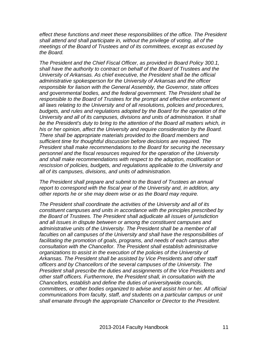*effect these functions and meet these responsibilities of the office. The President shall attend and shall participate in, without the privilege of voting, all of the meetings of the Board of Trustees and of its committees, except as excused by the Board.* 

*The President and the Chief Fiscal Officer, as provided in Board Policy 300.1, shall have the authority to contract on behalf of the Board of Trustees and the University of Arkansas. As chief executive, the President shall be the official administrative spokesperson for the University of Arkansas and the officer responsible for liaison with the General Assembly, the Governor, state offices and governmental bodies, and the federal government. The President shall be responsible to the Board of Trustees for the prompt and effective enforcement of all laws relating to the University and of all resolutions, policies and procedures, budgets, and rules and regulations adopted by the Board for the operation of the University and all of its campuses, divisions and units of administration. It shall be the President's duty to bring to the attention of the Board all matters which, in his or her opinion, affect the University and require consideration by the Board. There shall be appropriate materials provided to the Board members and sufficient time for thoughtful discussion before decisions are required. The President shall make recommendations to the Board for securing the necessary personnel and the fiscal resources required for the operation of the University and shall make recommendations with respect to the adoption, modification or rescission of policies, budgets, and regulations applicable to the University and all of its campuses, divisions, and units of administration.* 

*The President shall prepare and submit to the Board of Trustees an annual report to correspond with the fiscal year of the University and, in addition, any other reports he or she may deem wise or as the Board may require.* 

*The President shall coordinate the activities of the University and all of its constituent campuses and units in accordance with the principles prescribed by the Board of Trustees. The President shall adjudicate all issues of jurisdiction and all issues in dispute between or among the constituent campuses and administrative units of the University. The President shall be a member of all faculties on all campuses of the University and shall have the responsibilities of facilitating the promotion of goals, programs, and needs of each campus after consultation with the Chancellor. The President shall establish administrative organizations to assist in the execution of the policies of the University of Arkansas. The President shall be assisted by Vice Presidents and other staff officers and by Chancellors of the several campuses of the University. The President shall prescribe the duties and assignments of the Vice Presidents and other staff officers. Furthermore, the President shall, in consultation with the Chancellors, establish and define the duties of universitywide councils, committees, or other bodies organized to advise and assist him or her. All official communications from faculty, staff, and students on a particular campus or unit shall emanate through the appropriate Chancellor or Director to the President.*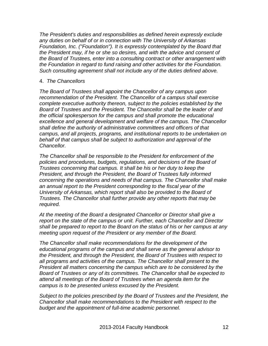*The President's duties and responsibilities as defined herein expressly exclude any duties on behalf of or in connection with The University of Arkansas Foundation, Inc. ("Foundation"). It is expressly contemplated by the Board that the President may, if he or she so desires, and with the advice and consent of the Board of Trustees, enter into a consulting contract or other arrangement with the Foundation in regard to fund raising and other activities for the Foundation. Such consulting agreement shall not include any of the duties defined above.* 

#### 4. *The Chancellors*

*The Board of Trustees shall appoint the Chancellor of any campus upon recommendation of the President. The Chancellor of a campus shall exercise complete executive authority thereon, subject to the policies established by the Board of Trustees and the President. The Chancellor shall be the leader of and the official spokesperson for the campus and shall promote the educational excellence and general development and welfare of the campus. The Chancellor shall define the authority of administrative committees and officers of that campus, and all projects, programs, and institutional reports to be undertaken on behalf of that campus shall be subject to authorization and approval of the Chancellor.*

*The Chancellor shall be responsible to the President for enforcement of the policies and procedures, budgets, regulations, and decisions of the Board of Trustees concerning that campus. It shall be his or her duty to keep the President, and through the President, the Board of Trustees fully informed concerning the operations and needs of that campus. The Chancellor shall make an annual report to the President corresponding to the fiscal year of the University of Arkansas, which report shall also be provided to the Board of Trustees. The Chancellor shall further provide any other reports that may be required.*

*At the meeting of the Board a designated Chancellor or Director shall give a report on the state of the campus or unit. Further, each Chancellor and Director shall be prepared to report to the Board on the status of his or her campus at any meeting upon request of the President or any member of the Board.*

*The Chancellor shall make recommendations for the development of the educational programs of the campus and shall serve as the general advisor to the President, and through the President, the Board of Trustees with respect to all programs and activities of the campus. The Chancellor shall present to the President all matters concerning the campus which are to be considered by the Board of Trustees or any of its committees. The Chancellor shall be expected to attend all meetings of the Board of Trustees when an agenda item for the campus is to be presented unless excused by the President.*

*Subject to the policies prescribed by the Board of Trustees and the President, the Chancellor shall make recommendations to the President with respect to the budget and the appointment of full-time academic personnel.*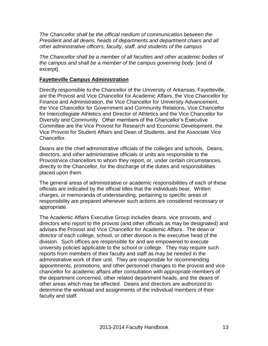*The Chancellor shall be the official medium of communication between the President and all deans, heads of departments and department chairs and all other administrative officers, faculty, staff, and students of the campus*

*The Chancellor shall be a member of all faculties and other academic bodies of the campus and shall be a member of the campus governing body*. [end of excerpt].

#### **Fayetteville Campus Administration**

Directly responsible to the Chancellor of the University of Arkansas, Fayetteville, are the Provost and Vice Chancellor for Academic Affairs, the Vice Chancellor for Finance and Administration, the Vice Chancellor for University Advancement, the Vice Chancellor for Government and Community Relations, Vice Chancellor for Intercollegiate Athletics and Director of Athletics and the Vice Chancellor for Diversity and Community. Other members of the Chancellor's Executive Committee are the Vice Provost for Research and Economic Development, the Vice Provost for Student Affairs and Dean of Students, and the Associate Vice Chancellor.

Deans are the chief administrative officials of the colleges and schools. Deans, directors, and other administrative officials or units are responsible to the Provost/vice chancellors to whom they report, or, under certain circumstances, directly to the Chancellor, for the discharge of the duties and responsibilities placed upon them.

The general areas of administrative or academic responsibilities of each of these officials are indicated by the official titles that the individuals bear. Written charges, or memoranda of understanding, pertaining to specific areas of responsibility are prepared whenever such actions are considered necessary or appropriate.

The Academic Affairs Executive Group includes deans, vice provosts, and directors who report to the provost (and other officials as may be designated) and advises the Provost and Vice Chancellor for Academic Affairs. The dean or director of each college, school, or other division is the executive head of the division. Such offices are responsible for and are empowered to execute university policies applicable to the school or college. They may require such reports from members of their faculty and staff as may be needed in the administrative work of their unit. They are responsible for recommending appointments, promotions, and other personnel changes to the provost and vice chancellor for academic affairs after consultation with appropriate members of the department concerned, other related department heads, and the deans of other areas which may be affected. Deans and directors are authorized to determine the workload and assignments of the individual members of their faculty and staff.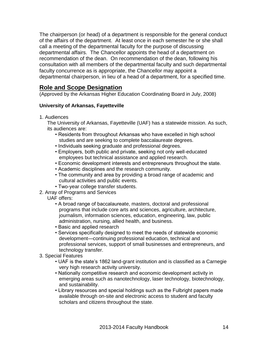The chairperson (or head) of a department is responsible for the general conduct of the affairs of the department. At least once in each semester he or she shall call a meeting of the departmental faculty for the purpose of discussing departmental affairs. The Chancellor appoints the head of a department on recommendation of the dean. On recommendation of the dean, following his consultation with all members of the departmental faculty and such departmental faculty concurrence as is appropriate, the Chancellor may appoint a departmental chairperson, in lieu of a head of a department, for a specified time.

#### **Role and Scope Designation**

(Approved by the Arkansas Higher Education Coordinating Board in July, 2008)

#### **University of Arkansas, Fayetteville**

1. Audiences

The University of Arkansas, Fayetteville (UAF) has a statewide mission. As such, its audiences are:

- Residents from throughout Arkansas who have excelled in high school studies and are seeking to complete baccalaureate degrees.
- Individuals seeking graduate and professional degrees.
- Employers, both public and private, seeking not only well-educated employees but technical assistance and applied research.
- Economic development interests and entrepreneurs throughout the state.
- Academic disciplines and the research community.
- The community and area by providing a broad range of academic and cultural activities and public events.
- Two-year college transfer students.
- 2. Array of Programs and Services
	- UAF offers:
		- A broad range of baccalaureate, masters, doctoral and professional programs that include core arts and sciences, agriculture, architecture, journalism, information sciences, education, engineering, law, public administration, nursing, allied health, and business.
		- Basic and applied research
		- Services specifically designed to meet the needs of statewide economic development—continuing professional education, technical and professional services, support of small businesses and entrepreneurs, and technology transfer.
- 3. Special Features
	- UAF is the state's 1862 land-grant institution and is classified as a Carnegie very high research activity university.
	- Nationally competitive research and economic development activity in emerging areas such as nanotechnology, laser technology, biotechnology, and sustainability.
	- Library resources and special holdings such as the Fulbright papers made available through on-site and electronic access to student and faculty scholars and citizens throughout the state.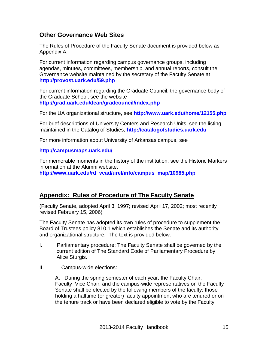#### **Other Governance Web Sites**

The Rules of Procedure of the Faculty Senate document is provided below as Appendix A.

For current information regarding campus governance groups, including agendas, minutes, committees, membership, and annual reports, consult the Governance website maintained by the secretary of the Faculty Senate at **<http://provost.uark.edu/59.php>**

For current information regarding the Graduate Council, the governance body of the Graduate School, see the website **<http://grad.uark.edu/dean/gradcouncil/index.php>**

For the UA organizational structure, see **<http://www.uark.edu/home/12155.php>**

For brief descriptions of University Centers and Research Units, see the listing maintained in the Catalog of Studies, **[http://catalogofstudies.uark.edu](http://catalogofstudies.uark.edu/)**

For more information about University of Arkansas campus, see

#### **<http://campusmaps.uark.edu/>**

For memorable moments in the history of the institution, see the Historic Markers information at the Alumni website,

**[http://www.uark.edu/rd\\_vcad/urel/info/campus\\_map/10985.php](http://www.uark.edu/rd_vcad/urel/info/campus_map/10985.php)**

#### **Appendix: Rules of Procedure of The Faculty Senate**

(Faculty Senate, adopted April 3, 1997; revised April 17, 2002; most recently revised February 15, 2006)

The Faculty Senate has adopted its own rules of procedure to supplement the Board of Trustees policy 810.1 which establishes the Senate and its authority and organizational structure. The text is provided below.

- I. Parliamentary procedure: The Faculty Senate shall be governed by the current edition of The Standard Code of Parliamentary Procedure by Alice Sturgis.
- II. Campus-wide elections:

A. During the spring semester of each year, the Faculty Chair, Faculty Vice Chair, and the campus-wide representatives on the Faculty Senate shall be elected by the following members of the faculty: those holding a halftime (or greater) faculty appointment who are tenured or on the tenure track or have been declared eligible to vote by the Faculty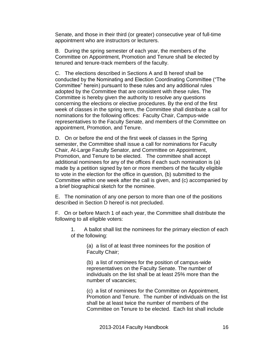Senate, and those in their third (or greater) consecutive year of full-time appointment who are instructors or lecturers.

B. During the spring semester of each year, the members of the Committee on Appointment, Promotion and Tenure shall be elected by tenured and tenure-track members of the faculty.

C. The elections described in Sections A and B hereof shall be conducted by the Nominating and Election Coordinating Committee ("The Committee" herein) pursuant to these rules and any additional rules adopted by the Committee that are consistent with these rules. The Committee is hereby given the authority to resolve any questions concerning the elections or elective procedures. By the end of the first week of classes in the spring term, the Committee shall distribute a call for nominations for the following offices: Faculty Chair, Campus-wide representatives to the Faculty Senate, and members of the Committee on appointment, Promotion, and Tenure.

D. On or before the end of the first week of classes in the Spring semester, the Committee shall issue a call for nominations for Faculty Chair, At-Large Faculty Senator, and Committee on Appointment, Promotion, and Tenure to be elected. The committee shall accept additional nominees for any of the offices if each such nomination is (a) made by a petition signed by ten or more members of the faculty eligible to vote in the election for the office in question, (b) submitted to the Committee within one week after the call is given, and (c) accompanied by a brief biographical sketch for the nominee.

E. The nomination of any one person to more than one of the positions described in Section D hereof is not precluded.

F. On or before March 1 of each year, the Committee shall distribute the following to all eligible voters:

1. A ballot shall list the nominees for the primary election of each of the following:

> (a) a list of at least three nominees for the position of Faculty Chair;

(b) a list of nominees for the position of campus-wide representatives on the Faculty Senate. The number of individuals on the list shall be at least 25% more than the number of vacancies;

(c) a list of nominees for the Committee on Appointment, Promotion and Tenure. The number of individuals on the list shall be at least twice the number of members of the Committee on Tenure to be elected. Each list shall include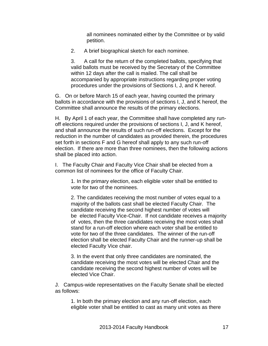all nominees nominated either by the Committee or by valid petition.

2. A brief biographical sketch for each nominee.

3. A call for the return of the completed ballots, specifying that valid ballots must be received by the Secretary of the Committee within 12 days after the call is mailed. The call shall be accompanied by appropriate instructions regarding proper voting procedures under the provisions of Sections I, J, and K hereof.

G. On or before March 15 of each year, having counted the primary ballots in accordance with the provisions of sections I, J, and K hereof, the Committee shall announce the results of the primary elections.

H. By April 1 of each year, the Committee shall have completed any runoff elections required under the provisions of sections I, J, and K hereof, and shall announce the results of such run-off elections. Except for the reduction in the number of candidates as provided therein, the procedures set forth in sections F and G hereof shall apply to any such run-off election. If there are more than three nominees, then the following actions shall be placed into action.

I. The Faculty Chair and Faculty Vice Chair shall be elected from a common list of nominees for the office of Faculty Chair.

1. In the primary election, each eligible voter shall be entitled to vote for two of the nominees.

2. The candidates receiving the most number of votes equal to a majority of the ballots cast shall be elected Faculty Chair. The candidate receiving the second highest number of votes will be elected Faculty Vice-Chair. If not candidate receives a majority of votes, then the three candidates receiving the most votes shall stand for a run-off election where each voter shall be entitled to vote for two of the three candidates. The winner of the run-off election shall be elected Faculty Chair and the runner-up shall be elected Faculty Vice chair.

3. In the event that only three candidates are nominated, the candidate receiving the most votes will be elected Chair and the candidate receiving the second highest number of votes will be elected Vice Chair.

J. Campus-wide representatives on the Faculty Senate shall be elected as follows:

1. In both the primary election and any run-off election, each eligible voter shall be entitled to cast as many unit votes as there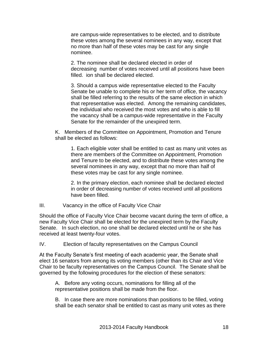are campus-wide representatives to be elected, and to distribute these votes among the several nominees in any way, except that no more than half of these votes may be cast for any single nominee.

2. The nominee shall be declared elected in order of decreasing number of votes received until all positions have been filled. ion shall be declared elected.

3. Should a campus wide representative elected to the Faculty Senate be unable to complete his or her term of office, the vacancy shall be filled referring to the results of the same election in which that representative was elected. Among the remaining candidates, the individual who received the most votes and who is able to fill the vacancy shall be a campus-wide representative in the Faculty Senate for the remainder of the unexpired term.

K. Members of the Committee on Appointment, Promotion and Tenure shall be elected as follows:

1. Each eligible voter shall be entitled to cast as many unit votes as there are members of the Committee on Appointment, Promotion and Tenure to be elected, and to distribute these votes among the several nominees in any way, except that no more than half of these votes may be cast for any single nominee.

2. In the primary election, each nominee shall be declared elected in order of decreasing number of votes received until all positions have been filled.

III. Vacancy in the office of Faculty Vice Chair

Should the office of Faculty Vice Chair become vacant during the term of office, a new Faculty Vice Chair shall be elected for the unexpired term by the Faculty Senate. In such election, no one shall be declared elected until he or she has received at least twenty-four votes.

IV. Election of faculty representatives on the Campus Council

At the Faculty Senate's first meeting of each academic year, the Senate shall elect 16 senators from among its voting members (other than its Chair and Vice Chair to be faculty representatives on the Campus Council. The Senate shall be governed by the following procedures for the election of these senators:

A. Before any voting occurs, nominations for filling all of the representative positions shall be made from the floor.

B. In case there are more nominations than positions to be filled, voting shall be each senator shall be entitled to cast as many unit votes as there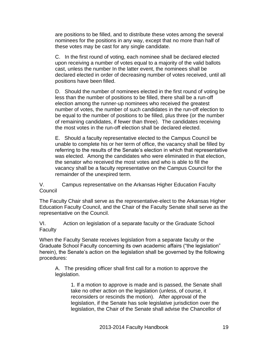are positions to be filled, and to distribute these votes among the several nominees for the positions in any way, except that no more than half of these votes may be cast for any single candidate.

C. In the first round of voting, each nominee shall be declared elected upon receiving a number of votes equal to a majority of the valid ballots cast, unless the number In the latter event, the nominees shall be declared elected in order of decreasing number of votes received, until all positions have been filled.

D. Should the number of nominees elected in the first round of voting be less than the number of positions to be filled, there shall be a run-off election among the runner-up nominees who received the greatest number of votes, the number of such candidates in the run-off election to be equal to the number of positions to be filled, plus three (or the number of remaining candidates, if fewer than three). The candidates receiving the most votes in the run-off election shall be declared elected.

E. Should a faculty representative elected to the Campus Council be unable to complete his or her term of office, the vacancy shall be filled by referring to the results of the Senate's election in which that representative was elected. Among the candidates who were eliminated in that election, the senator who received the most votes and who is able to fill the vacancy shall be a faculty representative on the Campus Council for the remainder of the unexpired term.

V. Campus representative on the Arkansas Higher Education Faculty Council

The Faculty Chair shall serve as the representative-elect to the Arkansas Higher Education Faculty Council, and the Chair of the Faculty Senate shall serve as the representative on the Council.

VI. Action on legislation of a separate faculty or the Graduate School **Faculty** 

When the Faculty Senate receives legislation from a separate faculty or the Graduate School Faculty concerning its own academic affairs ("the legislation" herein), the Senate's action on the legislation shall be governed by the following procedures:

A. The presiding officer shall first call for a motion to approve the legislation.

1. If a motion to approve is made and is passed, the Senate shall take no other action on the legislation (unless, of course, it reconsiders or rescinds the motion). After approval of the legislation, if the Senate has sole legislative jurisdiction over the legislation, the Chair of the Senate shall advise the Chancellor of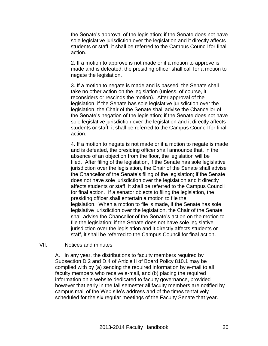the Senate's approval of the legislation; if the Senate does not have sole legislative jurisdiction over the legislation and it directly affects students or staff, it shall be referred to the Campus Council for final action.

2. If a motion to approve is not made or if a motion to approve is made and is defeated, the presiding officer shall call for a motion to negate the legislation.

3. If a motion to negate is made and is passed, the Senate shall take no other action on the legislation (unless, of course, it reconsiders or rescinds the motion). After approval of the legislation, if the Senate has sole legislative jurisdiction over the legislation, the Chair of the Senate shall advise the Chancellor of the Senate's negation of the legislation; if the Senate does not have sole legislative jurisdiction over the legislation and it directly affects students or staff, it shall be referred to the Campus Council for final action.

4. If a motion to negate is not made or if a motion to negate is made and is defeated, the presiding officer shall announce that, in the absence of an objection from the floor, the legislation will be filed. After filing of the legislation, if the Senate has sole legislative jurisdiction over the legislation, the Chair of the Senate shall advise the Chancellor of the Senate's filing of the legislation; if the Senate does not have sole jurisdiction over the legislation and it directly affects students or staff, it shall be referred to the Campus Council for final action. If a senator objects to filing the legislation, the presiding officer shall entertain a motion to file the legislation. When a motion to file is made, if the Senate has sole legislative jurisdiction over the legislation, the Chair of the Senate shall advise the Chancellor of the Senate's action on the motion to file the legislation; if the Senate does not have sole legislative jurisdiction over the legislation and it directly affects students or staff, it shall be referred to the Campus Council for final action.

#### VII. Notices and minutes

A. In any year, the distributions to faculty members required by Subsection D.2 and D.4 of Article II of Board Policy 810.1 may be complied with by (a) sending the required information by e-mail to all faculty members who receive e-mail, and (b) placing the required information on a website dedicated to faculty governance, provided however that early in the fall semester all faculty members are notified by campus mail of the Web site's address and of the times tentatively scheduled for the six regular meetings of the Faculty Senate that year.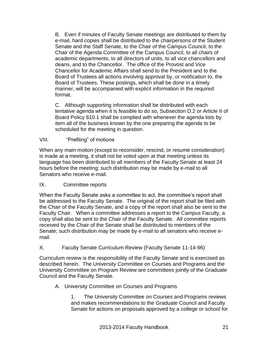B. Even if minutes of Faculty Senate meetings are distributed to them by e-mail, hard copies shall be distributed to the chairpersons of the Student Senate and the Staff Senate, to the Chair of the Campus Council, to the Chair of the Agenda Committee of the Campus Council, to all chairs of academic departments, to all directors of units, to all vice chancellors and deans, and to the Chancellor. The office of the Provost and Vice Chancellor for Academic Affairs shall send to the President and to the Board of Trustees all actions involving approval by, or notification to, the Board of Trustees. These postings, which shall be done in a timely manner, will be accompanied with explicit information in the required format.

C. Although supporting information shall be distributed with each tentative agenda when it is feasible to do so, Subsection D.2 or Article II of Board Policy 810.1 shall be complied with whenever the agenda lists by item all of the business known by the one preparing the agenda to be scheduled for the meeting in question.

#### VIII. "Prefiling" of motions

When any main motion (except to reconsider, rescind, or resume consideration) is made at a meeting, it shall not be voted upon at that meeting unless its language has been distributed to all members of the Faculty Senate at least 24 hours before the meeting; such distribution may be made by e-mail to all Senators who receive e-mail.

#### IX. Committee reports

When the Faculty Senate asks a committee to act, the committee's report shall be addressed to the Faculty Senate. The original of the report shall be filed with the Chair of the Faculty Senate, and a copy of the report shall also be sent to the Faculty Chair. When a committee addresses a report to the Campus Faculty, a copy shall also be sent to the Chair of the Faculty Senate. All committee reports received by the Chair of the Senate shall be distributed to members of the Senate; such distribution may be made by e-mail to all senators who receive email.

#### X. Faculty Senate Curriculum Review (Faculty Senate 11-14-96)

Curriculum review is the responsibility of the Faculty Senate and is exercised as described herein. The University Committee on Courses and Programs and the University Committee on Program Review are committees jointly of the Graduate Council and the Faculty Senate.

#### A. University Committee on Courses and Programs

1. The University Committee on Courses and Programs reviews and makes recommendations to the Graduate Council and Faculty Senate for actions on proposals approved by a college or school for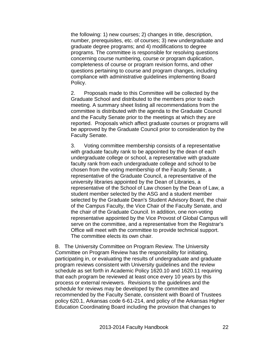the following: 1) new courses; 2) changes in title, description, number, prerequisites, etc. of courses; 3) new undergraduate and graduate degree programs; and 4) modifications to degree programs. The committee is responsible for resolving questions concerning course numbering, course or program duplication, completeness of course or program revision forms, and other questions pertaining to course and program changes, including compliance with administrative guidelines implementing Board Policy.

2. Proposals made to this Committee will be collected by the Graduate School and distributed to the members prior to each meeting. A summary sheet listing all recommendations from the committee is distributed with the agenda to the Graduate Council and the Faculty Senate prior to the meetings at which they are reported. Proposals which affect graduate courses or programs will be approved by the Graduate Council prior to consideration by the Faculty Senate.

3. Voting committee membership consists of a representative with graduate faculty rank to be appointed by the dean of each undergraduate college or school, a representative with graduate faculty rank from each undergraduate college and school to be chosen from the voting membership of the Faculty Senate, a representative of the Graduate Council, a representative of the university libraries appointed by the Dean of Libraries, a representative of the School of Law chosen by the Dean of Law, a student member selected by the ASG and a student member selected by the Graduate Dean's Student Advisory Board, the chair of the Campus Faculty, the Vice Chair of the Faculty Senate, and the chair of the Graduate Council. In addition, one non-voting representative appointed by the Vice Provost of Global Campus will serve on the committee, and a representative from the Registrar's Office will meet with the committee to provide technical support. The committee elects its own chair.

B. The University Committee on Program Review. The University Committee on Program Review has the responsibility for initiating, participating in, or evaluating the results of undergraduate and graduate program reviews consistent with University guidelines and the review schedule as set forth in Academic Policy 1620.10 and 1620.11 requiring that each program be reviewed at least once every 10 years by this process or external reviewers. Revisions to the guidelines and the schedule for reviews may be developed by the committee and recommended by the Faculty Senate, consistent with Board of Trustees policy 620.1, Arkansas code 6-61-214, and policy of the Arkansas Higher Education Coordinating Board including the provision that changes to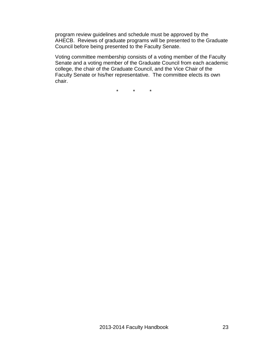program review guidelines and schedule must be approved by the AHECB. Reviews of graduate programs will be presented to the Graduate Council before being presented to the Faculty Senate.

Voting committee membership consists of a voting member of the Faculty Senate and a voting member of the Graduate Council from each academic college, the chair of the Graduate Council, and the Vice Chair of the Faculty Senate or his/her representative. The committee elects its own chair.

\* \* \*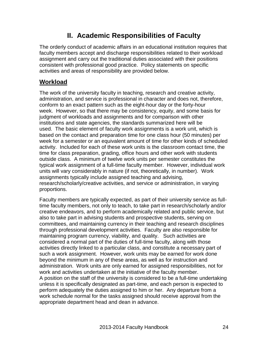## **II. Academic Responsibilities of Faculty**

The orderly conduct of academic affairs in an educational institution requires that faculty members accept and discharge responsibilities related to their workload assignment and carry out the traditional duties associated with their positions consistent with professional good practice. Policy statements on specific activities and areas of responsibility are provided below.

### **Workload**

The work of the university faculty in teaching, research and creative activity, administration, and service is professional in character and does not, therefore, conform to an exact pattern such as the eight-hour day or the forty-hour week. However, so that there may be consistency, equity, and some basis for judgment of workloads and assignments and for comparison with other institutions and state agencies, the standards summarized here will be used. The basic element of faculty work assignments is a work unit, which is based on the contact and preparation time for one class hour (50 minutes) per week for a semester or an equivalent amount of time for other kinds of scheduled activity. Included for each of these work units is the classroom contact time, the time for class preparation, grading, office hours and other work with students outside class. A minimum of twelve work units per semester constitutes the typical work assignment of a full-time faculty member. However, individual work units will vary considerably in nature (if not, theoretically, in number). Work assignments typically include assigned teaching and advising, research/scholarly/creative activities, and service or administration, in varying proportions.

Faculty members are typically expected, as part of their university service as fulltime faculty members, not only to teach, to take part in research/scholarly and/or creative endeavors, and to perform academically related and public service, but also to take part in advising students and prospective students, serving on committees, and maintaining currency in their teaching and research disciplines through professional development activities. Faculty are also responsible for maintaining program currency, viability, and quality. Such activities are considered a normal part of the duties of full-time faculty, along with those activities directly linked to a particular class, and constitute a necessary part of such a work assignment. However, work units may be earned for work done beyond the minimum in any of these areas, as well as for instruction and administration. Work units are only earned for assigned responsibilities, not for work and activities undertaken at the initiative of the faculty member. A position on the staff of the university is considered to be a full-time undertaking unless it is specifically designated as part-time, and each person is expected to perform adequately the duties assigned to him or her. Any departure from a work schedule normal for the tasks assigned should receive approval from the appropriate department head and dean in advance.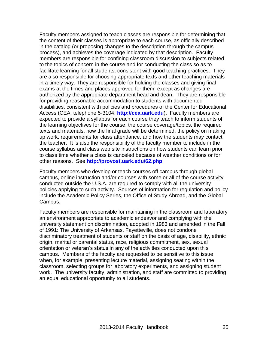Faculty members assigned to teach classes are responsible for determining that the content of their classes is appropriate to each course, as officially described in the catalog (or proposing changes to the description through the campus process), and achieves the coverage indicated by that description. Faculty members are responsible for confining classroom discussion to subjects related to the topics of concern in the course and for conducting the class so as to facilitate learning for all students, consistent with good teaching practices. They are also responsible for choosing appropriate texts and other teaching materials in a timely way. They are responsible for holding the classes and giving final exams at the times and places approved for them, except as changes are authorized by the appropriate department head and dean. They are responsible for providing reasonable accommodation to students with documented disabilities, consistent with policies and procedures of the Center for Educational Access (CEA, telephone 5-3104; **[http://cea.uark.edu](http://cea.uark.edu/)**). Faculty members are expected to provide a syllabus for each course they teach to inform students of the learning objectives for the course, the course coverage/topics, the required texts and materials, how the final grade will be determined, the policy on making up work, requirements for class attendance, and how the students may contact the teacher. It is also the responsibility of the faculty member to include in the course syllabus and class web site instructions on how students can learn prior to class time whether a class is canceled because of weather conditions or for other reasons. See **<http://provost.uark.edu/62.php>**.

Faculty members who develop or teach courses off campus through global campus, online instruction and/or courses with some or all of the course activity conducted outside the U.S.A. are required to comply with all the university policies applying to such activity. Sources of information for regulation and policy include the Academic Policy Series, the Office of Study Abroad, and the Global Campus.

Faculty members are responsible for maintaining in the classroom and laboratory an environment appropriate to academic endeavor and complying with the university statement on discrimination, adopted in 1983 and amended in the Fall of 1991: The University of Arkansas, Fayetteville, does not condone discriminatory treatment of students or staff on the basis of age, disability, ethnic origin, marital or parental status, race, religious commitment, sex, sexual orientation or veteran's status in any of the activities conducted upon this campus. Members of the faculty are requested to be sensitive to this issue when, for example, presenting lecture material, assigning seating within the classroom, selecting groups for laboratory experiments, and assigning student work. The university faculty, administration, and staff are committed to providing an equal educational opportunity to all students.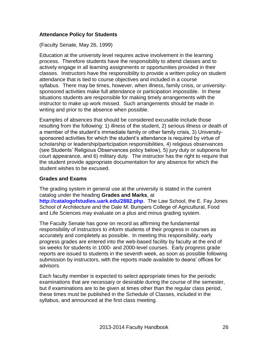#### **Attendance Policy for Students**

(Faculty Senate, May 26, 1999)

Education at the university level requires active involvement in the learning process. Therefore students have the responsibility to attend classes and to actively engage in all learning assignments or opportunities provided in their classes. Instructors have the responsibility to provide a written policy on student attendance that is tied to course objectives and included in a course syllabus. There may be times, however, when illness, family crisis, or universitysponsored activities make full attendance or participation impossible. In these situations students are responsible for making timely arrangements with the instructor to make up work missed. Such arrangements should be made in writing and prior to the absence when possible.

Examples of absences that should be considered excusable include those resulting from the following: 1) illness of the student, 2) serious illness or death of a member of the student's immediate family or other family crisis, 3) Universitysponsored activities for which the student's attendance is required by virtue of scholarship or leadership/participation responsibilities, 4) religious observances (see Students' Religious Observances policy below), 5) jury duty or subpoena for court appearance, and 6) military duty. The instructor has the right to require that the student provide appropriate documentation for any absence for which the student wishes to be excused.

#### **Grades and Exams**

The grading system in general use at the university is stated in the current catalog under the heading **Grades and Marks**, at **<http://catalogofstudies.uark.edu/2882.php>**. The Law School, the E. Fay Jones School of Architecture and the Dale M. Bumpers College of Agricultural, Food and Life Sciences may evaluate on a plus and minus grading system.

The Faculty Senate has gone on record as affirming the fundamental responsibility of instructors to inform students of their progress in courses as accurately and completely as possible. In meeting this responsibility, early progress grades are entered into the web-based facility by faculty at the end of six weeks for students in 1000- and 2000-level courses. Early progress grade reports are issued to students in the seventh week, as soon as possible following submission by instructors, with the reports made available to deans' offices for advisors.

Each faculty member is expected to select appropriate times for the periodic examinations that are necessary or desirable during the course of the semester, but if examinations are to be given at times other than the regular class period, these times must be published in the Schedule of Classes, included in the syllabus, and announced at the first class meeting.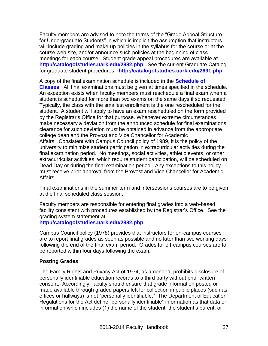Faculty members are advised to note the terms of the "Grade Appeal Structure for Undergraduate Students" in which is implicit the assumption that instructors will include grading and make-up policies in the syllabus for the course or at the course web site, and/or announce such policies at the beginning of class meetings for each course. Student grade appeal procedures are available at **<http://catalogofstudies.uark.edu/2882.php>**. See the current Graduate Catalog for graduate student procedures. **<http://catalogofstudies.uark.edu/2691.php>**.

A copy of the final examination schedule is included in the **[Schedule of](http://registrar.uark.edu/465.php)  [Classes](http://registrar.uark.edu/465.php)**. All final examinations must be given at times specified in the schedule. An exception exists when faculty members must reschedule a final exam when a student is scheduled for more than two exams on the same days if so requested. Typically, the class with the smallest enrollment is the one rescheduled for the student. A student will apply to have an exam rescheduled on the form provided by the Registrar's Office for that purpose. Whenever extreme circumstances make necessary a deviation from the announced schedule for final examinations, clearance for such deviation must be obtained in advance from the appropriate college dean and the Provost and Vice Chancellor for Academic Affairs. Consistent with Campus Council policy of 1989, it is the policy of the university to minimize student participation in extracurricular activities during the final examination period. No meetings, social activities, athletic events, or other extracurricular activities, which require student participation, will be scheduled on Dead Day or during the final examination period. Any exceptions to this policy must receive prior approval from the Provost and Vice Chancellor for Academic Affairs.

Final examinations in the summer term and intersessions courses are to be given at the final scheduled class session.

Faculty members are responsible for entering final grades into a web-based facility consistent with procedures established by the Registrar's Office. See the grading system statement at

**<http://catalogofstudies.uark.edu/2882.php>**.

Campus Council policy (1978) provides that instructors for on-campus courses are to report final grades as soon as possible and no later than two working days following the end of the final exam period. Grades for off-campus courses are to be reported within four days following the exam.

#### **Posting Grades**

The Family Rights and Privacy Act of 1974, as amended, prohibits disclosure of personally identifiable education records to a third party without prior written consent. Accordingly, faculty should ensure that grade information posted or made available through graded papers left for collection in public places (such as offices or hallways) is not "personally identifiable." The Department of Education Regulations for the Act define "personally identifiable" information as that data or information which includes (1) the name of the student, the student's parent, or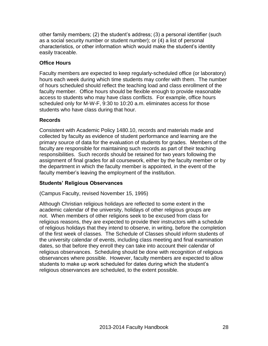other family members; (2) the student's address; (3) a personal identifier (such as a social security number or student number); or (4) a list of personal characteristics, or other information which would make the student's identity easily traceable.

#### **Office Hours**

Faculty members are expected to keep regularly-scheduled office (or laboratory) hours each week during which time students may confer with them. The number of hours scheduled should reflect the teaching load and class enrollment of the faculty member. Office hours should be flexible enough to provide reasonable access to students who may have class conflicts. For example, office hours scheduled only for M-W-F, 9:30 to 10:20 a.m. eliminates access for those students who have class during that hour.

#### **Records**

Consistent with Academic Policy 1480.10, records and materials made and collected by faculty as evidence of student performance and learning are the primary source of data for the evaluation of students for grades. Members of the faculty are responsible for maintaining such records as part of their teaching responsibilities. Such records should be retained for two years following the assignment of final grades for all coursework, either by the faculty member or by the department in which the faculty member is appointed, in the event of the faculty member's leaving the employment of the institution.

#### **Students' Religious Observances**

(Campus Faculty, revised November 15, 1995)

Although Christian religious holidays are reflected to some extent in the academic calendar of the university, holidays of other religious groups are not. When members of other religions seek to be excused from class for religious reasons, they are expected to provide their instructors with a schedule of religious holidays that they intend to observe, in writing, before the completion of the first week of classes. The Schedule of Classes should inform students of the university calendar of events, including class meeting and final examination dates, so that before they enroll they can take into account their calendar of religious observances. Scheduling should be done with recognition of religious observances where possible. However, faculty members are expected to allow students to make up work scheduled for dates during which the student's religious observances are scheduled, to the extent possible.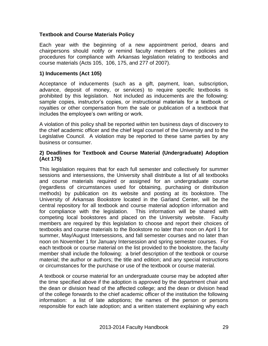#### **Textbook and Course Materials Policy**

Each year with the beginning of a new appointment period, deans and chairpersons should notify or remind faculty members of the policies and procedures for compliance with Arkansas legislation relating to textbooks and course materials (Acts 105, 106, 175, and 277 of 2007).

#### **1) Inducements (Act 105)**

Acceptance of inducements (such as a gift, payment, loan, subscription, advance, deposit of money, or services) to require specific textbooks is prohibited by this legislation. Not included as inducements are the following: sample copies, instructor's copies, or instructional materials for a textbook or royalties or other compensation from the sale or publication of a textbook that includes the employee's own writing or work.

A violation of this policy shall be reported within ten business days of discovery to the chief academic officer and the chief legal counsel of the University and to the Legislative Council. A violation may be reported to these same parties by any business or consumer.

#### **2) Deadlines for Textbook and Course Material (Undergraduate) Adoption (Act 175)**

This legislation requires that for each full semester and collectively for summer sessions and intersessions, the University shall distribute a list of all textbooks and course materials required or assigned for an undergraduate course (regardless of circumstances used for obtaining, purchasing or distribution methods) by publication on its website and posting at its bookstore. The University of Arkansas Bookstore located in the Garland Center, will be the central repository for all textbook and course material adoption information and for compliance with the legislation. This information will be shared with competing local bookstores and placed on the University website. Faculty members are required by this legislation to choose and report their choices of textbooks and course materials to the Bookstore no later than noon on April 1 for summer, May/August Intersessions, and fall semester courses and no later than noon on November 1 for January Intersession and spring semester courses. For each textbook or course material on the list provided to the bookstore, the faculty member shall include the following: a brief description of the textbook or course material; the author or authors; the title and edition; and any special instructions or circumstances for the purchase or use of the textbook or course material.

A textbook or course material for an undergraduate course may be adopted after the time specified above if the adoption is approved by the department chair and the dean or division head of the affected college; and the dean or division head of the college forwards to the chief academic officer of the institution the following information: a list of late adoptions; the names of the person or persons responsible for each late adoption; and a written statement explaining why each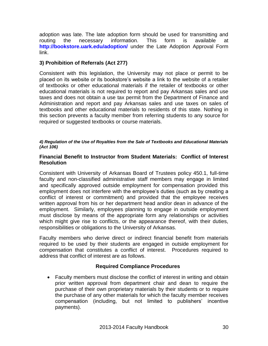adoption was late. The late adoption form should be used for transmitting and routing the necessary information. This form is available at **<http://bookstore.uark.edu/adoption/>** under the Late Adoption Approval Form link.

#### **3) Prohibition of Referrals (Act 277)**

Consistent with this legislation, the University may not place or permit to be placed on its website or its bookstore's website a link to the website of a retailer of textbooks or other educational materials if the retailer of textbooks or other educational materials is not required to report and pay Arkansas sales and use taxes and does not obtain a use tax permit from the Department of Finance and Administration and report and pay Arkansas sales and use taxes on sales of textbooks and other educational materials to residents of this state. Nothing in this section prevents a faculty member from referring students to any source for required or suggested textbooks or course materials.

#### *4) Regulation of the Use of Royalties from the Sale of Textbooks and Educational Materials (Act 106)*

#### **Financial Benefit to Instructor from Student Materials: Conflict of Interest Resolution**

Consistent with University of Arkansas Board of Trustees policy 450.1, full-time faculty and non-classified administrative staff members may engage in limited and specifically approved outside employment for compensation provided this employment does not interfere with the employee's duties (such as by creating a conflict of interest or commitment) and provided that the employee receives written approval from his or her department head and/or dean in advance of the employment. Similarly, employees planning to engage in outside employment must disclose by means of the appropriate form any relationships or activities which might give rise to conflicts, or the appearance thereof, with their duties, responsibilities or obligations to the University of Arkansas.

Faculty members who derive direct or indirect financial benefit from materials required to be used by their students are engaged in outside employment for compensation that constitutes a conflict of interest. Procedures required to address that conflict of interest are as follows.

#### **Required Compliance Procedures**

 Faculty members must disclose the conflict of interest in writing and obtain prior written approval from department chair and dean to require the purchase of their own proprietary materials by their students or to require the purchase of any other materials for which the faculty member receives compensation (including, but not limited to publishers' incentive payments).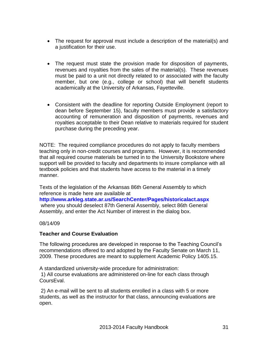- The request for approval must include a description of the material(s) and a justification for their use.
- The request must state the provision made for disposition of payments, revenues and royalties from the sales of the material(s). These revenues must be paid to a unit not directly related to or associated with the faculty member, but one (e.g., college or school) that will benefit students academically at the University of Arkansas, Fayetteville.
- Consistent with the deadline for reporting Outside Employment (report to dean before September 15), faculty members must provide a satisfactory accounting of remuneration and disposition of payments, revenues and royalties acceptable to their Dean relative to materials required for student purchase during the preceding year.

NOTE: The required compliance procedures do not apply to faculty members teaching only in non-credit courses and programs. However, it is recommended that all required course materials be turned in to the University Bookstore where support will be provided to faculty and departments to insure compliance with all textbook policies and that students have access to the material in a timely manner.

Texts of the legislation of the Arkansas 86th General Assembly to which reference is made here are available at

**<http://www.arkleg.state.ar.us/SearchCenter/Pages/historicalact.aspx>** where you should deselect 87th General Assembly, select 86th General Assembly, and enter the Act Number of interest in the dialog box.

#### 08/14/09

#### **Teacher and Course Evaluation**

The following procedures are developed in response to the Teaching Council's recommendations offered to and adopted by the Faculty Senate on March 11, 2009. These procedures are meant to supplement Academic Policy 1405.15.

A standardized university-wide procedure for administration: 1) All course evaluations are administered on-line for each class through CoursEval.

2) An e-mail will be sent to all students enrolled in a class with 5 or more students, as well as the instructor for that class, announcing evaluations are open.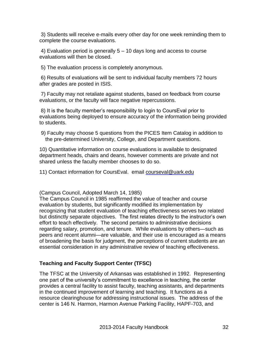3) Students will receive e-mails every other day for one week reminding them to complete the course evaluations.

4) Evaluation period is generally 5 – 10 days long and access to course evaluations will then be closed.

5) The evaluation process is completely anonymous.

6) Results of evaluations will be sent to individual faculty members 72 hours after grades are posted in ISIS.

7) Faculty may not retaliate against students, based on feedback from course evaluations, or the faculty will face negative repercussions.

8) It is the faculty member's responsibility to login to CoursEval prior to evaluations being deployed to ensure accuracy of the information being provided to students.

 9) Faculty may choose 5 questions from the PICES Item Catalog in addition to the pre-determined University, College, and Department questions.

10) Quantitative information on course evaluations is available to designated department heads, chairs and deans, however comments are private and not shared unless the faculty member chooses to do so.

11) Contact information for CoursEval. email [courseval@uark.edu](mailto:courseval@uark.edu)

(Campus Council, Adopted March 14, 1985)

The Campus Council in 1985 reaffirmed the value of teacher and course evaluation by students, but significantly modified its implementation by recognizing that student evaluation of teaching effectiveness serves two related but distinctly separate objectives. The first relates directly to the instructor's own effort to teach effectively. The second pertains to administrative decisions regarding salary, promotion, and tenure. While evaluations by others—such as peers and recent alumni—are valuable, and their use is encouraged as a means of broadening the basis for judgment, the perceptions of current students are an essential consideration in any administrative review of teaching effectiveness.

#### **Teaching and Faculty Support Center (TFSC)**

The TFSC at the University of Arkansas was established in 1992. Representing one part of the university's commitment to excellence in teaching, the center provides a central facility to assist faculty, teaching assistants, and departments in the continued improvement of learning and teaching. It functions as a resource clearinghouse for addressing instructional issues. The address of the center is 146 N. Harmon, Harmon Avenue Parking Facility, HAPF-703, and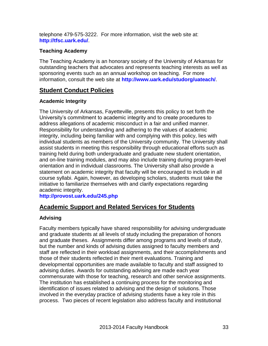telephone 479-575-3222. For more information, visit the web site at: **<http://tfsc.uark.edu/>**.

#### **Teaching Academy**

The Teaching Academy is an honorary society of the University of Arkansas for outstanding teachers that advocates and represents teaching interests as well as sponsoring events such as an annual workshop on teaching. For more information, consult the web site at **<http://www.uark.edu/studorg/uateach/>**.

#### **Student Conduct Policies**

#### **Academic Integrity**

The University of Arkansas, Fayetteville, presents this policy to set forth the University's commitment to academic integrity and to create procedures to address allegations of academic misconduct in a fair and unified manner. Responsibility for understanding and adhering to the values of academic integrity, including being familiar with and complying with this policy, lies with individual students as members of the University community. The University shall assist students in meeting this responsibility through educational efforts such as training held during both undergraduate and graduate new student orientation, and on-line training modules, and may also include training during program-level orientation and in individual classrooms. The University shall also provide a statement on academic integrity that faculty will be encouraged to include in all course syllabi. Again, however, as developing scholars, students must take the initiative to familiarize themselves with and clarify expectations regarding academic integrity.

**<http://provost.uark.edu/245.php>**

#### **Academic Support and Related Services for Students**

#### **Advising**

Faculty members typically have shared responsibility for advising undergraduate and graduate students at all levels of study including the preparation of honors and graduate theses. Assignments differ among programs and levels of study, but the number and kinds of advising duties assigned to faculty members and staff are reflected in their workload assignments, and their accomplishments and those of their students reflected in their merit evaluations. Training and developmental opportunities are made available to faculty and staff assigned to advising duties. Awards for outstanding advising are made each year commensurate with those for teaching, research and other service assignments. The institution has established a continuing process for the monitoring and identification of issues related to advising and the design of solutions. Those involved in the everyday practice of advising students have a key role in this process. Two pieces of recent legislation also address faculty and institutional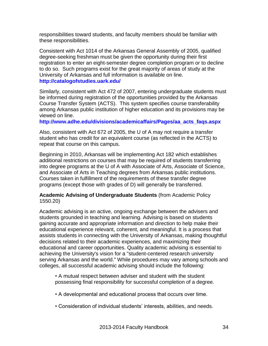responsibilities toward students, and faculty members should be familiar with these responsibilities.

Consistent with Act 1014 of the Arkansas General Assembly of 2005, qualified degree-seeking freshman must be given the opportunity during their first registration to enter an eight-semester degree completion program or to decline to do so. Such programs exist for the great majority of areas of study at the University of Arkansas and full information is available on line. **<http://catalogofstudies.uark.edu/>**

Similarly, consistent with Act 472 of 2007, entering undergraduate students must be informed during registration of the opportunities provided by the Arkansas Course Transfer System (ACTS). This system specifies course transferability among Arkansas public institution of higher education and its provisions may be viewed on line.

**[http://www.adhe.edu/divisions/academicaffairs/Pages/aa\\_acts\\_faqs.aspx](http://www.adhe.edu/divisions/academicaffairs/Pages/aa_acts_faqs.aspx)**

Also, consistent with Act 672 of 2005, the U of A may not require a transfer student who has credit for an equivalent course (as reflected in the ACTS) to repeat that course on this campus.

Beginning in 2010, Arkansas will be implementing Act 182 which establishes additional restrictions on courses that may be required of students transferring into degree programs at the U of A with Associate of Arts, Associate of Science, and Associate of Arts in Teaching degrees from Arkansas public institutions. Courses taken in fulfillment of the requirements of these transfer degree programs (except those with grades of D) will generally be transferred.

#### **Academic Advising of Undergraduate Students** (from Academic Policy 1550.20)

Academic advising is an active, ongoing exchange between the advisers and students grounded in teaching and learning. Advising is based on students gaining accurate and appropriate information and direction to help make their educational experience relevant, coherent, and meaningful. It is a process that assists students in connecting with the University of Arkansas, making thoughtful decisions related to their academic experiences, and maximizing their educational and career opportunities. Quality academic advising is essential to achieving the University's vision for a "student-centered research university serving Arkansas and the world." While procedures may vary among schools and colleges, all successful academic advising should include the following:

• A mutual respect between adviser and student with the student possessing final responsibility for successful completion of a degree.

- A developmental and educational process that occurs over time.
- Consideration of individual students' interests, abilities, and needs.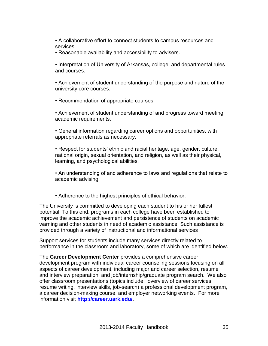• A collaborative effort to connect students to campus resources and services.

• Reasonable availability and accessibility to advisers.

• Interpretation of University of Arkansas, college, and departmental rules and courses.

• Achievement of student understanding of the purpose and nature of the university core courses.

• Recommendation of appropriate courses.

• Achievement of student understanding of and progress toward meeting academic requirements.

• General information regarding career options and opportunities, with appropriate referrals as necessary.

• Respect for students' ethnic and racial heritage, age, gender, culture, national origin, sexual orientation, and religion, as well as their physical, learning, and psychological abilities.

• An understanding of and adherence to laws and regulations that relate to academic advising.

• Adherence to the highest principles of ethical behavior.

The University is committed to developing each student to his or her fullest potential. To this end, programs in each college have been established to improve the academic achievement and persistence of students on academic warning and other students in need of academic assistance. Such assistance is provided through a variety of instructional and informational services

Support services for students include many services directly related to performance in the classroom and laboratory, some of which are identified below.

The **Career Development Center** provides a comprehensive career development program with individual career counseling sessions focusing on all aspects of career development, including major and career selection, resume and interview preparation, and job/internship/graduate program search. We also offer classroom presentations (topics include: overview of career services, resume writing, interview skills, job-search) a professional development program, a career decision-making course, and employer networking events. For more information visit **<http://career.uark.edu/>**.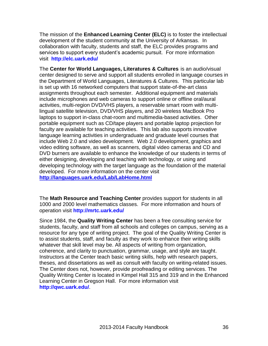The mission of the **Enhanced Learning Center (ELC)** is to foster the intellectual development of the student community at the University of Arkansas. In collaboration with faculty, students and staff, the ELC provides programs and services to support every student's academic pursuit. For more information visit **<http://elc.uark.edu/>**

The **Center for World Languages, Literatures & Cultures** is an audio/visual center designed to serve and support all students enrolled in language courses in the Department of World Languages, Literatures & Cultures. This particular lab is set up with 16 networked computers that support state-of-the-art class assignments throughout each semester. Additional equipment and materials include microphones and web cameras to support online or offline oral/aural activities, multi-region DVD/VHS players, a reservable smart room with multilingual satellite television, DVD/VHS players, and 20 wireless MacBook Pro laptops to support in-class chat-room and multimedia-based activities. Other portable equipment such as CD/tape players and portable laptop projection for faculty are available for teaching activities. This lab also supports innovative language learning activities in undergraduate and graduate level courses that include Web 2.0 and video development. Web 2.0 development, graphics and video editing software, as well as scanners, digital video cameras and CD and DVD burners are available to enhance the knowledge of our students in terms of either designing, developing and teaching with technology, or using and developing technology with the target language as the foundation of the material developed. For more information on the center visit **<http://languages.uark.edu/Lab/LabHome.html>**

The **Math Resource and Teaching Center** provides support for students in all 1000 and 2000 level mathematics classes. For more information and hours of operation visit **<http://mrtc.uark.edu/>**

Since 1984, the **Quality Writing Center** has been a free consulting service for students, faculty, and staff from all schools and colleges on campus, serving as a resource for any type of writing project. The goal of the Quality Writing Center is to assist students, staff, and faculty as they work to enhance their writing skills whatever that skill level may be. All aspects of writing from organization, coherence, and clarity to punctuation, grammar, usage, and style are taught. Instructors at the Center teach basic writing skills, help with research papers, theses, and dissertations as well as consult with faculty on writing-related issues. The Center does not, however, provide proofreading or editing services. The Quality Writing Center is located in Kimpel Hall 315 and 319 and in the Enhanced Learning Center in Gregson Hall. For more information visit **<http://qwc.uark.edu/>**.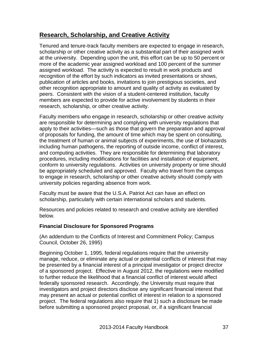## **Research, Scholarship, and Creative Activity**

Tenured and tenure-track faculty members are expected to engage in research, scholarship or other creative activity as a substantial part of their assigned work at the university. Depending upon the unit, this effort can be up to 50 percent or more of the academic year assigned workload and 100 percent of the summer assigned workload. The activity is expected to result in work products and recognition of the effort by such indicators as invited presentations or shows, publication of articles and books, invitations to join prestigious societies, and other recognition appropriate to amount and quality of activity as evaluated by peers. Consistent with the vision of a student-centered institution, faculty members are expected to provide for active involvement by students in their research, scholarship, or other creative activity.

Faculty members who engage in research, scholarship or other creative activity are responsible for determining and complying with university regulations that apply to their activities—such as those that govern the preparation and approval of proposals for funding, the amount of time which may be spent on consulting, the treatment of human or animal subjects of experiments, the use of biohazards including human pathogens, the reporting of outside income, conflict of interest, and computing activities. They are responsible for determining that laboratory procedures, including modifications for facilities and installation of equipment, conform to university regulations. Activities on university property or time should be appropriately scheduled and approved. Faculty who travel from the campus to engage in research, scholarship or other creative activity should comply with university policies regarding absence from work.

Faculty must be aware that the U.S.A. Patriot Act can have an effect on scholarship, particularly with certain international scholars and students.

Resources and policies related to research and creative activity are identified below.

#### **Financial Disclosure for Sponsored Programs**

(An addendum to the Conflicts of Interest and Commitment Policy; Campus Council, October 26, 1995)

Beginning October 1, 1995, federal regulations require that the university manage, reduce, or eliminate any actual or potential conflicts of interest that may be presented by a financial interest of a principal investigator or project director of a sponsored project. Effective in August 2012, the regulations were modified to further reduce the likelihood that a financial conflict of interest would affect federally sponsored research. Accordingly, the University must require that investigators and project directors disclose any significant financial interest that may present an actual or potential conflict of interest in relation to a sponsored project. The federal regulations also require that 1) such a disclosure be made before submitting a sponsored project proposal, or, if a significant financial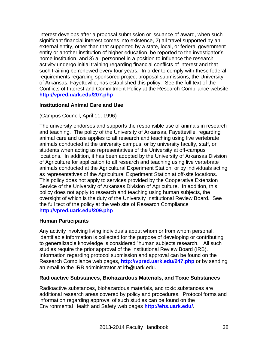interest develops after a proposal submission or issuance of award, when such significant financial interest comes into existence, 2) all travel supported by an external entity, other than that supported by a state, local, or federal government entity or another institution of higher education, be reported to the investigator's home institution, and 3) all personnel in a position to influence the research activity undergo initial training regarding financial conflicts of interest and that such training be renewed every four years. In order to comply with these federal requirements regarding sponsored project proposal submissions, the University of Arkansas, Fayetteville, has established this policy. See the full text of the Conflicts of Interest and Commitment Policy at the Research Compliance website **<http://vpred.uark.edu/207.php>**

### **Institutional Animal Care and Use**

### (Campus Council, April 11, 1996)

The university endorses and supports the responsible use of animals in research and teaching. The policy of the University of Arkansas, Fayetteville, regarding animal care and use applies to all research and teaching using live vertebrate animals conducted at the university campus, or by university faculty, staff, or students when acting as representatives of the University at off-campus locations. In addition, it has been adopted by the University of Arkansas Division of Agriculture for application to all research and teaching using live vertebrate animals conducted at the Agricultural Experiment Station, or by individuals acting as representatives of the Agricultural Experiment Station at off-site locations. This policy does not apply to services provided by the Cooperative Extension Service of the University of Arkansas Division of Agriculture. In addition, this policy does not apply to research and teaching using human subjects, the oversight of which is the duty of the University Institutional Review Board. See the full text of the policy at the web site of Research Compliance **<http://vpred.uark.edu/209.php>**

#### **Human Participants**

Any activity involving living individuals about whom or from whom personal, identifiable information is collected for the purpose of developing or contributing to generalizable knowledge is considered "human subjects research." All such studies require the prior approval of the Institutional Review Board (IRB). Information regarding protocol submission and approval can be found on the Research Compliance web pages, **<http://vpred.uark.edu/247.php>** or by sending an email to the IRB administrator at irb@uark.edu.

#### **Radioactive Substances, Biohazardous Materials, and Toxic Substances**

Radioactive substances, biohazardous materials, and toxic substances are additional research areas covered by policy and procedures. Protocol forms and information regarding approval of such studies can be found on the Environmental Health and Safety web pages **<http://ehs.uark.edu/>**.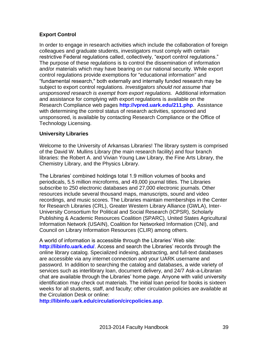## **Export Control**

In order to engage in research activities which include the collaboration of foreign colleagues and graduate students, investigators must comply with certain restrictive Federal regulations called, collectively, "export control regulations." The purpose of these regulations is to control the dissemination of information and/or materials which may have bearing on our national security. While export control regulations provide exemptions for "educational information" and "fundamental research," both externally and internally funded research may be subject to export control regulations. *Investigators should not assume that unsponsored research is exempt from export regulations.* Additional information and assistance for complying with export regulations is available on the Research Compliance web pages **<http://vpred.uark.edu/211.php>**. Assistance with determining the control status of research activities, sponsored and unsponsored, is available by contacting Research Compliance or the Office of Technology Licensing.

#### **University Libraries**

Welcome to the University of Arkansas Libraries! The library system is comprised of the David W. Mullins Library (the main research facility) and four branch libraries: the Robert A. and Vivian Young Law Library, the Fine Arts Library, the Chemistry Library, and the Physics Library.

The Libraries' combined holdings total 1.9 million volumes of books and periodicals, 5.5 million microforms, and 49,000 journal titles. The Libraries subscribe to 250 electronic databases and 27,000 electronic journals. Other resources include several thousand maps, manuscripts, sound and video recordings, and music scores. The Libraries maintain memberships in the Center for Research Libraries (CRL), Greater Western Library Alliance (GWLA), Inter-University Consortium for Political and Social Research (ICPSR), Scholarly Publishing & Academic Resources Coalition (SPARC), United States Agricultural Information Network (USAIN), Coalition for Networked Information (CNI), and Council on Library Information Resources (CLIR) among others.

A world of information is accessible through the Libraries' Web site: **<http://libinfo.uark.edu/>**. Access and search the Libraries' records through the online library catalog. Specialized indexing, abstracting, and full-text databases are accessible via any internet connection and your UARK username and password. In addition to searching the catalog and databases, a wide variety of services such as interlibrary loan, document delivery, and 24/7 Ask-a-Librarian chat are available through the Libraries' home page. Anyone with valid university identification may check out materials. The initial loan period for books is sixteen weeks for all students, staff, and faculty; other circulation policies are available at the Circulation Desk or online:

**<http://libinfo.uark.edu/circulation/circpolicies.asp>**.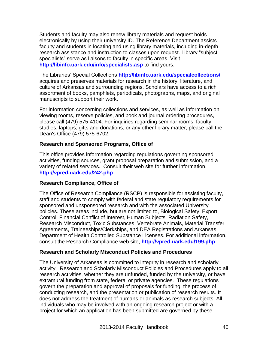Students and faculty may also renew library materials and request holds electronically by using their university ID. The Reference Department assists faculty and students in locating and using library materials, including in-depth research assistance and instruction to classes upon request. Library "subject specialists" serve as liaisons to faculty in specific areas. Visit **<http://libinfo.uark.edu/info/specialists.asp>** to find yours.

The Libraries' Special Collections **<http://libinfo.uark.edu/specialcollections/>** acquires and preserves materials for research in the history, literature, and culture of Arkansas and surrounding regions. Scholars have access to a rich assortment of books, pamphlets, periodicals, photographs, maps, and original manuscripts to support their work.

For information concerning collections and services, as well as information on viewing rooms, reserve policies, and book and journal ordering procedures, please call (479) 575-4104. For inquiries regarding seminar rooms, faculty studies, laptops, gifts and donations, or any other library matter, please call the Dean's Office (479) 575-6702.

### **Research and Sponsored Programs, Office of**

This office provides information regarding regulations governing sponsored activities, funding sources, grant proposal preparation and submission, and a variety of related services. Consult their web site for further information, **<http://vpred.uark.edu/242.php>**.

#### **Research Compliance, Office of**

The Office of Research Compliance (RSCP) is responsible for assisting faculty, staff and students to comply with federal and state regulatory requirements for sponsored and unsponsored research and with the associated University policies. These areas include, but are not limited to, Biological Safety, Export Control, Financial Conflict of Interest, Human Subjects, Radiation Safety, Research Misconduct, Toxic Substances, Vertebrate Animals, Material Transfer Agreements, Traineeships/Clerkships, and DEA Registrations and Arkansas Department of Health Controlled Substance Licenses. For additional information, consult the Research Compliance web site, **<http://vpred.uark.edu/199.php>**

#### **Research and Scholarly Misconduct Policies and Procedures**

The University of Arkansas is committed to integrity in research and scholarly activity. Research and Scholarly Misconduct Policies and Procedures apply to all research activities, whether they are unfunded, funded by the university, or have extramural funding from state, federal or private agencies. These regulations govern the preparation and approval of proposals for funding, the process of conducting research, and the presentation or publication of research results. It does not address the treatment of humans or animals as research subjects. All individuals who may be involved with an ongoing research project or with a project for which an application has been submitted are governed by these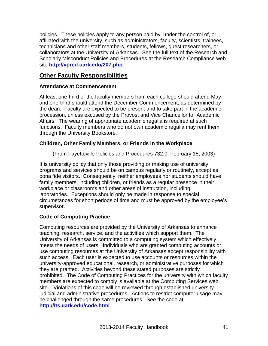policies. These policies apply to any person paid by, under the control of, or affiliated with the university, such as administrators, faculty, scientists, trainees, technicians and other staff members, students, fellows, guest researchers, or collaborators at the University of Arkansas. See the full text of the Research and Scholarly Misconduct Policies and Procedures at the Research Compliance web site **<http://vpred.uark.edu/207.php>**.

## **Other Faculty Responsibilities**

## **Attendance at Commencement**

At least one-third of the faculty members from each college should attend May and one-third should attend the December Commencement, as determined by the dean. Faculty are expected to be present and to take part in the academic procession, unless excused by the Provost and Vice Chancellor for Academic Affairs. The wearing of appropriate academic regalia is required at such functions. Faculty members who do not own academic regalia may rent them through the University Bookstore.

### **Children, Other Family Members, or Friends in the Workplace**

(From Fayetteville Policies and Procedures 732.0, February 15, 2003)

It is university policy that only those providing or making use of university programs and services should be on campus regularly or routinely, except as bona fide visitors. Consequently, neither employees nor students should have family members, including children, or friends as a regular presence in their workplace or classrooms and other areas of instruction, including laboratories. Exceptions should only be made in response to special circumstances for short periods of time and must be approved by the employee's supervisor.

#### **Code of Computing Practice**

Computing resources are provided by the University of Arkansas to enhance teaching, research, service, and the activities which support them. The University of Arkansas is committed to a computing system which effectively meets the needs of users. Individuals who are granted computing accounts or use computing resources at the University of Arkansas accept responsibility with such access. Each user is expected to use accounts or resources within the university-approved educational, research, or administrative purposes for which they are granted. Activities beyond these stated purposes are strictly prohibited. The Code of Computing Practices for the university with which faculty members are expected to comply is available at the Computing Services web site. Violations of this code will be reviewed through established university judicial and administrative procedures. Actions to restrict computer usage may be challenged through the same procedures. See the code at **<http://its.uark.edu/code.html>**.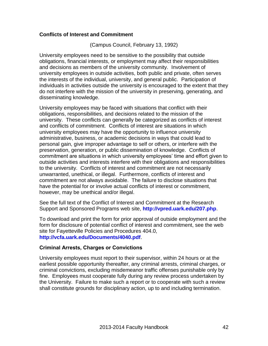### **Conflicts of Interest and Commitment**

(Campus Council, February 13, 1992)

University employees need to be sensitive to the possibility that outside obligations, financial interests, or employment may affect their responsibilities and decisions as members of the university community. Involvement of university employees in outside activities, both public and private, often serves the interests of the individual, university, and general public. Participation of individuals in activities outside the university is encouraged to the extent that they do not interfere with the mission of the university in preserving, generating, and disseminating knowledge.

University employees may be faced with situations that conflict with their obligations, responsibilities, and decisions related to the mission of the university. These conflicts can generally be categorized as conflicts of interest and conflicts of commitment. Conflicts of interest are situations in which university employees may have the opportunity to influence university administrative, business, or academic decisions in ways that could lead to personal gain, give improper advantage to self or others, or interfere with the preservation, generation, or public dissemination of knowledge. Conflicts of commitment are situations in which university employees' time and effort given to outside activities and interests interfere with their obligations and responsibilities to the university. Conflicts of interest and commitment are not necessarily unwarranted, unethical, or illegal. Furthermore, conflicts of interest and commitment are not always avoidable. The failure to disclose situations that have the potential for or involve actual conflicts of interest or commitment, however, may be unethical and/or illegal.

See the full text of the Conflict of Interest and Commitment at the Research Support and Sponsored Programs web site, **<http://vpred.uark.edu/207.php>**.

To download and print the form for prior approval of outside employment and the form for disclosure of potential conflict of interest and commitment, see the web site for Fayetteville Policies and Procedures 404.0, **<http://vcfa.uark.edu/Documents/4040.pdf>**.

#### **Criminal Arrests, Charges or Convictions**

University employees must report to their supervisor, within 24 hours or at the earliest possible opportunity thereafter, any criminal arrests, criminal charges, or criminal convictions, excluding misdemeanor traffic offenses punishable only by fine. Employees must cooperate fully during any review process undertaken by the University. Failure to make such a report or to cooperate with such a review shall constitute grounds for disciplinary action, up to and including termination.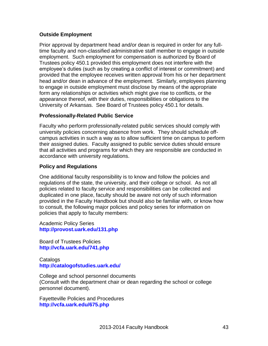## **Outside Employment**

Prior approval by department head and/or dean is required in order for any fulltime faculty and non-classified administrative staff member to engage in outside employment. Such employment for compensation is authorized by Board of Trustees policy 450.1 provided this employment does not interfere with the employee's duties (such as by creating a conflict of interest or commitment) and provided that the employee receives written approval from his or her department head and/or dean in advance of the employment. Similarly, employees planning to engage in outside employment must disclose by means of the appropriate form any relationships or activities which might give rise to conflicts, or the appearance thereof, with their duties, responsibilities or obligations to the University of Arkansas. See Board of Trustees policy 450.1 for details.

### **Professionally-Related Public Service**

Faculty who perform professionally-related public services should comply with university policies concerning absence from work. They should schedule offcampus activities in such a way as to allow sufficient time on campus to perform their assigned duties. Faculty assigned to public service duties should ensure that all activities and programs for which they are responsible are conducted in accordance with university regulations.

### **Policy and Regulations**

One additional faculty responsibility is to know and follow the policies and regulations of the state, the university, and their college or school. As not all policies related to faculty service and responsibilities can be collected and duplicated in one place, faculty should be aware not only of such information provided in the Faculty Handbook but should also be familiar with, or know how to consult, the following major policies and policy series for information on policies that apply to faculty members:

Academic Policy Series **<http://provost.uark.edu/131.php>**

Board of Trustees Policies **<http://vcfa.uark.edu/741.php>**

**Catalogs <http://catalogofstudies.uark.edu/>**

College and school personnel documents (Consult with the department chair or dean regarding the school or college personnel document).

Fayetteville Policies and Procedures **<http://vcfa.uark.edu/675.php>**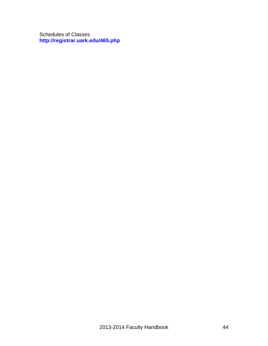Schedules of Classes **<http://registrar.uark.edu/465.php>**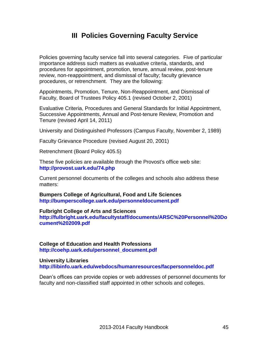# **III Policies Governing Faculty Service**

Policies governing faculty service fall into several categories. Five of particular importance address such matters as evaluative criteria, standards, and procedures for appointment, promotion, tenure, annual review, post-tenure review, non-reappointment, and dismissal of faculty; faculty grievance procedures, or retrenchment. They are the following:

Appointments, Promotion, Tenure, Non-Reappointment, and Dismissal of Faculty, Board of Trustees Policy 405.1 (revised October 2, 2001)

Evaluative Criteria, Procedures and General Standards for Initial Appointment, Successive Appointments, Annual and Post-tenure Review, Promotion and Tenure (revised April 14, 2011)

University and Distinguished Professors (Campus Faculty, November 2, 1989)

Faculty Grievance Procedure (revised August 20, 2001)

Retrenchment (Board Policy 405.5)

These five policies are available through the Provost's office web site: **<http://provost.uark.edu/74.php>**

Current personnel documents of the colleges and schools also address these matters:

**Bumpers College of Agricultural, Food and Life Sciences <http://bumperscollege.uark.edu/personneldocument.pdf>**

**Fulbright College of Arts and Sciences**

**[http://fulbright.uark.edu/facultystaff/documents/ARSC%20Personnel%20Do](http://fulbright.uark.edu/facultystaff/documents/ARSC%20Personnel%20Document%202009.pdf) [cument%202009.pdf](http://fulbright.uark.edu/facultystaff/documents/ARSC%20Personnel%20Document%202009.pdf)**

**College of Education and Health Professions [http://coehp.uark.edu/personnel\\_document.pdf](http://coehp.uark.edu/personnel_document.pdf)**

#### **University Libraries <http://libinfo.uark.edu/webdocs/humanresources/facpersonneldoc.pdf>**

Dean's offices can provide copies or web addresses of personnel documents for faculty and non-classified staff appointed in other schools and colleges.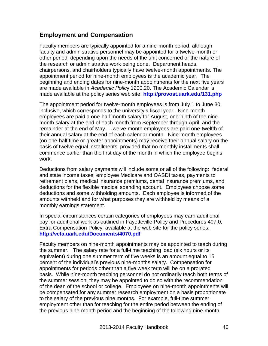## **Employment and Compensation**

Faculty members are typically appointed for a nine-month period, although faculty and administrative personnel may be appointed for a twelve-month or other period, depending upon the needs of the unit concerned or the nature of the research or administrative work being done. Department heads, chairpersons, and chairholders typically have twelve-month appointments. The appointment period for nine-month employees is the academic year. The beginning and ending dates for nine-month appointments for the next five years are made available in *Academic Polic*y 1200.20. The Academic Calendar is made available at the policy series web site: **<http://provost.uark.edu/131.php>**

The appointment period for twelve-month employees is from July 1 to June 30, inclusive, which corresponds to the university's fiscal year. Nine-month employees are paid a one-half month salary for August, one-ninth of the ninemonth salary at the end of each month from September through April, and the remainder at the end of May. Twelve-month employees are paid one-twelfth of their annual salary at the end of each calendar month. Nine-month employees (on one-half time or greater appointments) may receive their annual salary on the basis of twelve equal installments, provided that no monthly installments shall commence earlier than the first day of the month in which the employee begins work.

Deductions from salary payments will include some or all of the following: federal and state income taxes, employee Medicare and OASDI taxes, payments to retirement plans, medical insurance premiums, dental insurance premiums, and deductions for the flexible medical spending account. Employees choose some deductions and some withholding amounts. Each employee is informed of the amounts withheld and for what purposes they are withheld by means of a monthly earnings statement.

In special circumstances certain categories of employees may earn additional pay for additional work as outlined in Fayetteville Policy and Procedures 407.0, Extra Compensation Policy, available at the web site for the policy series, **<http://vcfa.uark.edu/Documents/4070.pdf>**

Faculty members on nine-month appointments may be appointed to teach during the summer. The salary rate for a full-time teaching load (six hours or its equivalent) during one summer term of five weeks is an amount equal to 15 percent of the individual's previous nine-months salary. Compensation for appointments for periods other than a five week term will be on a prorated basis. While nine-month teaching personnel do not ordinarily teach both terms of the summer session, they may be appointed to do so with the recommendation of the dean of the school or college. Employees on nine-month appointments will be compensated for any summer research employment on a basis proportionate to the salary of the previous nine months. For example, full-time summer employment other than for teaching for the entire period between the ending of the previous nine-month period and the beginning of the following nine-month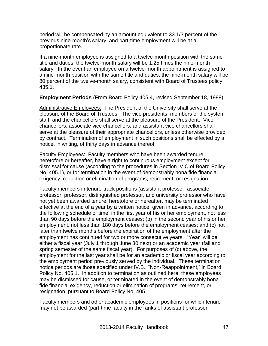period will be compensated by an amount equivalent to 33 1/3 percent of the previous nine-month's salary, and part-time employment will be at a proportionate rate.

If a nine-month employee is assigned to a twelve-month position with the same title and duties, the twelve-month salary will be 1.25 times the nine-month salary. In the event an employee on a twelve-month appointment is assigned to a nine-month position with the same title and duties, the nine-month salary will be 80 percent of the twelve-month salary, consistent with Board of Trustees policy 435.1.

**Employment Periods** (From Board Policy 405.4, revised September 18, 1998)

Administrative Employees: The President of the University shall serve at the pleasure of the Board of Trustees. The vice presidents, members of the system staff, and the chancellors shall serve at the pleasure of the President. Vice chancellors, associate vice chancellors, and assistant vice chancellors shall serve at the pleasure of their appropriate chancellors, unless otherwise provided by contract. Termination of employment in such positions shall be effected by a notice, in writing, of thirty days in advance thereof.

Faculty Employees: Faculty members who have been awarded tenure, heretofore or hereafter, have a right to continuous employment except for dismissal for cause (according to the procedures in Section IV.C of Board Policy No. 405.1), or for termination in the event of demonstrably bona fide financial exigency, reduction or elimination of programs, retirement, or resignation.

Faculty members in tenure-track positions (assistant professor, associate professor, professor, distinguished professor, and university professor who have not yet been awarded tenure, heretofore or hereafter, may be terminated effective at the end of a year by a written notice, given in advance, according to the following schedule of time: in the first year of his or her employment, not less than 90 days before the employment ceases; (b) in the second year of his or her employment, not less than 180 days before the employment ceases; and (c) not later than twelve months before the expiration of the employment after the employment has continued for two or more consecutive years. "Year" will be either a fiscal year (July 1 through June 30 next) or an academic year (fall and spring semester of the same fiscal year). For purposes of (c) above, the employment for the last year shall be for an academic or fiscal year according to the employment period previously served by the individual. These termination notice periods are those specified under IV.B., "Non-Reappointment," in Board Policy No. 405.1. In addition to termination as outlined here, these employees may be dismissed for cause, or terminated in the event of demonstrably bona fide financial exigency, reduction or elimination of programs, retirement, or resignation, pursuant to Board Policy No. 405.1.

Faculty members and other academic employees in positions for which tenure may not be awarded (part-time faculty in the ranks of assistant professor,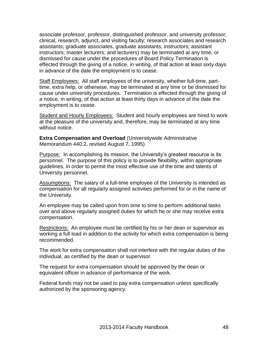associate professor, professor, distinguished professor, and university professor; clinical, research, adjunct, and visiting faculty; research associates and research assistants; graduate associates, graduate assistants, instructors; assistant instructors; master lecturers; and lecturers) may be terminated at any time, or dismissed for cause under the procedures of Board Policy Termination is effected through the giving of a notice, in writing, of that action at least sixty days in advance of the date the employment is to cease.

Staff Employees: All staff employees of the university, whether full-time, parttime, extra help, or otherwise, may be terminated at any time or be dismissed for cause under university procedures. Termination is effected through the giving of a notice, in writing, of that action at least thirty days in advance of the date the employment is to cease.

Student and Hourly Employees: Student and hourly employees are hired to work at the pleasure of the university and, therefore, may be terminated at any time without notice.

**Extra Compensation and Overload** (Universitywide Administrative Memorandum 440.2, revised August 7, 1995)

Purpose: In accomplishing its mission, the University's greatest resource is its personnel. The purpose of this policy is to provide flexibility, within appropriate guidelines, in order to permit the most effective use of the time and talents of University personnel.

Assumptions: The salary of a full-time employee of the University is intended as compensation for all regularly assigned activities performed for or in the name of the University.

An employee may be called upon from time to time to perform additional tasks over and above regularly assigned duties for which he or she may receive extra compensation.

Restrictions: An employee must be certified by his or her dean or supervisor as working a full load in addition to the activity for which extra compensation is being recommended.

The work for extra compensation shall not interfere with the regular duties of the individual, as certified by the dean or supervisor.

The request for extra compensation should be approved by the dean or equivalent officer in advance of performance of the work.

Federal funds may not be used to pay extra compensation unless specifically authorized by the sponsoring agency.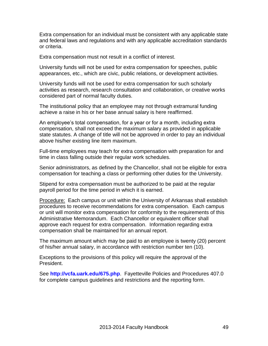Extra compensation for an individual must be consistent with any applicable state and federal laws and regulations and with any applicable accreditation standards or criteria.

Extra compensation must not result in a conflict of interest.

University funds will not be used for extra compensation for speeches, public appearances, etc., which are civic, public relations, or development activities.

University funds will not be used for extra compensation for such scholarly activities as research, research consultation and collaboration, or creative works considered part of normal faculty duties.

The institutional policy that an employee may not through extramural funding achieve a raise in his or her base annual salary is here reaffirmed.

An employee's total compensation, for a year or for a month, including extra compensation, shall not exceed the maximum salary as provided in applicable state statutes. A change of title will not be approved in order to pay an individual above his/her existing line item maximum.

Full-time employees may teach for extra compensation with preparation for and time in class falling outside their regular work schedules.

Senior administrators, as defined by the Chancellor, shall not be eligible for extra compensation for teaching a class or performing other duties for the University.

Stipend for extra compensation must be authorized to be paid at the regular payroll period for the time period in which it is earned.

Procedure: Each campus or unit within the University of Arkansas shall establish procedures to receive recommendations for extra compensation. Each campus or unit will monitor extra compensation for conformity to the requirements of this Administrative Memorandum. Each Chancellor or equivalent officer shall approve each request for extra compensation. Information regarding extra compensation shall be maintained for an annual report.

The maximum amount which may be paid to an employee is twenty (20) percent of his/her annual salary, in accordance with restriction number ten (10).

Exceptions to the provisions of this policy will require the approval of the President.

See **<http://vcfa.uark.edu/675.php>**. Fayetteville Policies and Procedures 407.0 for complete campus guidelines and restrictions and the reporting form.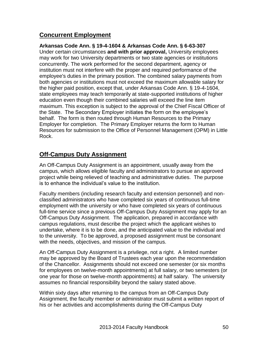## **Concurrent Employment**

## **Arkansas Code Ann. § 19-4-1604 & Arkansas Code Ann. § 6-63-307**

Under certain circumstances **and with prior approval,** University employees may work for two University departments or two state agencies or institutions concurrently. The work performed for the second department, agency or institution must not interfere with the proper and required performance of the employee's duties in the primary position. The combined salary payments from both agencies or institutions must not exceed the maximum allowable salary for the higher paid position, except that, under Arkansas Code Ann. § 19-4-1604, state employees may teach temporarily at state-supported institutions of higher education even though their combined salaries will exceed the line item maximum. This exception is subject to the approval of the Chief Fiscal Officer of the State. The Secondary Employer initiates the form on the employee's behalf. The form is then routed through Human Resources to the Primary Employer for completion. The Primary Employer returns the form to Human Resources for submission to the Office of Personnel Management (OPM) in Little Rock.

## **Off-Campus Duty Assignment**

An Off-Campus Duty Assignment is an appointment, usually away from the campus, which allows eligible faculty and administrators to pursue an approved project while being relieved of teaching and administrative duties. The purpose is to enhance the individual's value to the institution.

Faculty members (including research faculty and extension personnel) and nonclassified administrators who have completed six years of continuous full-time employment with the university or who have completed six years of continuous full-time service since a previous Off-Campus Duty Assignment may apply for an Off-Campus Duty Assignment. The application, prepared in accordance with campus regulations, must describe the project which the applicant wishes to undertake, where it is to be done, and the anticipated value to the individual and to the university. To be approved, a proposed assignment must be consonant with the needs, objectives, and mission of the campus.

An Off-Campus Duty Assignment is a privilege, not a right. A limited number may be approved by the Board of Trustees each year upon the recommendation of the Chancellor. Assignments should not exceed one semester (or six months for employees on twelve-month appointments) at full salary, or two semesters (or one year for those on twelve-month appointments) at half salary. The university assumes no financial responsibility beyond the salary stated above.

Within sixty days after returning to the campus from an Off-Campus Duty Assignment, the faculty member or administrator must submit a written report of his or her activities and accomplishments during the Off-Campus Duty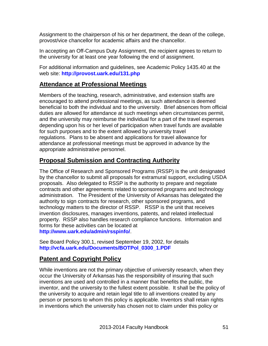Assignment to the chairperson of his or her department, the dean of the college, provost/vice chancellor for academic affairs and the chancellor.

In accepting an Off-Campus Duty Assignment, the recipient agrees to return to the university for at least one year following the end of assignment.

For additional information and guidelines, see Academic Policy 1435.40 at the web site: **<http://provost.uark.edu/131.php>**

## **Attendance at Professional Meetings**

Members of the teaching, research, administrative, and extension staffs are encouraged to attend professional meetings, as such attendance is deemed beneficial to both the individual and to the university. Brief absences from official duties are allowed for attendance at such meetings when circumstances permit, and the university may reimburse the individual for a part of the travel expenses depending upon his or her level of participation when travel funds are available for such purposes and to the extent allowed by university travel regulations. Plans to be absent and applications for travel allowance for attendance at professional meetings must be approved in advance by the appropriate administrative personnel.

## **Proposal Submission and Contracting Authority**

The Office of Research and Sponsored Programs (RSSP) is the unit designated by the chancellor to submit all proposals for extramural support, excluding USDA proposals. Also delegated to RSSP is the authority to prepare and negotiate contracts and other agreements related to sponsored programs and technology administration. The President of the University of Arkansas has delegated the authority to sign contracts for research, other sponsored programs, and technology matters to the director of RSSP. RSSP is the unit that receives invention disclosures, manages inventions, patents, and related intellectual property. RSSP also handles research compliance functions. Information and forms for these activities can be located at **<http://www.uark.edu/admin/rsspinfo/>**.

See Board Policy 300.1, revised September 19, 2002, for details **[http://vcfa.uark.edu/Documents/BOTPol\\_0300\\_1.PDF](http://vcfa.uark.edu/Documents/BOTPol_0300_1.PDF)**

## **Patent and Copyright Policy**

While inventions are not the primary objective of university research, when they occur the University of Arkansas has the responsibility of insuring that such inventions are used and controlled in a manner that benefits the public, the inventor, and the university to the fullest extent possible. It shall be the policy of the university to acquire and retain legal title to all inventions created by any person or persons to whom this policy is applicable. Inventors shall retain rights in inventions which the university has chosen not to claim under this policy or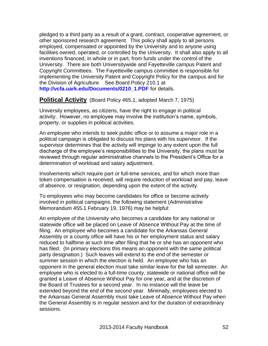pledged to a third party as a result of a grant, contract, cooperative agreement, or other sponsored research agreement. This policy shall apply to all persons employed, compensated or appointed by the University and to anyone using facilities owned, operated, or controlled by the University. It shall also apply to all inventions financed, in whole or in part, from funds under the control of the University. There are both Universitywide and Fayetteville campus Patent and Copyright Committees. The Fayetteville campus committee is responsible for implementing the University Patent and Copyright Policy for the campus and for the Division of Agriculture. See Board Policy 210.1 at **[http://vcfa.uark.edu/Documents/0210\\_1.PDF](http://vcfa.uark.edu/Documents/0210_1.PDF)** for details.

## **Political Activity** (Board Policy 465.1, adopted March 7, 1975)

University employees, as citizens, have the right to engage in political activity. However, no employee may involve the institution's name, symbols, property, or supplies in political activities.

An employee who intends to seek public office or to assume a major role in a political campaign is obligated to discuss his plans with his supervisor. If the supervisor determines that the activity will impinge to any extent upon the full discharge of the employee's responsibilities to the University, the plans must be reviewed through regular administrative channels to the President's Office for a determination of workload and salary adjustment.

Involvements which require part or full-time services, and for which more than token compensation is received, will require reduction of workload and pay, leave of absence, or resignation, depending upon the extent of the activity.

To employees who may become candidates for office or become actively involved in political campaigns, the following statement (Administrative Memorandum 455.1 February 19, 1976) may be helpful:

An employee of the University who becomes a candidate for any national or statewide office will be placed on Leave of Absence Without Pay at the time of filing. An employee who becomes a candidate for the Arkansas General Assembly or a county office will have his or her employment status and salary reduced to halftime at such time after filing that he or she has an opponent who has filed. (In primary elections this means an opponent with the same political party designation.) Such leaves will extend to the end of the semester or summer session in which the election is held. An employee who has an opponent in the general election must take similar leave for the fall semester. An employee who is elected to a full-time county, statewide or national office will be granted a Leave of Absence Without Pay for one year, and at the discretion of the Board of Trustees for a second year. In no instance will the leave be extended beyond the end of the second year. Minimally, employees elected to the Arkansas General Assembly must take Leave of Absence Without Pay when the General Assembly is in regular session and for the duration of extraordinary sessions.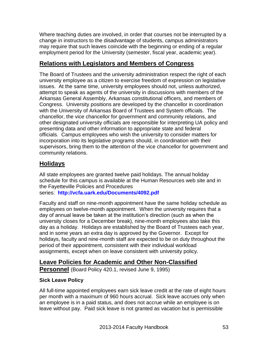Where teaching duties are involved, in order that courses not be interrupted by a change in instructors to the disadvantage of students, campus administrators may require that such leaves coincide with the beginning or ending of a regular employment period for the University (semester, fiscal year, academic year).

## **Relations with Legislators and Members of Congress**

The Board of Trustees and the university administration respect the right of each university employee as a citizen to exercise freedom of expression on legislative issues. At the same time, university employees should not, unless authorized, attempt to speak as agents of the university in discussions with members of the Arkansas General Assembly, Arkansas constitutional officers, and members of Congress. University positions are developed by the chancellor in coordination with the University of Arkansas Board of Trustees and System officials. The chancellor, the vice chancellor for government and community relations, and other designated university officials are responsible for interpreting UA policy and presenting data and other information to appropriate state and federal officials. Campus employees who wish the university to consider matters for incorporation into its legislative programs should, in coordination with their supervisors, bring them to the attention of the vice chancellor for government and community relations.

## **Holidays**

All state employees are granted twelve paid holidays. The annual holiday schedule for this campus is available at the Human Resources web site and in the Fayetteville Policies and Procedures

series: **<http://vcfa.uark.edu/Documents/4092.pdf>**

Faculty and staff on nine-month appointment have the same holiday schedule as employees on twelve-month appointment. When the university requires that a day of annual leave be taken at the institution's direction (such as when the university closes for a December break), nine-month employees also take this day as a holiday. Holidays are established by the Board of Trustees each year, and in some years an extra day is approved by the Governor. Except for holidays, faculty and nine-month staff are expected to be on duty throughout the period of their appointment, consistent with their individual workload assignments, except when on leave consistent with university policy.

# **Leave Policies for Academic and Other Non-Classified**

**Personnel** (Board Policy 420.1, revised June 9, 1995)

## **Sick Leave Policy**

All full-time appointed employees earn sick leave credit at the rate of eight hours per month with a maximum of 960 hours accrual. Sick leave accrues only when an employee is in a paid status, and does not accrue while an employee is on leave without pay. Paid sick leave is not granted as vacation but is permissible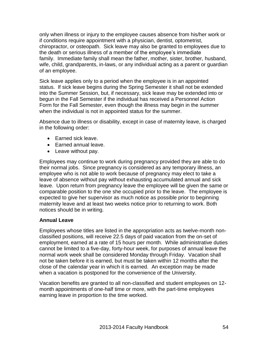only when illness or injury to the employee causes absence from his/her work or if conditions require appointment with a physician, dentist, optometrist, chiropractor, or osteopath. Sick leave may also be granted to employees due to the death or serious illness of a member of the employee's immediate family. Immediate family shall mean the father, mother, sister, brother, husband, wife, child, grandparents, in-laws, or any individual acting as a parent or guardian of an employee.

Sick leave applies only to a period when the employee is in an appointed status. If sick leave begins during the Spring Semester it shall not be extended into the Summer Session, but, if necessary, sick leave may be extended into or begun in the Fall Semester if the individual has received a Personnel Action Form for the Fall Semester, even though the illness may begin in the summer when the individual is not in appointed status for the summer.

Absence due to illness or disability, except in case of maternity leave, is charged in the following order:

- Earned sick leave.
- Earned annual leave.
- Leave without pay.

Employees may continue to work during pregnancy provided they are able to do their normal jobs. Since pregnancy is considered as any temporary illness, an employee who is not able to work because of pregnancy may elect to take a leave of absence without pay without exhausting accumulated annual and sick leave. Upon return from pregnancy leave the employee will be given the same or comparable position to the one she occupied prior to the leave. The employee is expected to give her supervisor as much notice as possible prior to beginning maternity leave and at least two weeks notice prior to returning to work. Both notices should be in writing.

#### **Annual Leave**

Employees whose titles are listed in the appropriation acts as twelve-month nonclassified positions, will receive 22.5 days of paid vacation from the on-set of employment, earned at a rate of 15 hours per month. While administrative duties cannot be limited to a five-day, forty-hour week, for purposes of annual leave the normal work week shall be considered Monday through Friday. Vacation shall not be taken before it is earned, but must be taken within 12 months after the close of the calendar year in which it is earned. An exception may be made when a vacation is postponed for the convenience of the University.

Vacation benefits are granted to all non-classified and student employees on 12 month appointments of one-half time or more, with the part-time employees earning leave in proportion to the time worked.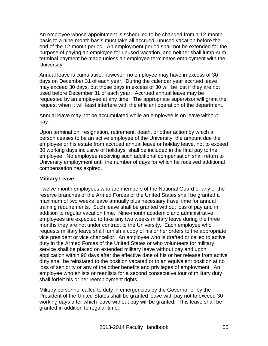An employee whose appointment is scheduled to be changed from a 12-month basis to a nine-month basis must take all accrued, unused vacation before the end of the 12-month period. An employment period shall not be extended for the purpose of paying an employee for unused vacation, and neither shall lump-sum terminal payment be made unless an employee terminates employment with the University.

Annual leave is cumulative; however, no employee may have in excess of 30 days on December 31 of each year. During the calendar year accrued leave may exceed 30 days, but those days in excess of 30 will be lost if they are not used before December 31 of each year. Accrued annual leave may be requested by an employee at any time. The appropriate supervisor will grant the request when it will least interfere with the efficient operation of the department.

Annual leave may not be accumulated while an employee is on leave without pay.

Upon termination, resignation, retirement, death, or other action by which a person ceases to be an active employee of the University, the amount due the employee or his estate from accrued annual leave or holiday leave, not to exceed 30 working days inclusive of holidays, shall be included in the final pay to the employee. No employee receiving such additional compensation shall return to University employment until the number of days for which he received additional compensation has expired.

## **Military Leave**

Twelve-month employees who are members of the National Guard or any of the reserve branches of the Armed Forces of the United States shall be granted a maximum of two weeks leave annually plus necessary travel time for annual training requirements. Such leave shall be granted without loss of pay and in addition to regular vacation time. Nine-month academic and administrative employees are expected to take any two weeks military leave during the three months they are not under contract to the University. Each employee who requests military leave shall furnish a copy of his or her orders to the appropriate vice president or vice chancellor. An employee who is drafted or called to active duty in the Armed Forces of the United States or who volunteers for military service shall be placed on extended military leave without pay and upon application within 90 days after the effective date of his or her release from active duty shall be reinstated to the position vacated or to an equivalent position at no loss of seniority or any of the other benefits and privileges of employment. An employee who enlists or reenlists for a second consecutive tour of military duty shall forfeit his or her reemployment rights.

Military personnel called to duty in emergencies by the Governor or by the President of the United States shall be granted leave with pay not to exceed 30 working days after which leave without pay will be granted. This leave shall be granted in addition to regular time.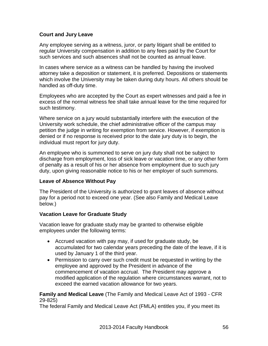## **Court and Jury Leave**

Any employee serving as a witness, juror, or party litigant shall be entitled to regular University compensation in addition to any fees paid by the Court for such services and such absences shall not be counted as annual leave.

In cases where service as a witness can be handled by having the involved attorney take a deposition or statement, it is preferred. Depositions or statements which involve the University may be taken during duty hours. All others should be handled as off-duty time.

Employees who are accepted by the Court as expert witnesses and paid a fee in excess of the normal witness fee shall take annual leave for the time required for such testimony.

Where service on a jury would substantially interfere with the execution of the University work schedule, the chief administrative officer of the campus may petition the judge in writing for exemption from service. However, if exemption is denied or if no response is received prior to the date jury duty is to begin, the individual must report for jury duty.

An employee who is summoned to serve on jury duty shall not be subject to discharge from employment, loss of sick leave or vacation time, or any other form of penalty as a result of his or her absence from employment due to such jury duty, upon giving reasonable notice to his or her employer of such summons.

#### **Leave of Absence Without Pay**

The President of the University is authorized to grant leaves of absence without pay for a period not to exceed one year. (See also Family and Medical Leave below.)

#### **Vacation Leave for Graduate Study**

Vacation leave for graduate study may be granted to otherwise eligible employees under the following terms:

- Accrued vacation with pay may, if used for graduate study, be accumulated for two calendar years preceding the date of the leave, if it is used by January 1 of the third year.
- Permission to carry over such credit must be requested in writing by the employee and approved by the President in advance of the commencement of vacation accrual. The President may approve a modified application of the regulation where circumstances warrant, not to exceed the earned vacation allowance for two years.

**Family and Medical Leave** (The Family and Medical Leave Act of 1993 - CFR 29-825)

The federal Family and Medical Leave Act (FMLA) entitles you, if you meet its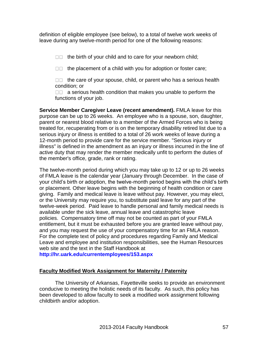definition of eligible employee (see below), to a total of twelve work weeks of leave during any twelve-month period for one of the following reasons:

 $\square$  the birth of your child and to care for your newborn child;

 $\square$  the placement of a child with you for adoption or foster care;

 $\Box$  the care of your spouse, child, or parent who has a serious health condition; or

 $\Box$  a serious health condition that makes you unable to perform the functions of your job.

**Service Member Caregiver Leave (recent amendment).** FMLA leave for this purpose can be up to 26 weeks. An employee who is a spouse, son, daughter, parent or nearest blood relative to a member of the Armed Forces who is being treated for, recuperating from or is on the temporary disability retired list due to a serious injury or illness is entitled to a total of 26 work weeks of leave during a 12-month period to provide care for the service member. "Serious injury or illness" is defined in the amendment as an injury or illness incurred in the line of active duty that may render the member medically unfit to perform the duties of the member's office, grade, rank or rating.

The twelve-month period during which you may take up to 12 or up to 26 weeks of FMLA leave is the calendar year (January through December. In the case of your child's birth or adoption, the twelve-month period begins with the child's birth or placement. Other leave begins with the beginning of health condition or care giving. Family and medical leave is leave without pay. However, you may elect, or the University may require you, to substitute paid leave for any part of the twelve-week period. Paid leave to handle personal and family medical needs is available under the sick leave, annual leave and catastrophic leave policies. Compensatory time off may not be counted as part of your FMLA entitlement, but it must be exhausted before you are granted leave without pay, and you may request the use of your compensatory time for an FMLA reason. For the complete text of policy and procedures regarding Family and Medical Leave and employee and institution responsibilities, see the Human Resources web site and the text in the Staff Handbook at

**<http://hr.uark.edu/currentemployees/153.aspx>**

## **Faculty Modified Work Assignment for Maternity / Paternity**

The University of Arkansas, Fayetteville seeks to provide an environment conducive to meeting the holistic needs of its faculty. As such, this policy has been developed to allow faculty to seek a modified work assignment following childbirth and/or adoption.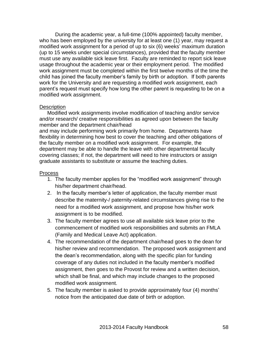During the academic year, a full-time (100% appointed) faculty member, who has been employed by the university for at least one (1) year, may request a modified work assignment for a period of up to six (6) weeks' maximum duration (up to 15 weeks under special circumstances), provided that the faculty member must use any available sick leave first. Faculty are reminded to report sick leave usage throughout the academic year or their employment period. The modified work assignment must be completed within the first twelve months of the time the child has joined the faculty member's family by birth or adoption. If both parents work for the University and are requesting a modified work assignment, each parent's request must specify how long the other parent is requesting to be on a modified work assignment.

#### **Description**

Modified work assignments involve modification of teaching and/or service and/or research/ creative responsibilities as agreed upon between the faculty member and the department chair/head

and may include performing work primarily from home. Departments have flexibility in determining how best to cover the teaching and other obligations of the faculty member on a modified work assignment. For example, the department may be able to handle the leave with other departmental faculty covering classes; if not, the department will need to hire instructors or assign graduate assistants to substitute or assume the teaching duties.

#### Process

- 1. The faculty member applies for the "modified work assignment" through his/her department chair/head.
- 2. In the faculty member's letter of application, the faculty member must describe the maternity-/ paternity-related circumstances giving rise to the need for a modified work assignment, and propose how his/her work assignment is to be modified.
- 3. The faculty member agrees to use all available sick leave prior to the commencement of modified work responsibilities and submits an FMLA (Family and Medical Leave Act) application.
- 4. The recommendation of the department chair/head goes to the dean for his/her review and recommendation. The proposed work assignment and the dean's recommendation, along with the specific plan for funding coverage of any duties not included in the faculty member's modified assignment, then goes to the Provost for review and a written decision, which shall be final, and which may include changes to the proposed modified work assignment.
- 5. The faculty member is asked to provide approximately four (4) months' notice from the anticipated due date of birth or adoption.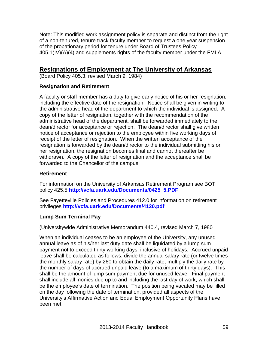Note: This modified work assignment policy is separate and distinct from the right of a non-tenured, tenure track faculty member to request a one year suspension of the probationary period for tenure under Board of Trustees Policy 405.1(IV)(A)(4) and supplements rights of the faculty member under the FMLA

## **Resignations of Employment at The University of Arkansas**

(Board Policy 405.3, revised March 9, 1984)

### **Resignation and Retirement**

A faculty or staff member has a duty to give early notice of his or her resignation, including the effective date of the resignation. Notice shall be given in writing to the administrative head of the department to which the individual is assigned. A copy of the letter of resignation, together with the recommendation of the administrative head of the department, shall be forwarded immediately to the dean/director for acceptance or rejection. The dean/director shall give written notice of acceptance or rejection to the employee within five working days of receipt of the letter of resignation. When the written acceptance of the resignation is forwarded by the dean/director to the individual submitting his or her resignation, the resignation becomes final and cannot thereafter be withdrawn. A copy of the letter of resignation and the acceptance shall be forwarded to the Chancellor of the campus.

#### **Retirement**

For information on the University of Arkansas Retirement Program see BOT policy 425.5 **[http://vcfa.uark.edu/Documents/0425\\_5.PDF](http://vcfa.uark.edu/Documents/0425_5.PDF)**

See Fayetteville Policies and Procedures 412.0 for information on retirement privileges **<http://vcfa.uark.edu/Documents/4120.pdf>**

#### **Lump Sum Terminal Pay**

(Universitywide Administrative Memorandum 440.4, revised March 7, 1980

When an individual ceases to be an employee of the University, any unused annual leave as of his/her last duty date shall be liquidated by a lump sum payment not to exceed thirty working days, inclusive of holidays. Accrued unpaid leave shall be calculated as follows: divide the annual salary rate (or twelve times the monthly salary rate) by 260 to obtain the daily rate; multiply the daily rate by the number of days of accrued unpaid leave (to a maximum of thirty days). This shall be the amount of lump sum payment due for unused leave. Final payment shall include all monies due up to and including the last day of work, which shall be the employee's date of termination. The position being vacated may be filled on the day following the date of termination, provided all aspects of the University's Affirmative Action and Equal Employment Opportunity Plans have been met.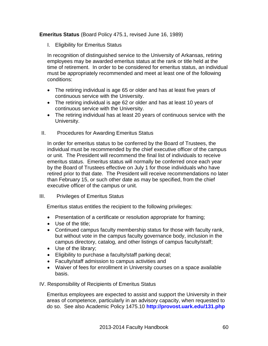## **Emeritus Status** (Board Policy 475.1, revised June 16, 1989)

I. Eligibility for Emeritus Status

In recognition of distinguished service to the University of Arkansas, retiring employees may be awarded emeritus status at the rank or title held at the time of retirement. In order to be considered for emeritus status, an individual must be appropriately recommended and meet at least one of the following conditions:

- The retiring individual is age 65 or older and has at least five years of continuous service with the University.
- The retiring individual is age 62 or older and has at least 10 years of continuous service with the University.
- The retiring individual has at least 20 years of continuous service with the University.
- II. Procedures for Awarding Emeritus Status

In order for emeritus status to be conferred by the Board of Trustees, the individual must be recommended by the chief executive officer of the campus or unit. The President will recommend the final list of individuals to receive emeritus status. Emeritus status will normally be conferred once each year by the Board of Trustees effective on July 1 for those individuals who have retired prior to that date. The President will receive recommendations no later than February 15, or such other date as may be specified, from the chief executive officer of the campus or unit.

#### III. Privileges of Emeritus Status

Emeritus status entitles the recipient to the following privileges:

- Presentation of a certificate or resolution appropriate for framing;
- Use of the title:
- Continued campus faculty membership status for those with faculty rank, but without vote in the campus faculty governance body, inclusion in the campus directory, catalog, and other listings of campus faculty/staff;
- Use of the library;
- Eligibility to purchase a faculty/staff parking decal;
- Faculty/staff admission to campus activities and
- Waiver of fees for enrollment in University courses on a space available basis.

#### IV. Responsibility of Recipients of Emeritus Status

Emeritus employees are expected to assist and support the University in their areas of competence, particularly in an advisory capacity, when requested to do so. See also Academic Policy 1475.10 **<http://provost.uark.edu/131.php>**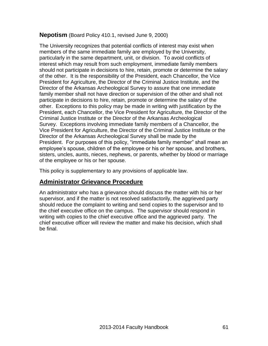## **Nepotism** (Board Policy 410.1, revised June 9, 2000)

The University recognizes that potential conflicts of interest may exist when members of the same immediate family are employed by the University, particularly in the same department, unit, or division. To avoid conflicts of interest which may result from such employment, immediate family members should not participate in decisions to hire, retain, promote or determine the salary of the other. It is the responsibility of the President, each Chancellor, the Vice President for Agriculture, the Director of the Criminal Justice Institute, and the Director of the Arkansas Archeological Survey to assure that one immediate family member shall not have direction or supervision of the other and shall not participate in decisions to hire, retain, promote or determine the salary of the other. Exceptions to this policy may be made in writing with justification by the President, each Chancellor, the Vice President for Agriculture, the Director of the Criminal Justice Institute or the Director of the Arkansas Archeological Survey. Exceptions involving immediate family members of a Chancellor, the Vice President for Agriculture, the Director of the Criminal Justice Institute or the Director of the Arkansas Archeological Survey shall be made by the President. For purposes of this policy, "immediate family member" shall mean an employee's spouse, children of the employee or his or her spouse, and brothers, sisters, uncles, aunts, nieces, nephews, or parents, whether by blood or marriage of the employee or his or her spouse.

This policy is supplementary to any provisions of applicable law.

## **Administrator Grievance Procedure**

An administrator who has a grievance should discuss the matter with his or her supervisor, and if the matter is not resolved satisfactorily, the aggrieved party should reduce the complaint to writing and send copies to the supervisor and to the chief executive office on the campus. The supervisor should respond in writing with copies to the chief executive office and the aggrieved party. The chief executive officer will review the matter and make his decision, which shall be final.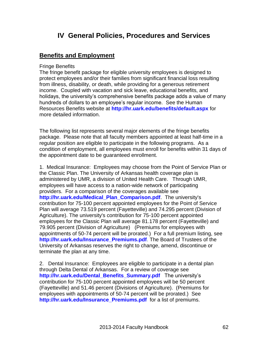# **IV General Policies, Procedures and Services**

## **Benefits and Employment**

#### Fringe Benefits

The fringe benefit package for eligible university employees is designed to protect employees and/or their families from significant financial loss resulting from illness, disability, or death, while providing for a generous retirement income. Coupled with vacation and sick leave, educational benefits, and holidays, the university's comprehensive benefits package adds a value of many hundreds of dollars to an employee's regular income. See the Human Resources Benefits website at **<http://hr.uark.edu/benefits/default.aspx>** for more detailed information.

The following list represents several major elements of the fringe benefits package. Please note that all faculty members appointed at least half-time in a regular position are eligible to participate in the following programs. As a condition of employment, all employees must enroll for benefits within 31 days of the appointment date to be guaranteed enrollment.

1. Medical Insurance: Employees may choose from the Point of Service Plan or the Classic Plan. The University of Arkansas health coverage plan is administered by UMR, a division of United Health Care. Through UMR, employees will have access to a nation-wide network of participating providers. For a comparison of the coverages available see **[http://hr.uark.edu/Medical\\_Plan\\_Comparison.pdf](http://hr.uark.edu/Medical_Plan_Comparison.pdf)**. The university's contribution for 75-100 percent appointed employees for the Point of Service Plan will average 73.519 percent (Fayetteville) and 74.295 percent (Division of Agriculture). The university's contribution for 75-100 percent appointed employees for the Classic Plan will average 81.178 percent (Fayetteville) and 79.905 percent (Division of Agriculture) (Premiums for employees with appointments of 50-74 percent will be prorated.) For a full premium listing, see **[http://hr.uark.edu/Insurance\\_Premiums.pdf](http://hr.uark.edu/Insurance_Premiums.pdf)**. The Board of Trustees of the University of Arkansas reserves the right to change, amend, discontinue or terminate the plan at any time.

2. Dental Insurance: Employees are eligible to participate in a dental plan through Delta Dental of Arkansas. For a review of coverage see **[http://hr.uark.edu/Dental\\_Benefits\\_Summary.pdf](http://hr.uark.edu/Dental_Benefits_Summary.pdf)** The university's contribution for 75-100 percent appointed employees will be 50 percent (Fayetteville) and 51.46 percent (Divisions of Agriculture). (Premiums for employees with appointments of 50-74 percent will be prorated.) See **[http://hr.uark.edu/Insurance\\_Premiums.pdf](http://hr.uark.edu/Insurance_Premiums.pdf)** for a list of premiums.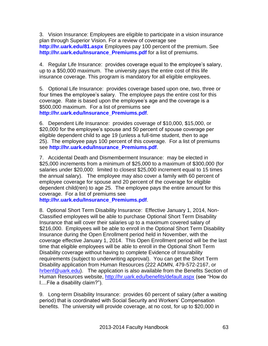3. Vision Insurance: Employees are eligible to participate in a vision insurance plan through Superior Vision. For a review of coverage see **<http://hr.uark.edu/81.aspx>** Employees pay 100 percent of the premium. See **[http://hr.uark.edu/Insurance\\_Premiums.pdf](http://hr.uark.edu/Insurance_Premiums.pdf)** for a list of premiums.

4. Regular Life Insurance: provides coverage equal to the employee's salary, up to a \$50,000 maximum. The university pays the entire cost of this life insurance coverage. This program is mandatory for all eligible employees.

5. Optional Life Insurance: provides coverage based upon one, two, three or four times the employee's salary. The employee pays the entire cost for this coverage. Rate is based upon the employee's age and the coverage is a \$500,000 maximum. For a list of premiums see **[http://hr.uark.edu/Insurance\\_Premiums.pdf](http://hr.uark.edu/Insurance_Premiums.pdf)**.

6. Dependent Life Insurance: provides coverage of \$10,000, \$15,000, or \$20,000 for the employee's spouse and 50 percent of spouse coverage per eligible dependent child to age 19 (unless a full-time student, then to age 25). The employee pays 100 percent of this coverage. For a list of premiums see **[http://hr.uark.edu/Insurance\\_Premiums.pdf](http://hr.uark.edu/Insurance_Premiums.pdf)**.

7. Accidental Death and Dismemberment Insurance: may be elected in \$25,000 increments from a minimum of \$25,000 to a maximum of \$300,000 (for salaries under \$20,000: limited to closest \$25,000 increment equal to 15 times the annual salary). The employee may also cover a family with 60 percent of employee coverage for spouse and 20 percent of the coverage for eligible dependent child(ren) to age 25. The employee pays the entire amount for this coverage. For a list of premiums see

**[http://hr.uark.edu/Insurance\\_Premiums.pdf](http://hr.uark.edu/Insurance_Premiums.pdf)**.

8. Optional Short Term Disability Insurance: Effective January 1, 2014, Non-Classified employees will be able to purchase Optional Short Term Disability Insurance that will cover their salaries up to a maximum covered salary of \$216,000. Employees will be able to enroll in the Optional Short Term Disability Insurance during the Open Enrollment period held in November, with the coverage effective January 1, 2014. This Open Enrollment period will be the last time that eligible employees will be able to enroll in the Optional Short Term Disability coverage without having to complete Evidence of Insurability requirements (subject to underwriting approval). You can get the Short Term Disability application from Human Resources (222 ADMN, 479-572-2167, or [hrbenf@uark.edu\)](mailto:hrbenf@uark.edu). The application is also available from the Benefits Section of Human Resources website,<http://hr.uark.edu/benefits/default.aspx> (see "How do I....File a disability claim?").

9. Long-term Disability Insurance: provides 60 percent of salary (after a waiting period) that is coordinated with Social Security and Workers' Compensation benefits. The university will provide coverage, at no cost, for up to \$20,000 in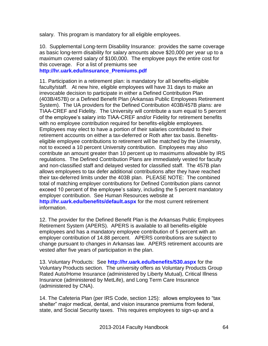salary. This program is mandatory for all eligible employees.

10. Supplemental Long-term Disability Insurance: provides the same coverage as basic long-term disability for salary amounts above \$20,000 per year up to a maximum covered salary of \$100,000. The employee pays the entire cost for this coverage. For a list of premiums see

**[http://hr.uark.edu/Insurance\\_Premiums.pdf](http://hr.uark.edu/Insurance_Premiums.pdf)**

11. Participation in a retirement plan: is mandatory for all benefits-eligible faculty/staff. At new hire, eligible employees will have 31 days to make an irrevocable decision to participate in either a Defined Contribution Plan (403B/457B) or a Defined Benefit Plan (Arkansas Public Employees Retirement System). The UA providers for the Defined Contribution 403B/457B plans: are TIAA-CREF and Fidelity. The University will contribute a sum equal to 5 percent of the employee's salary into TIAA-CREF and/or Fidelity for retirement benefits with no employee contribution required for benefits-eligible employees. Employees may elect to have a portion of their salaries contributed to their retirement accounts on either a tax-deferred or Roth after tax basis. Benefitseligible employee contributions to retirement will be matched by the University, not to exceed a 10 percent University contribution. Employees may also contribute an amount greater than 10 percent up to maximums allowable by IRS regulations. The Defined Contribution Plans are immediately vested for faculty and non-classified staff and delayed vested for classified staff. The 457B plan allows employees to tax defer additional contributions after they have reached their tax-deferred limits under the 403B plan. PLEASE NOTE: The combined total of matching employer contributions for Defined Contribution plans cannot exceed 10 percent of the employee's salary, including the 5 percent mandatory employer contribution. See Human Resources website at **<http://hr.uark.edu/benefits/default.aspx>** for the most current retirement information.

12. The provider for the Defined Benefit Plan is the Arkansas Public Employees Retirement System (APERS). APERS is available to all benefits-eligible employees and has a mandatory employee contribution of 5 percent with an employer contribution of 14.88 percent. APERS contributions are subject to change pursuant to changes in Arkansas law. APERS retirement accounts are vested after five years of participation in the plan.

13. Voluntary Products: See **<http://hr.uark.edu/benefits/530.aspx>** for the Voluntary Products section. The university offers as Voluntary Products Group Rated Auto/Home Insurance (administered by Liberty Mutual), Critical Illness Insurance (administered by MetLife), and Long Term Care Insurance (administered by CNA).

14. The Cafeteria Plan (per IRS Code, section 125): allows employees to "tax shelter" major medical, dental, and vision insurance premiums from federal, state, and Social Security taxes. This requires employees to sign-up and a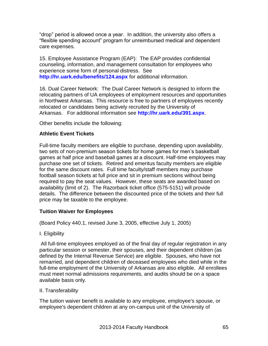"drop" period is allowed once a year. In addition, the university also offers a "flexible spending account" program for unreimbursed medical and dependent care expenses.

15. Employee Assistance Program (EAP): The EAP provides confidential counseling, information, and management consultation for employees who experience some form of personal distress. See **<http://hr.uark.edu/benefits/124.aspx>** for additional information.

16. Dual Career Network: The Dual Career Network is designed to inform the relocating partners of UA employees of employment resources and opportunities in Northwest Arkansas. This resource is free to partners of employees recently relocated or candidates being actively recruited by the University of Arkansas. For additional information see **<http://hr.uark.edu/391.aspx>**.

Other benefits include the following:

### **Athletic Event Tickets**

Full-time faculty members are eligible to purchase, depending upon availability, two sets of non-premium season tickets for home games for men's basketball games at half price and baseball games at a discount. Half-time employees may purchase one set of tickets. Retired and emeritus faculty members are eligible for the same discount rates. Full time faculty/staff members may purchase football season tickets at full price and sit in premium sections without being required to pay the seat values. However, these seats are awarded based on availability (limit of 2). The Razorback ticket office (575-5151) will provide details. The difference between the discounted price of the tickets and their full price may be taxable to the employee.

## **Tuition Waiver for Employees**

(Board Policy 440.1, revised June 3, 2005, effective July 1, 2005)

I. Eligibility

All full-time employees employed as of the final day of regular registration in any particular session or semester, their spouses, and their dependent children (as defined by the Internal Revenue Service) are eligible. Spouses, who have not remarried, and dependent children of deceased employees who died while in the full-time employment of the University of Arkansas are also eligible. All enrollees must meet normal admissions requirements, and audits should be on a space available basis only.

#### II. Transferability

The tuition waiver benefit is available to any employee, employee's spouse, or employee's dependent children at any on-campus unit of the University of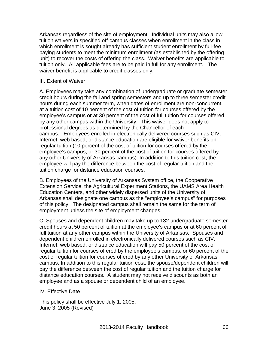Arkansas regardless of the site of employment. Individual units may also allow tuition waivers in specified off-campus classes when enrollment in the class in which enrollment is sought already has sufficient student enrollment by full-fee paying students to meet the minimum enrollment (as established by the offering unit) to recover the costs of offering the class. Waiver benefits are applicable to tuition only. All applicable fees are to be paid in full for any enrollment. The waiver benefit is applicable to credit classes only.

#### III. Extent of Waiver

A. Employees may take any combination of undergraduate or graduate semester credit hours during the fall and spring semesters and up to three semester credit hours during each summer term, when dates of enrollment are non-concurrent, at a tuition cost of 10 percent of the cost of tuition for courses offered by the employee's campus or at 30 percent of the cost of full tuition for courses offered by any other campus within the University. This waiver does not apply to professional degrees as determined by the Chancellor of each campus. Employees enrolled in electronically delivered courses such as CIV, Internet, web based, or distance education are eligible for waiver benefits on regular tuition (10 percent of the cost of tuition for courses offered by the employee's campus, or 30 percent of the cost of tuition for courses offered by any other University of Arkansas campus). In addition to this tuition cost, the employee will pay the difference between the cost of regular tuition and the tuition charge for distance education courses.

B. Employees of the University of Arkansas System office, the Cooperative Extension Service, the Agricultural Experiment Stations, the UAMS Area Health Education Centers, and other widely dispersed units of the University of Arkansas shall designate one campus as the "employee's campus" for purposes of this policy. The designated campus shall remain the same for the term of employment unless the site of employment changes.

C. Spouses and dependent children may take up to 132 undergraduate semester credit hours at 50 percent of tuition at the employee's campus or at 60 percent of full tuition at any other campus within the University of Arkansas. Spouses and dependent children enrolled in electronically delivered courses such as CIV, Internet, web based, or distance education will pay 50 percent of the cost of regular tuition for courses offered by the employee's campus, or 60 percent of the cost of regular tuition for courses offered by any other University of Arkansas campus. In addition to this regular tuition cost, the spouse/dependent children will pay the difference between the cost of regular tuition and the tuition charge for distance education courses. A student may not receive discounts as both an employee and as a spouse or dependent child of an employee.

#### IV. Effective Date

This policy shall be effective July 1, 2005. June 3, 2005 (Revised)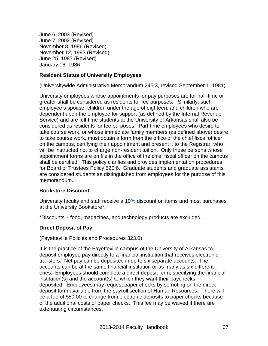June 6, 2003 (Revised) June 7, 2002 (Revised) November 8, 1996 (Revised) November 12, 1993 (Revised) June 25, 1987 (Revised) January 16, 1986

### **Resident Status of University Employees**

(Universitywide Administrative Memorandum 245.3, revised September 1, 1981)

University employees whose appointments for pay purposes are for half-time or greater shall be considered as residents for fee purposes. Similarly, such employee's spouse, children under the age of eighteen, and children who are dependent upon the employee for support (as defined by the Internal Revenue Service) and are full-time students at the University of Arkansas shall also be considered as residents for fee purposes. Part-time employees who desire to take course work, or whose immediate family members (as defined above) desire to take course work, must obtain a form from the office of the chief fiscal officer on the campus, certifying their appointment and present it to the Registrar, who will be instructed not to charge non-resident tuition. Only those persons whose appointment forms are on file in the office of the chief fiscal officer on the campus shall be certified. This policy clarifies and provides implementation procedures for Board of Trustees Policy 520.6. Graduate students and graduate assistants are considered students as distinguished from employees for the purpose of this memorandum.

## **Bookstore Discount**

University faculty and staff receive a 10% discount on items and most purchases at the University Bookstore\*.

\*Discounts – food, magazines, and technology products are excluded.

## **Direct Deposit of Pay**

#### (Fayetteville Policies and Procedures 323.0)

It is the practice of the Fayetteville campus of the University of Arkansas to deposit employee pay directly to a financial institution that receives electronic transfers. Net pay can be deposited in up to six separate accounts. The accounts can be at the same financial institution or as many as six different ones. Employees should complete a direct deposit form, specifying the financial institution(s) and the account(s) to which they want their paychecks deposited. Employees may request paper checks by so noting on the direct deposit form available from the payroll section of Human Resources. There will be a fee of \$50.00 to change from electronic deposits to paper checks because of the additional costs of paper checks. This fee may be waived if there are extenuating circumstances.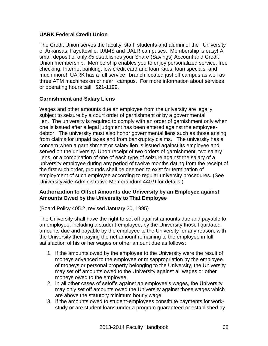## **UARK Federal Credit Union**

The Credit Union serves the faculty, staff, students and alumni of the University of Arkansas, Fayetteville, UAMS and UALR campuses. Membership is easy! A small deposit of only \$5 establishes your Share (Savings) Account and Credit Union membership. Membership enables you to enjoy personalized service, free checking, Internet banking, low credit card and loan rates, loan specials, and much more! UARK has a full service branch located just off campus as well as three ATM machines on or near campus. For more information about services or operating hours call 521-1199.

### **Garnishment and Salary Liens**

Wages and other amounts due an employee from the university are legally subject to seizure by a court order of garnishment or by a governmental lien. The university is required to comply with an order of garnishment only when one is issued after a legal judgment has been entered against the employeedebtor. The university must also honor governmental liens such as those arising from claims for unpaid taxes and from bankruptcy claims. The university has a concern when a garnishment or salary lien is issued against its employee and served on the university. Upon receipt of two orders of garnishment, two salary liens, or a combination of one of each type of seizure against the salary of a university employee during any period of twelve months dating from the receipt of the first such order, grounds shall be deemed to exist for termination of employment of such employee according to regular university procedures. (See Universitywide Administrative Memorandum 440.9 for details.)

### **Authorization to Offset Amounts due University by an Employee against Amounts Owed by the University to That Employee**

(Board Policy 405.2, revised January 20, 1995)

The University shall have the right to set off against amounts due and payable to an employee, including a student-employee, by the University those liquidated amounts due and payable by the employee to the University for any reason, with the University then paying the net amount remaining to the employee in full satisfaction of his or her wages or other amount due as follows:

- 1. If the amounts owed by the employee to the University were the result of moneys advanced to the employee or misappropriation by the employee of moneys or personal property belonging to the University, the University may set off amounts owed to the University against all wages or other moneys owed to the employee.
- 2. In all other cases of setoffs against an employee's wages, the University may only set off amounts owed the University against those wages which are above the statutory minimum hourly wage.
- 3. If the amounts owed to student-employees constitute payments for workstudy or are student loans under a program guaranteed or established by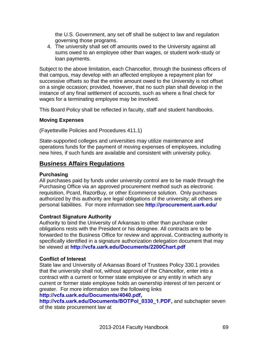the U.S. Government, any set off shall be subject to law and regulation governing those programs.

4. The university shall set off amounts owed to the University against all sums owed to an employee other than wages, or student work-study or loan payments.

Subject to the above limitation, each Chancellor, through the business officers of that campus, may develop with an affected employee a repayment plan for successive offsets so that the entire amount owed to the University is not offset on a single occasion; provided, however, that no such plan shall develop in the instance of any final settlement of accounts, such as where a final check for wages for a terminating employee may be involved.

This Board Policy shall be reflected in faculty, staff and student handbooks.

### **Moving Expenses**

(Fayetteville Policies and Procedures 411.1)

State-supported colleges and universities may utilize maintenance and operations funds for the payment of moving expenses of employees, including new hires, if such funds are available and consistent with university policy.

## **Business Affairs Regulations**

## **Purchasing**

All purchases paid by funds under university control are to be made through the Purchasing Office via an approved procurement method such as electronic requisition, Pcard, RazorBuy, or other Ecommerce solution. Only purchases authorized by this authority are legal obligations of the university; all others are personal liabilities. For more information see **<http://procurement.uark.edu/>**

## **Contract Signature Authority**

Authority to bind the University of Arkansas to other than purchase order obligations rests with the President or his designee. All contracts are to be forwarded to the Business Office for review and approval**.** Contracting authority is specifically identified in a signature authorization delegation document that may be viewed at **<http://vcfa.uark.edu/Documents/2200Chart.pdf>**

#### **Conflict of Interest**

State law and University of Arkansas Board of Trustees Policy 330.1 provides that the university shall not, without approval of the Chancellor, enter into a contract with a current or former state employee or any entity in which any current or former state employee holds an ownership interest of ten percent or greater. For more information see the following links

#### **<http://vcfa.uark.edu/Documents/4040.pdf>,**

**[http://vcfa.uark.edu/Documents/BOTPol\\_0330\\_1.PDF,](http://vcfa.uark.edu/Documents/BOTPol_0330_1.PDF)** and subchapter seven of the state procurement law at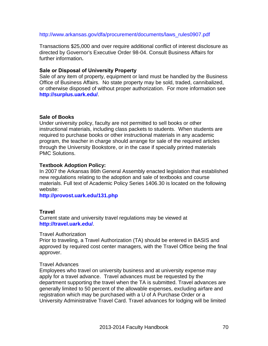#### [http://www.arkansas.gov/dfa/procurement/documents/laws\\_rules0907.pdf](http://www.arkansas.gov/dfa/procurement/documents/laws_rules0907.pdf)

Transactions \$25,000 and over require additional conflict of interest disclosure as directed by Governor's Executive Order 98-04. Consult Business Affairs for further information**.**

#### **Sale or Disposal of University Prop***e***rty**

Sale of any item of property, equipment or land must be handled by the Business Office of Business Affairs. No state property may be sold, traded, cannibalized, or otherwise disposed of without proper authorization. For more information see **<http://surplus.uark.edu/>**.

#### **Sale of Books**

Under university policy, faculty are not permitted to sell books or other instructional materials, including class packets to students. When students are required to purchase books or other instructional materials in any academic program, the teacher in charge should arrange for sale of the required articles through the University Bookstore, or in the case if specially printed materials PMC Solutions.

#### **Textbook Adoption Policy:**

In 2007 the Arkansas 86th General Assembly enacted legislation that established new regulations relating to the adoption and sale of textbooks and course materials. Full text of Academic Policy Series 1406.30 is located on the following website:

**<http://provost.uark.edu/131.php>**

#### **Travel**

Current state and university travel regulations may be viewed at **<http://travel.uark.edu/>**.

#### Travel Authorization

Prior to traveling, a Travel Authorization (TA) should be entered in BASIS and approved by required cost center managers, with the Travel Office being the final approver.

#### Travel Advances

Employees who travel on university business and at university expense may apply for a travel advance. Travel advances must be requested by the department supporting the travel when the TA is submitted. Travel advances are generally limited to 50 percent of the allowable expenses, excluding airfare and registration which may be purchased with a U of A Purchase Order or a University Administrative Travel Card. Travel advances for lodging will be limited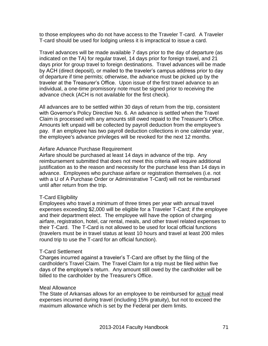to those employees who do not have access to the Traveler T-card. A Traveler T-card should be used for lodging unless it is impractical to issue a card.

Travel advances will be made available 7 days prior to the day of departure (as indicated on the TA) for regular travel, 14 days prior for foreign travel, and 21 days prior for group travel to foreign destinations. Travel advances will be made by ACH (direct deposit), or mailed to the traveler's campus address prior to day of departure if time permits; otherwise, the advance must be picked up by the traveler at the Treasurer's Office. Upon issue of the first travel advance to an individual, a one-time promissory note must be signed prior to receiving the advance check (ACH is not available for the first check).

All advances are to be settled within 30 days of return from the trip, consistent with Governor's Policy Directive No. 6. An advance is settled when the Travel Claim is processed with any amounts still owed repaid to the Treasurer's Office. Amounts left unpaid will be collected by payroll deduction from the employee's pay. If an employee has two payroll deduction collections in one calendar year, the employee's advance privileges will be revoked for the next 12 months.

#### Airfare Advance Purchase Requirement

Airfare should be purchased at least 14 days in advance of the trip. Any reimbursement submitted that does not meet this criteria will require additional justification as to the reason and necessity for the purchase less than 14 days in advance. Employees who purchase airfare or registration themselves (i.e. not with a U of A Purchase Order or Administrative T-Card) will not be reimbursed until after return from the trip.

#### T-Card Eligibility

Employees who travel a minimum of three times per year with annual travel expenses exceeding \$2,000 will be eligible for a Traveler T-Card; if the employee and their department elect. The employee will have the option of charging airfare, registration, hotel, car rental, meals, and other travel related expenses to their T-Card. The T-Card is not allowed to be used for local official functions (travelers must be in travel status at least 10 hours and travel at least 200 miles round trip to use the T-card for an official function).

#### T-Card Settlement

Charges incurred against a traveler's T-Card are offset by the filing of the cardholder's Travel Claim. The Travel Claim for a trip must be filed within five days of the employee's return. Any amount still owed by the cardholder will be billed to the cardholder by the Treasurer's Office.

#### Meal Allowance

The State of Arkansas allows for an employee to be reimbursed for actual meal expenses incurred during travel (including 15% gratuity), but not to exceed the maximum allowance which is set by the Federal per diem limits.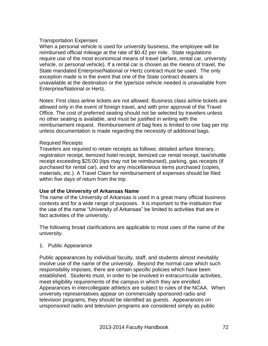### Transportation Expenses

When a personal vehicle is used for university business, the employee will be reimbursed official mileage at the rate of \$0.42 per mile. State regulations require use of the most economical means of travel (airfare, rental car, university vehicle, or personal vehicle). If a rental car is chosen as the means of travel, the State mandated Enterprise/National or Hertz contract must be used. The only exception made is in the event that one of the State contract dealers is unavailable at the destination or the type/size vehicle needed is unavailable from Enterprise/National or Hertz.

Notes: First class airline tickets are not allowed. Business class airline tickets are allowed only in the event of foreign travel, and with prior approval of the Travel Office. The cost of preferred seating should not be selected by travelers unless no other seating is available, and must be justified in writing with the reimbursement request. Reimbursement of bag fees is limited to one bag per trip unless documentation is made regarding the necessity of additional bags.

#### Required Receipts

Travelers are required to retain receipts as follows: detailed airfare itinerary, registration receipt, itemized hotel receipt, itemized car rental receipt, taxi/shuttle receipt exceeding \$25.00 (tips may not be reimbursed), parking, gas receipts (if purchased for rental car), and for any miscellaneous items purchased (copies, materials, etc.). A Travel Claim for reimbursement of expenses should be filed within five days of return from the trip.

#### **Use of the University of Arkansas Name**

The name of the University of Arkansas is used in a great many official business contexts and for a wide range of purposes. It is important to the institution that the use of the name "University of Arkansas" be limited to activities that are in fact activities of the university.

The following broad clarifications are applicable to most uses of the name of the university.

#### 1. Public Appearance

Public appearances by individual faculty, staff, and students almost inevitably involve use of the name of the university. Beyond the normal care which such responsibility imposes, there are certain specific policies which have been established. Students must, in order to be involved in extracurricular activities, meet eligibility requirements of the campus in which they are enrolled. Appearances in intercollegiate athletics are subject to rules of the NCAA. When university representatives appear on commercially sponsored radio and television programs, they should be identified as guests. Appearances on unsponsored radio and television programs are considered simply as public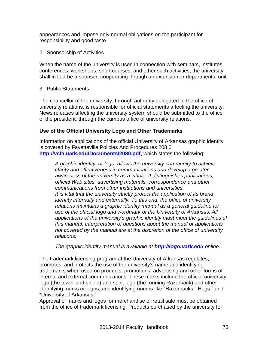appearances and impose only normal obligations on the participant for responsibility and good taste.

2. Sponsorship of Activities

When the name of the university is used in connection with seminars, institutes, conferences, workshops, short courses, and other such activities, the university shall in fact be a sponsor, cooperating through an extension or departmental unit.

3. Public Statements

The chancellor of the university, through authority delegated to the office of university relations, is responsible for official statements affecting the university. News releases affecting the university system should be submitted to the office of the president, through the campus office of university relations.

### **Use of the Official University Logo and Other Trademarks**

Information on applications of the official University of Arkansas graphic identity is covered by Fayetteville Policies And Procedures 208.0 **<http://vcfa.uark.edu/Documents/2080.pdf>**, which states the following:

*A graphic identity, or logo, allows the university community to achieve clarity and effectiveness in communications and develop a greater awareness of the university as a whole. It distinguishes publications, official Web sites, advertising materials, correspondence and other communications from other institutions and universities. It is vital that the university strictly protect the application of its brand identity internally and externally. To this end, the office of university relations maintains a graphic identity manual as a general guideline for use of the official logo and wordmark of the University of Arkansas. All applications of the university's graphic identity must meet the guidelines of this manual. Interpretation of questions about the manual or applications not covered by the manual are at the discretion of the office of university relations.*

*The graphic identity manual is available at [http://logo.uark.edu](http://logo.uark.edu/) online.*

The trademark licensing program at the University of Arkansas regulates, promotes, and protects the use of the university's name and identifying trademarks when used on products, promotions, advertising and other forms of internal and external communications. These marks include the official university logo (the tower and shield) and spirit logo (the running Razorback) and other identifying marks or logos, and identifying names like "Razorbacks," Hogs," and "University of Arkansas."

Approval of marks and logos for merchandise or retail sale must be obtained from the office of trademark licensing. Products purchased by the university for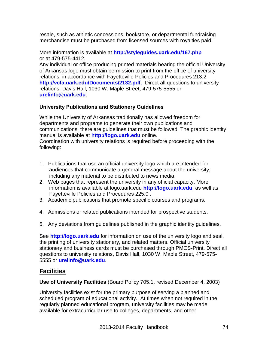resale, such as athletic concessions, bookstore, or departmental fundraising merchandise must be purchased from licensed sources with royalties paid.

More information is available at **<http://styleguides.uark.edu/167.php>** or at 479-575-4412.

Any individual or office producing printed materials bearing the official University of Arkansas logo must obtain permission to print from the office of university relations, in accordance with Fayetteville Policies and Procedures 213.2 **<http://vcfa.uark.edu/Documents/2132.pdf>**. Direct all questions to university relations, Davis Hall, 1030 W. Maple Street, 479-575-5555 or **[urelinfo@uark.edu](mailto:urelinfo@uark.edu)**.

### **University Publications and Stationery Guidelines**

While the University of Arkansas traditionally has allowed freedom for departments and programs to generate their own publications and communications, there are guidelines that must be followed. The graphic identity manual is available at **[http://logo.uark.edu](http://logo.uark.edu/)** online. Coordination with university relations is required before proceeding with the following:

- 1. Publications that use an official university logo which are intended for audiences that communicate a general message about the university, including any material to be distributed to news media.
- 2. Web pages that represent the university in any official capacity. More information is available at logo.uark.edu **[http://logo.uark.edu](http://logo.uark.edu/)**, as well as Fayetteville Policies and Procedures 225.0 .
- 3. Academic publications that promote specific courses and programs.
- 4. Admissions or related publications intended for prospective students.
- 5. Any deviations from guidelines published in the graphic identity guidelines.

See **[http://logo.uark.edu](http://logo.uark.edu/)** for information on use of the university logo and seal, the printing of university stationery, and related matters. Official university stationery and business cards must be purchased through PMCS-Print. Direct all questions to university relations, Davis Hall, 1030 W. Maple Street, 479-575- 5555 or **[urelinfo@uark.edu](mailto:urelinfo@uark.edu)**.

# **Facilities**

**Use of University Facilities** (Board Policy 705.1, revised December 4, 2003)

University facilities exist for the primary purpose of serving a planned and scheduled program of educational activity. At times when not required in the regularly planned educational program, university facilities may be made available for extracurricular use to colleges, departments, and other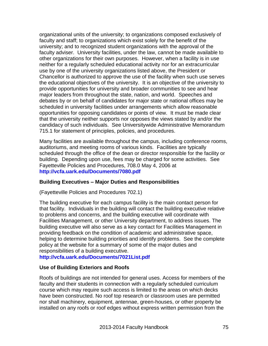organizational units of the university; to organizations composed exclusively of faculty and staff; to organizations which exist solely for the benefit of the university; and to recognized student organizations with the approval of the faculty adviser. University facilities, under the law, cannot be made available to other organizations for their own purposes. However, when a facility is in use neither for a regularly scheduled educational activity nor for an extracurricular use by one of the university organizations listed above, the President or Chancellor is authorized to approve the use of the facility when such use serves the educational objectives of the university. It is an objective of the university to provide opportunities for university and broader communities to see and hear major leaders from throughout the state, nation, and world. Speeches and debates by or on behalf of candidates for major state or national offices may be scheduled in university facilities under arrangements which allow reasonable opportunities for opposing candidates or points of view. It must be made clear that the university neither supports nor opposes the views stated by and/or the candidacy of such individuals. See Universitywide Administrative Memorandum 715.1 for statement of principles, policies, and procedures.

Many facilities are available throughout the campus, including conference rooms, auditoriums, and meeting rooms of various kinds. Facilities are typically scheduled through the office of the dean or director responsible for the facility or building. Depending upon use, fees may be charged for some activities. See Fayetteville Policies and Procedures, 708.0 May 4, 2006 at **<http://vcfa.uark.edu/Documents/7080.pdf>**

### **Building Executives – Major Duties and Responsibilities**

(Fayetteville Policies and Procedures 702.1)

The building executive for each campus facility is the main contact person for that facility. Individuals in the building will contact the building executive relative to problems and concerns, and the building executive will coordinate with Facilities Management, or other University department, to address issues. The building executive will also serve as a key contact for Facilities Management in providing feedback on the condition of academic and administrative space, helping to determine building priorities and identify problems. See the complete policy at the website for a summary of some of the major duties and responsibilities of a building executive.

**<http://vcfa.uark.edu/Documents/7021List.pdf>**

### **Use of Building Exteriors and Roofs**

Roofs of buildings are not intended for general uses. Access for members of the faculty and their students in connection with a regularly scheduled curriculum course which may require such access is limited to the areas on which decks have been constructed. No roof top research or classroom uses are permitted nor shall machinery, equipment, antennae, green-houses, or other property be installed on any roofs or roof edges without express written permission from the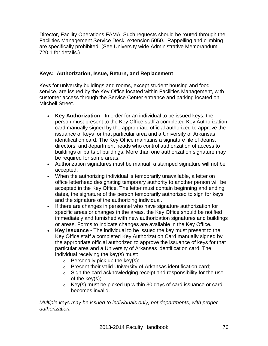Director, Facility Operations FAMA. Such requests should be routed through the Facilities Management Service Desk, extension 5050. Rappelling and climbing are specifically prohibited. (See University wide Administrative Memorandum 720.1 for details.)

### **Keys: Authorization, Issue, Return, and Replacement**

Keys for university buildings and rooms, except student housing and food service, are issued by the Key Office located within Facilities Management, with customer access through the Service Center entrance and parking located on Mitchell Street.

- **Key Authorization** In order for an individual to be issued keys, the person must present to the Key Office staff a completed Key Authorization card manually signed by the appropriate official authorized to approve the issuance of keys for that particular area and a University of Arkansas identification card. The Key Office maintains a signature file of deans, directors, and department heads who control authorization of access to buildings or parts of buildings. More than one authorization signature may be required for some areas.
- Authorization signatures must be manual; a stamped signature will not be accepted.
- When the authorizing individual is temporarily unavailable, a letter on office letterhead designating temporary authority to another person will be accepted in the Key Office. The letter must contain beginning and ending dates, the signature of the person temporarily authorized to sign for keys, and the signature of the authorizing individual.
- If there are changes in personnel who have signature authorization for specific areas or changes in the areas, the Key Office should be notified immediately and furnished with new authorization signatures and buildings or areas. Forms to indicate changes are available in the Key Office.
- **Key Issuance** The individual to be issued the key must present to the Key Office staff a completed Key Authorization Card manually signed by the appropriate official authorized to approve the issuance of keys for that particular area and a University of Arkansas identification card. The individual receiving the key(s) must:
	- $\circ$  Personally pick up the key(s);
	- o Present their valid University of Arkansas identification card;
	- $\circ$  Sign the card acknowledging receipt and responsibility for the use of the key(s);
	- $\circ$  Key(s) must be picked up within 30 days of card issuance or card becomes invalid.

*Multiple keys may be issued to individuals only, not departments, with proper authorization.*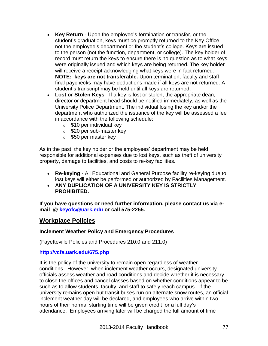- **Key Return** Upon the employee's termination or transfer, or the student's graduation, keys must be promptly returned to the Key Office, not the employee's department or the student's college. Keys are issued to the person (not the function, department, or college). The key holder of record must return the keys to ensure there is no question as to what keys were originally issued and which keys are being returned. The key holder will receive a receipt acknowledging what keys were in fact returned. **NOTE: keys are not transferable.** Upon termination, faculty and staff final paychecks may have deductions made if all keys are not returned. A student's transcript may be held until all keys are returned.
- **Lost or Stolen Keys** If a key is lost or stolen, the appropriate dean, director or department head should be notified immediately, as well as the University Police Department. The individual losing the key and/or the department who authorized the issuance of the key will be assessed a fee in accordance with the following schedule:
	- $\circ$  \$10 per individual key
	- o \$20 per sub-master key
	- o \$50 per master key

As in the past, the key holder or the employees' department may be held responsible for additional expenses due to lost keys, such as theft of university property, damage to facilities, and costs to re-key facilities.

- **Re-keying** All Educational and General Purpose facility re-keying due to lost keys will either be performed or authorized by Facilities Management.
- **ANY DUPLICATION OF A UNIVERSITY KEY IS STRICTLY PROHIBITED.**

**If you have questions or need further information, please contact us via [e](mailto:keyoffice@uafphpl.uark.edu)[mail](mailto:keyoffice@uafphpl.uark.edu) @ [keyofc@uark.edu](mailto:keyoffice@uafphpl.uark.edu) or call 575-2255.**

### **Workplace Policies**

### **Inclement Weather Policy and Emergency Procedures**

(Fayetteville Policies and Procedures 210.0 and 211.0)

### **<http://vcfa.uark.edu/675.php>**

It is the policy of the university to remain open regardless of weather conditions. However, when inclement weather occurs, designated university officials assess weather and road conditions and decide whether it is necessary to close the offices and cancel classes based on whether conditions appear to be such as to allow students, faculty, and staff to safely reach campus. If the university remains open but transit buses run on alternate snow routes, an official inclement weather day will be declared, and employees who arrive within two hours of their normal starting time will be given credit for a full day's attendance. Employees arriving later will be charged the full amount of time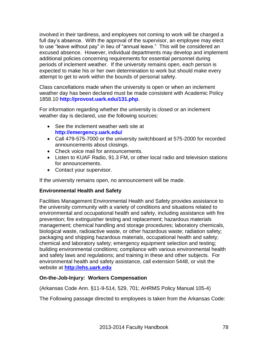involved in their tardiness, and employees not coming to work will be charged a full day's absence. With the approval of the supervisor, an employee may elect to use "leave without pay" in lieu of "annual leave." This will be considered an excused absence. However, individual departments may develop and implement additional policies concerning requirements for essential personnel during periods of inclement weather. If the university remains open, each person is expected to make his or her own determination to work but should make every attempt to get to work within the bounds of personal safety.

Class cancellations made when the university is open or when an inclement weather day has been declared must be made consistent with Academic Policy 1858.10 **<http://provost.uark.edu/131.php>**.

For information regarding whether the university is closed or an inclement weather day is declared, use the following sources:

- See the inclement weather web site at **<http://emergency.uark.edu/>**
- Call 479-575-7000 or the university switchboard at 575-2000 for recorded announcements about closings.
- Check voice mail for announcements.
- Listen to KUAF Radio, 91.3 FM, or other local radio and television stations for announcements.
- Contact your supervisor.

If the university remains open, no announcement will be made.

### **Environmental Health and Safety**

Facilities Management Environmental Health and Safety provides assistance to the university community with a variety of conditions and situations related to environmental and occupational health and safety, including assistance with fire prevention; fire extinguisher testing and replacement; hazardous materials management; chemical handling and storage procedures; laboratory chemicals, biological waste, radioactive waste, or other hazardous waste; radiation safety; packaging and shipping hazardous materials, occupational health and safety; chemical and laboratory safety; emergency equipment selection and testing; building environmental conditions; compliance with various environmental health and safety laws and regulations; and training in these and other subjects. For environmental health and safety assistance, call extension 5448, or visit the website at **[http://ehs.uark.edu](http://ehs.uark.edu/)**

### **On-the-Job-Injury: Workers Compensation**

(Arkansas Code Ann. §11-9-514, 529, 701; AHRMS Policy Manual 105-4)

The Following passage directed to employees is taken from the Arkansas Code: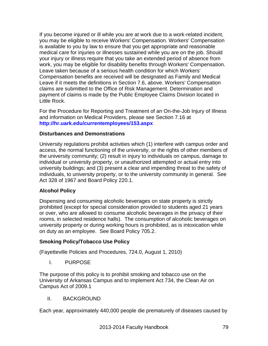If you become injured or ill while you are at work due to a work-related incident, you may be eligible to receive Workers' Compensation. Workers' Compensation is available to you by law to ensure that you get appropriate and reasonable medical care for injuries or illnesses sustained while you are on the job. Should your injury or illness require that you take an extended period of absence from work, you may be eligible for disability benefits through Workers' Compensation. Leave taken because of a serious health condition for which Workers' Compensation benefits are received will be designated as Family and Medical Leave if it meets the definitions in Section 7.6, above. Workers' Compensation claims are submitted to the Office of Risk Management. Determination and payment of claims is made by the Public Employee Claims Division located in Little Rock.

For the Procedure for Reporting and Treatment of an On-the-Job Injury of Illness and information on Medical Providers, please see Section 7.16 at **<http://hr.uark.edu/currentemployees/153.aspx>**

### **Disturbances and Demonstrations**

University regulations prohibit activities which (1) interfere with campus order and access, the normal functioning of the university, or the rights of other members of the university community; (2) result in injury to individuals on campus, damage to individual or university property, or unauthorized attempted or actual entry into university buildings; and (3) present a clear and impending threat to the safety of individuals, to university property, or to the university community in general. See Act 328 of 1967 and Board Policy 220.1.

### **Alcohol Policy**

Dispensing and consuming alcoholic beverages on state property is strictly prohibited (except for special consideration provided to students aged 21 years or over, who are allowed to consume alcoholic beverages in the privacy of their rooms, in selected residence halls). The consumption of alcoholic beverages on university property or during working hours is prohibited, as is intoxication while on duty as an employee. See Board Policy 705.2.

### **Smoking Policy/Tobacco Use Policy**

(Fayetteville Policies and Procedures, 724.0, August 1, 2010)

I. PURPOSE

The purpose of this policy is to prohibit smoking and tobacco use on the University of Arkansas Campus and to implement Act 734, the Clean Air on Campus Act of 2009.1

### II. BACKGROUND

Each year, approximately 440,000 people die prematurely of diseases caused by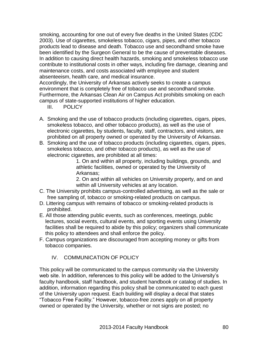smoking, accounting for one out of every five deaths in the United States (CDC 2003). Use of cigarettes, smokeless tobacco, cigars, pipes, and other tobacco products lead to disease and death. Tobacco use and secondhand smoke have been identified by the Surgeon General to be the cause of preventable diseases. In addition to causing direct health hazards, smoking and smokeless tobacco use contribute to institutional costs in other ways, including fire damage, cleaning and maintenance costs, and costs associated with employee and student absenteeism, health care, and medical insurance.

Accordingly, the University of Arkansas actively seeks to create a campus environment that is completely free of tobacco use and secondhand smoke. Furthermore, the Arkansas Clean Air on Campus Act prohibits smoking on each campus of state-supported institutions of higher education.

- III. POLICY
- A. Smoking and the use of tobacco products (including cigarettes, cigars, pipes, smokeless tobacco, and other tobacco products), as well as the use of electronic cigarettes, by students, faculty, staff, contractors, and visitors, are prohibited on all property owned or operated by the University of Arkansas.
- B. Smoking and the use of tobacco products (including cigarettes, cigars, pipes, smokeless tobacco, and other tobacco products), as well as the use of electronic cigarettes, are prohibited at all times:

1. On and within all property, including buildings, grounds, and athletic facilities, owned or operated by the University of Arkansas;

2. On and within all vehicles on University property, and on and within all University vehicles at any location.

- C. The University prohibits campus-controlled advertising, as well as the sale or free sampling of, tobacco or smoking-related products on campus.
- D. Littering campus with remains of tobacco or smoking-related products is prohibited.
- E. All those attending public events, such as conferences, meetings, public lectures, social events, cultural events, and sporting events using University facilities shall be required to abide by this policy; organizers shall communicate this policy to attendees and shall enforce the policy.
- F. Campus organizations are discouraged from accepting money or gifts from tobacco companies.

### IV. COMMUNICATION OF POLICY

This policy will be communicated to the campus community via the University web site. In addition, references to this policy will be added to the University's faculty handbook, staff handbook, and student handbook or catalog of studies. In addition, information regarding this policy shall be communicated to each guest of the University upon request. Each building will display a decal that states "Tobacco Free Facility." However, tobacco-free zones apply on all property owned or operated by the University, whether or not signs are posted; no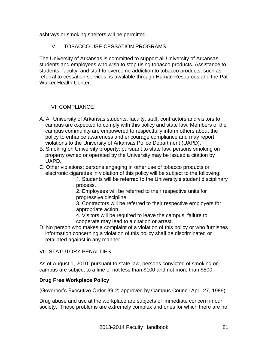ashtrays or smoking shelters will be permitted.

### V. TOBACCO USE CESSATION PROGRAMS

The University of Arkansas is committed to support all University of Arkansas students and employees who wish to stop using tobacco products. Assistance to students, faculty, and staff to overcome addiction to tobacco products, such as referral to cessation services, is available through Human Resources and the Pat Walker Health Center.

### VI. COMPLIANCE

- A. All University of Arkansas students, faculty, staff, contractors and visitors to campus are expected to comply with this policy and state law. Members of the campus community are empowered to respectfully inform others about the policy to enhance awareness and encourage compliance and may report violations to the University of Arkansas Police Department (UAPD).
- B. Smoking on University property: pursuant to state law, persons smoking on property owned or operated by the University may be issued a citation by UAPD.
- C. Other violations: persons engaging in other use of tobacco products or electronic cigarettes in violation of this policy will be subject to the following:

1. Students will be referred to the University's student disciplinary process.

2. Employees will be referred to their respective units for progressive discipline.

3. Contractors will be referred to their respective employers for appropriate action.

4. Visitors will be required to leave the campus; failure to cooperate may lead to a citation or arrest.

D. No person who makes a complaint of a violation of this policy or who furnishes information concerning a violation of this policy shall be discriminated or retaliated against in any manner.

### VII. STATUTORY PENALTIES

As of August 1, 2010, pursuant to state law, persons convicted of smoking on campus are subject to a fine of not less than \$100 and not more than \$500.

### **Drug Free Workplace Policy**

(Governor's Executive Order 89-2; approved by Campus Council April 27, 1989)

Drug abuse and use at the workplace are subjects of immediate concern in our society. These problems are extremely complex and ones for which there are no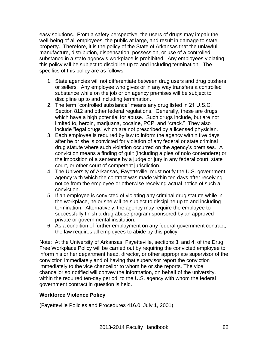easy solutions. From a safety perspective, the users of drugs may impair the well-being of all employees, the public at large, and result in damage to state property. Therefore, it is the policy of the State of Arkansas that the unlawful manufacture, distribution, dispensation, possession, or use of a controlled substance in a state agency's workplace is prohibited. Any employees violating this policy will be subject to discipline up to and including termination. The specifics of this policy are as follows:

- 1. State agencies will not differentiate between drug users and drug pushers or sellers. Any employee who gives or in any way transfers a controlled substance while on the job or on agency premises will be subject to discipline up to and including termination.
- 2. The term "controlled substance" means any drug listed in 21 U.S.C. Section 812 and other federal regulations. Generally, these are drugs which have a high potential for abuse. Such drugs include, but are not limited to, heroin, marijuana, cocaine, PCP, and "crack." They also include "legal drugs" which are not prescribed by a licensed physician.
- 3. Each employee is required by law to inform the agency within five days after he or she is convicted for violation of any federal or state criminal drug statute where such violation occurred on the agency's premises. A conviction means a finding of guilt (including a plea of nolo contendere) or the imposition of a sentence by a judge or jury in any federal court, state court, or other court of competent jurisdiction.
- 4. The University of Arkansas, Fayetteville, must notify the U.S. government agency with which the contract was made within ten days after receiving notice from the employee or otherwise receiving actual notice of such a conviction.
- 5. If an employee is convicted of violating any criminal drug statute while in the workplace, he or she will be subject to discipline up to and including termination. Alternatively, the agency may require the employee to successfully finish a drug abuse program sponsored by an approved private or governmental institution.
- 6. As a condition of further employment on any federal government contract, the law requires all employees to abide by this policy.

Note: At the University of Arkansas, Fayetteville, sections 3. and 4. of the Drug Free Workplace Policy will be carried out by requiring the convicted employee to inform his or her department head, director, or other appropriate supervisor of the conviction immediately and of having that supervisor report the conviction immediately to the vice chancellor to whom he or she reports. The vice chancellor so notified will convey the information, on behalf of the university, within the required ten-day period, to the U.S. agency with whom the federal government contract in question is held.

### **Workforce Violence Policy**

(Fayetteville Policies and Procedures 416.0, July 1, 2001)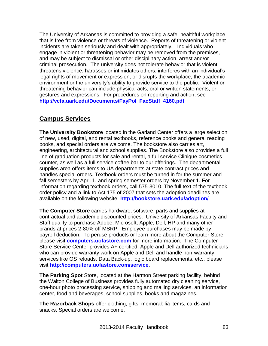The University of Arkansas is committed to providing a safe, healthful workplace that is free from violence or threats of violence. Reports of threatening or violent incidents are taken seriously and dealt with appropriately. Individuals who engage in violent or threatening behavior may be removed from the premises, and may be subject to dismissal or other disciplinary action, arrest and/or criminal prosecution. The university does not tolerate behavior that is violent, threatens violence, harasses or intimidates others, interferes with an individual's legal rights of movement or expression, or disrupts the workplace, the academic environment or the university's ability to provide service to the public. Violent or threatening behavior can include physical acts, oral or written statements, or gestures and expressions. For procedures on reporting and action, see **[http://vcfa.uark.edu/Documents/FayPol\\_FacStaff\\_4160.pdf](http://vcfa.uark.edu/Documents/FayPol_FacStaff_4160.pdf)**

# **Campus Services**

**The University Bookstore** located in the Garland Center offers a large selection of new, used, digital, and rental textbooks, reference books and general reading books, and special orders are welcome. The bookstore also carries art, engineering, architectural and school supplies. The Bookstore also provides a full line of graduation products for sale and rental, a full service Clinique cosmetics counter, as well as a full service coffee bar to our offerings. The departmental supplies area offers items to UA departments at state contract prices and handles special orders. Textbook orders must be turned in for the summer and fall semesters by April 1, and spring semester orders by November 1. For information regarding textbook orders, call 575-3010. The full text of the textbook order policy and a link to Act 175 of 2007 that sets the adoption deadlines are available on the following website: **<http://bookstore.uark.edu/adoption/>**

**The Computer Store** carries hardware, software, parts and supplies at contractual and academic discounted prices. University of Arkansas Faculty and Staff qualify to purchase Adobe, Microsoft, Apple, Dell, HP and many other brands at prices 2-80% off MSRP. Employee purchases may be made by payroll deduction. To peruse products or learn more about the Computer Store please visit **<computers.uofastore.com>** for more information. The Computer Store Service Center provides A+ certified, Apple and Dell authorized technicians who can provide warranty work on Apple and Dell and handle non-warranty services like OS reloads, Data Back-up, logic board replacements, etc., please visit **<http://computers.uofastore.com/service>**.

**The Parking Spot** Store, located at the Harmon Street parking facility, behind the Walton College of Business provides fully automated dry cleaning service, one-hour photo processing service, shipping and mailing services, an information center, food and beverages, school supplies, books and magazines.

**The Razorback Shops** offer clothing, gifts, memorabilia items, cards and snacks. Special orders are welcome.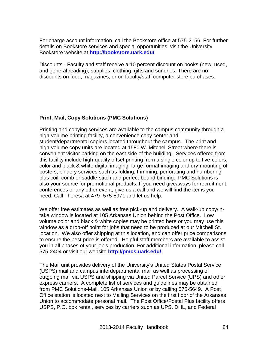For charge account information, call the Bookstore office at 575-2156. For further details on Bookstore services and special opportunities, visit the University Bookstore website at **<http://bookstore.uark.edu/>**

Discounts - Faculty and staff receive a 10 percent discount on books (new, used, and general reading), supplies, clothing, gifts and sundries. There are no discounts on food, magazines, or on faculty/staff computer store purchases.

### **Print, Mail, Copy Solutions (PMC Solutions)**

Printing and copying services are available to the campus community through a high-volume printing facility, a convenience copy center and student/departmental copiers located throughout the campus. The print and high-volume copy units are located at 1580 W. Mitchell Street where there is convenient visitor parking on the east side of the building. Services offered from this facility include high-quality offset printing from a single color up to five-colors, color and black & white digital imaging, large format imaging and dry-mounting of posters, bindery services such as folding, trimming, perforating and numbering plus coil, comb or saddle-stitch and perfect-bound binding. PMC Solutions is also your source for promotional products. If you need giveaways for recruitment, conferences or any other event, give us a call and we will find the items you need. Call Theresa at 479- 575-5971 and let us help.

We offer free estimates as well as free pick-up and delivery. A walk-up copy/intake window is located at 105 Arkansas Union behind the Post Office. Low volume color and black & white copies may be printed here or you may use this window as a drop-off point for jobs that need to be produced at our Mitchell St. location. We also offer shipping at this location, and can offer price comparisons to ensure the best price is offered. Helpful staff members are available to assist you in all phases of your job's production. For additional information, please call 575-2404 or visit our website **<http://pmcs.uark.edu/>**.

The Mail unit provides delivery of the University's United States Postal Service (USPS) mail and campus interdepartmental mail as well as processing of outgoing mail via USPS and shipping via United Parcel Service (UPS) and other express carriers. A complete list of services and guidelines may be obtained from PMC Solutions-Mail, 105 Arkansas Union or by calling 575-5649. A Post Office station is located next to Mailing Services on the first floor of the Arkansas Union to accommodate personal mail. The Post Office/Postal Plus facility offers USPS, P.O. box rental, services by carriers such as UPS, DHL, and Federal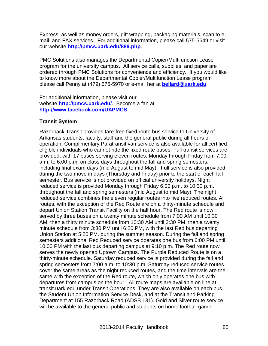Express, as well as money orders, gift wrapping, packaging materials, scan to email, and FAX services. For additional information, please call 575-5649 or visit our website **<http://pmcs.uark.edu/889.php>**.

PMC Solutions also manages the Departmental Copier/Multifunction Lease program for the university campus. All service calls, supplies, and paper are ordered through PMC Solutions for convenience and efficiency. If you would like to know more about the Departmental Copier/Multifunction Lease program please call Penny at (479) 575-5970 or e-mail her at **[bellard@uark.edu](mailto:bellard@uark.edu)**.

For additional information, please visit our website **<http://pmcs.uark.edu/>**. Become a fan at **<http://www.facebook.com/UAPMCS>**

#### **Transit System**

Razorback Transit provides fare-free fixed route bus service to University of Arkansas students, faculty, staff and the general public during all hours of operation. Complimentary Paratransit van service is also available for all certified eligible individuals who cannot ride the fixed route buses. Full transit services are provided, with 17 buses serving eleven routes, Monday through Friday from 7:00 a.m. to 6:00 p.m. on class days throughout the fall and spring semesters, including final exam days (mid August to mid May). Full service is also provided during the two move in days (Thursday and Friday) prior to the start of each fall semester. Bus service is not provided on official university holidays. Night reduced service is provided Monday through Friday 6:00 p.m. to 10:30 p.m. throughout the fall and spring semesters (mid August to mid May). The night reduced service combines the eleven regular routes into five reduced routes. All routes, with the exception of the Red Route are on a thirty-minute schedule and depart Union Station Transit Facility on the half hour. The Red route is now served by three buses on a twenty minute schedule from 7:00 AM until 10:30 AM, then a thirty minute schedule from 10:30 AM until 3:30 PM, then a twenty minute schedule from 3:30 PM until 6:20 PM, with the last Red bus departing Union Station at 5:20 PM. during the summer season. During the fall and spring semesters additional Red Reduced service operates one bus from 6:00 PM until 10:00 PM with the last bus departing campus at 9:10 p.m. The Red route now serves the newly opened Uptown Campus. The Purple Reduced Route is on a thirty-minute schedule. Saturday reduced service is provided during the fall and spring semesters from 7:00 a.m. to 10:30 p.m. Saturday reduced service routes cover the same areas as the night reduced routes, and the time intervals are the same with the exception of the Red route, which only operates one bus with departures from campus on the hour. All route maps are available on line at transit.uark.edu under Transit Operations. They are also available on each bus, the Student Union Information Service Desk, and at the Transit and Parking Department at 155 Razorback Road (ADSB 131). Gold and Silver route service will be available to the general public and students on home football game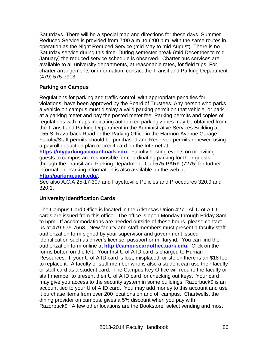Saturdays. There will be a special map and directions for these days. Summer Reduced Service is provided from 7:00 a.m. to 6:00 p.m. with the same routes in operation as the Night Reduced Service (mid May to mid August). There is no Saturday service during this time. During semester break (mid December to mid January) the reduced service schedule is observed. Charter bus services are available to all university departments, at reasonable rates, for field trips. For charter arrangements or information, contact the Transit and Parking Department (479) 575-7913.

### **Parking on Campus**

Regulations for parking and traffic control, with appropriate penalties for violations, have been approved by the Board of Trustees. Any person who parks a vehicle on campus must display a valid parking permit on that vehicle, or park at a parking meter and pay the posted meter fee. Parking permits and copies of regulations with maps indicating authorized parking zones may be obtained from the Transit and Parking Department in the Administrative Services Building at 155 S. Razorback Road or the Parking Office in the Harmon Avenue Garage. Faculty/Staff permits should be purchased and Reserved permits renewed using a payroll deduction plan or credit card on the Internet at

**[https://myparkingaccount.uark.edu](https://myparkingaccount.uark.edu/)**. Faculty hosting events on or inviting guests to campus are responsible for coordinating parking for their guests through the Transit and Parking Department. Call 575-PARK (7275) for further information. Parking information is also available on the web at **<http://parking.uark.edu/>**.

See also A.C.A 25-17-307 and Fayetteville Policies and Procedures 320.0 and 320.1.

### **University Identification Cards**

The Campus Card Office is located in the Arkansas Union 427. All U of A ID cards are issued from this office. The office is open Monday through Friday 8am to 5pm. If accommodations are needed outside of these hours, please contact us at 479-575-7563. New faculty and staff members must present a faculty staff authorization form signed by your supervisor and government issued identification such as driver's license, passport or military id. You can find the authorization form online at **[http://campuscardoffice.uark.edu](http://campuscardoffice.uark.edu/)**. Click on the forms button on the left. Your first U of A ID card is charged to Human Resources. If your U of A ID card is lost, misplaced, or stolen there is an \$18 fee to replace it. A faculty or staff member who is also a student can use their faculty or staff card as a student card. The Campus Key Office will require the faculty or staff member to present their U of A ID card for checking out keys. Your card may give you access to the security system in some buildings. Razorbuck\$ is an account tied to your U of A ID card. You may add money to this account and use it purchase items from over 200 locations on and off campus. Chartwells, the dining provider on campus, gives a 5% discount when you pay with Razorbuck\$. A few other locations are the Bookstore, select vending and most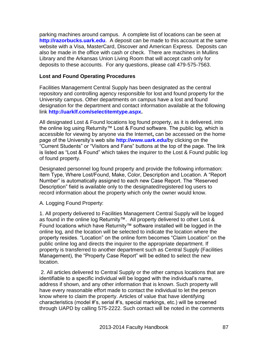parking machines around campus. A complete list of locations can be seen at **[http://razorbucks.uark.edu](http://razorbucks.uark.edu/)**. A deposit can be made to this account at the same website with a Visa, MasterCard, Discover and American Express. Deposits can also be made in the office with cash or check. There are machines in Mullins Library and the Arkansas Union Living Room that will accept cash only for deposits to these accounts. For any questions, please call 479-575-7563.

### **Lost and Found Operating Procedures**

Facilities Management Central Supply has been designated as the central repository and controlling agency responsible for lost and found property for the University campus. Other departments on campus have a lost and found designation for the department and contact information available at the following link **[http://uarklf.com/selectitemtype.aspx.](http://uarklf.com/selectitemtype.aspx)**

All designated Lost & Found locations log found property, as it is delivered, into the online log using Returnity™ Lost & Found software. The public log, which is accessible for viewing by anyone via the Internet**,** can be accessed on the home page of the University's web site **<http://www.uark.edu/>**by clicking on the "Current Students" or "Visitors and Fans" buttons at the top of the page. The link is listed as "Lost & Found" which takes the inquirer to the Lost & Found public log of found property.

Designated personnel log found property and provide the following information: Item Type, Where Lost/Found, Make, Color, Description and Location. A "Report Number" is automatically assigned to each new Case Report. The "Reserved Description" field is available only to the designated/registered log users to record information about the property which only the owner would know.

A. Logging Found Property:

1. All property delivered to Facilities Management Central Supply will be logged as found in the online log Returnity™. All property delivered to other Lost & Found locations which have Returnity™ software installed will be logged in the online log, and the location will be selected to indicate the location where the property resides. "Location" on the online form becomes "Claim Location" on the public online log and directs the inquirer to the appropriate department. If property is transferred to another department such as Central Supply (Facilities Management), the "Property Case Report" will be edited to select the new location.

2. All articles delivered to Central Supply or the other campus locations that are identifiable to a specific individual will be logged with the individual's name, address if shown, and any other information that is known. Such property will have every reasonable effort made to contact the individual to let the person know where to claim the property. Articles of value that have identifying characteristics (model #'s, serial #'s, special markings, etc.) will be screened through UAPD by calling 575-2222. Such contact will be noted in the comments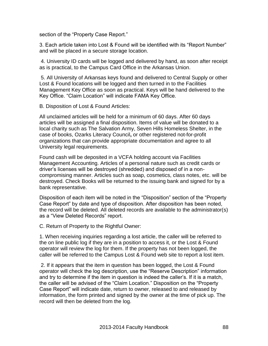section of the "Property Case Report."

3. Each article taken into Lost & Found will be identified with its "Report Number" and will be placed in a secure storage location.

4. University ID cards will be logged and delivered by hand, as soon after receipt as is practical, to the Campus Card Office in the Arkansas Union.

5. All University of Arkansas keys found and delivered to Central Supply or other Lost & Found locations will be logged and then turned in to the Facilities Management Key Office as soon as practical. Keys will be hand delivered to the Key Office. "Claim Location" will indicate FAMA Key Office.

B. Disposition of Lost & Found Articles:

All unclaimed articles will be held for a minimum of 60 days. After 60 days articles will be assigned a final disposition. Items of value will be donated to a local charity such as The Salvation Army, Seven Hills Homeless Shelter, in the case of books, Ozarks Literacy Council**,** or other registered not-for-profit organizations that can provide appropriate documentation and agree to all University legal requirements.

Found cash will be deposited in a VCFA holding account via Facilities Management Accounting. Articles of a personal nature such as credit cards or driver's licenses will be destroyed (shredded) and disposed of in a noncompromising manner. Articles such as soap, cosmetics, class notes, etc. will be destroyed. Check Books will be returned to the issuing bank and signed for by a bank representative.

Disposition of each item will be noted in the "Disposition" section of the "Property Case Report" by date and type of disposition. After disposition has been noted, the record will be deleted. All deleted records are available to the administrator(s) as a "View Deleted Records" report.

C. Return of Property to the Rightful Owner:

1. When receiving inquiries regarding a lost article, the caller will be referred to the on line public log if they are in a position to access it, or the Lost & Found operator will review the log for them. If the property has not been logged, the caller will be referred to the Campus Lost & Found web site to report a lost item.

2. If it appears that the item in question has been logged, the Lost & Found operator will check the log description, use the "Reserve Description" information and try to determine if the item in question is indeed the caller's. If it is a match, the caller will be advised of the "Claim Location." Disposition on the "Property Case Report" will indicate date, return to owner, released to and released by information, the form printed and signed by the owner at the time of pick up. The record will then be deleted from the log.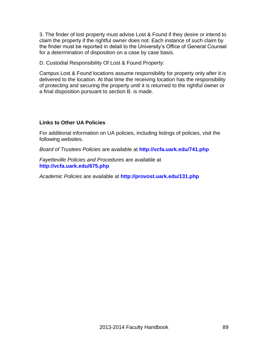3. The finder of lost property must advise Lost & Found if they desire or intend to claim the property if the rightful owner does not. Each instance of such claim by the finder must be reported in detail to the University's Office of General Counsel for a determination of disposition on a case by case basis.

D. Custodial Responsibility Of Lost & Found Property:

Campus Lost & Found locations assume responsibility for property only after it is delivered to the location. At that time the receiving location has the responsibility of protecting and securing the property until it is returned to the rightful owner or a final disposition pursuant to section B. is made.

### **Links to Other UA Policies**

For additional information on UA policies, including listings of policies, visit the following websites.

*Board of Trustees Policies* are available at **<http://vcfa.uark.edu/741.php>**

*Fayetteville Policies and Procedures* are available at **<http://vcfa.uark.edu/675.php>**

*Academic Policies* are available at **<http://provost.uark.edu/131.php>**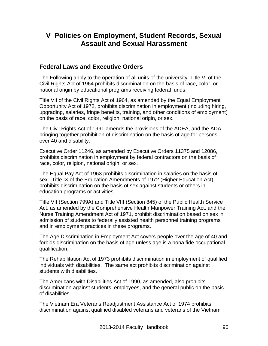# **V Policies on Employment, Student Records, Sexual Assault and Sexual Harassment**

# **Federal Laws and Executive Orders**

The Following apply to the operation of all units of the university: Title VI of the Civil Rights Act of 1964 prohibits discrimination on the basis of race, color, or national origin by educational programs receiving federal funds.

Title VII of the Civil Rights Act of 1964, as amended by the Equal Employment Opportunity Act of 1972, prohibits discrimination in employment (including hiring, upgrading, salaries, fringe benefits, training, and other conditions of employment) on the basis of race, color, religion, national origin, or sex.

The Civil Rights Act of 1991 amends the provisions of the ADEA, and the ADA, bringing together prohibition of discrimination on the basis of age for persons over 40 and disability.

Executive Order 11246, as amended by Executive Orders 11375 and 12086, prohibits discrimination in employment by federal contractors on the basis of race, color, religion, national origin, or sex.

The Equal Pay Act of 1963 prohibits discrimination in salaries on the basis of sex. Title IX of the Education Amendments of 1972 (Higher Education Act) prohibits discrimination on the basis of sex against students or others in education programs or activities.

Title VII (Section 799A) and Title VIII (Section 845) of the Public Health Service Act, as amended by the Comprehensive Health Manpower Training Act, and the Nurse Training Amendment Act of 1971, prohibit discrimination based on sex in admission of students to federally assisted health personnel training programs and in employment practices in these programs.

The Age Discrimination in Employment Act covers people over the age of 40 and forbids discrimination on the basis of age unless age is a bona fide occupational qualification.

The Rehabilitation Act of 1973 prohibits discrimination in employment of qualified individuals with disabilities. The same act prohibits discrimination against students with disabilities.

The Americans with Disabilities Act of 1990, as amended, also prohibits discrimination against students, employees, and the general public on the basis of disabilities.

The Vietnam Era Veterans Readjustment Assistance Act of 1974 prohibits discrimination against qualified disabled veterans and veterans of the Vietnam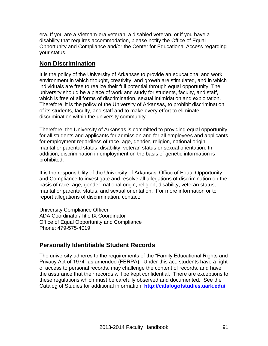era. If you are a Vietnam-era veteran, a disabled veteran, or if you have a disability that requires accommodation, please notify the Office of Equal Opportunity and Compliance and/or the Center for Educational Access regarding your status.

# **Non Discrimination**

It is the policy of the University of Arkansas to provide an educational and work environment in which thought, creativity, and growth are stimulated, and in which individuals are free to realize their full potential through equal opportunity. The university should be a place of work and study for students, faculty, and staff, which is free of all forms of discrimination, sexual intimidation and exploitation. Therefore, it is the policy of the University of Arkansas, to prohibit discrimination of its students, faculty, and staff and to make every effort to eliminate discrimination within the university community.

Therefore, the University of Arkansas is committed to providing equal opportunity for all students and applicants for admission and for all employees and applicants for employment regardless of race, age, gender, religion, national origin, marital or parental status, disability, veteran status or sexual orientation. In addition, discrimination in employment on the basis of genetic information is prohibited.

It is the responsibility of the University of Arkansas' Office of Equal Opportunity and Compliance to investigate and resolve all allegations of discrimination on the basis of race, age, gender, national origin, religion, disability, veteran status, marital or parental status, and sexual orientation. For more information or to report allegations of discrimination, contact:

University Compliance Officer ADA Coordinator/Title IX Coordinator Office of Equal Opportunity and Compliance Phone: 479-575-4019

# **Personally Identifiable Student Records**

The university adheres to the requirements of the "Family Educational Rights and Privacy Act of 1974" as amended (FERPA). Under this act, students have a right of access to personal records, may challenge the content of records, and have the assurance that their records will be kept confidential. There are exceptions to these regulations which must be carefully observed and documented. See the Catalog of Studies for additional information: **<http://catalogofstudies.uark.edu/>**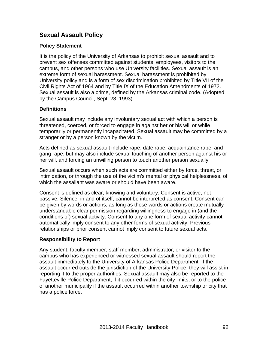# **Sexual Assault Policy**

### **Policy Statement**

It is the policy of the University of Arkansas to prohibit sexual assault and to prevent sex offenses committed against students, employees, visitors to the campus, and other persons who use University facilities. Sexual assault is an extreme form of sexual harassment. Sexual harassment is prohibited by University policy and is a form of sex discrimination prohibited by Title VII of the Civil Rights Act of 1964 and by Title IX of the Education Amendments of 1972. Sexual assault is also a crime, defined by the Arkansas criminal code. (Adopted by the Campus Council, Sept. 23, 1993)

### **Definitions**

Sexual assault may include any involuntary sexual act with which a person is threatened, coerced, or forced to engage in against her or his will or while temporarily or permanently incapacitated. Sexual assault may be committed by a stranger or by a person known by the victim.

Acts defined as sexual assault include rape, date rape, acquaintance rape, and gang rape, but may also include sexual touching of another person against his or her will, and forcing an unwilling person to touch another person sexually.

Sexual assault occurs when such acts are committed either by force, threat, or intimidation, or through the use of the victim's mental or physical helplessness, of which the assailant was aware or should have been aware.

Consent is defined as clear, knowing and voluntary. Consent is active, not passive. Silence, in and of itself, cannot be interpreted as consent. Consent can be given by words or actions, as long as those words or actions create mutually understandable clear permission regarding willingness to engage in (and the conditions of) sexual activity. Consent to any one form of sexual activity cannot automatically imply consent to any other forms of sexual activity. Previous relationships or prior consent cannot imply consent to future sexual acts.

### **Responsibility to Report**

Any student, faculty member, staff member, administrator, or visitor to the campus who has experienced or witnessed sexual assault should report the assault immediately to the University of Arkansas Police Department. If the assault occurred outside the jurisdiction of the University Police, they will assist in reporting it to the proper authorities. Sexual assault may also be reported to the Fayetteville Police Department, if it occurred within the city limits, or to the police of another municipality if the assault occurred within another township or city that has a police force.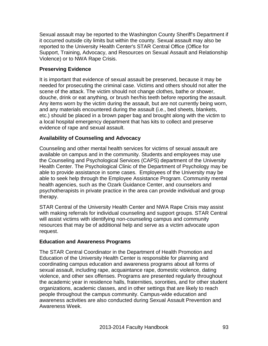Sexual assault may be reported to the Washington County Sheriff's Department if it occurred outside city limits but within the county. Sexual assault may also be reported to the University Health Center's STAR Central Office (Office for Support, Training, Advocacy, and Resources on Sexual Assault and Relationship Violence) or to NWA Rape Crisis.

### **Preserving Evidence**

It is important that evidence of sexual assault be preserved, because it may be needed for prosecuting the criminal case. Victims and others should not alter the scene of the attack. The victim should not change clothes, bathe or shower, douche, drink or eat anything, or brush her/his teeth before reporting the assault. Any items worn by the victim during the assault, but are not currently being worn, and any materials encountered during the assault (i.e., bed sheets, blankets, etc.) should be placed in a brown paper bag and brought along with the victim to a local hospital emergency department that has kits to collect and preserve evidence of rape and sexual assault.

### **Availability of Counseling and Advocacy**

Counseling and other mental health services for victims of sexual assault are available on campus and in the community. Students and employees may use the Counseling and Psychological Services (CAPS) department of the University Health Center. The Psychological Clinic of the Department of Psychology may be able to provide assistance in some cases. Employees of the University may be able to seek help through the Employee Assistance Program. Community mental health agencies, such as the Ozark Guidance Center, and counselors and psychotherapists in private practice in the area can provide individual and group therapy.

STAR Central of the University Health Center and NWA Rape Crisis may assist with making referrals for individual counseling and support groups. STAR Central will assist victims with identifying non-counseling campus and community resources that may be of additional help and serve as a victim advocate upon request.

### **Education and Awareness Programs**

The STAR Central Coordinator in the Department of Health Promotion and Education of the University Health Center is responsible for planning and coordinating campus education and awareness programs about all forms of sexual assault, including rape, acquaintance rape, domestic violence, dating violence, and other sex offenses. Programs are presented regularly throughout the academic year in residence halls, fraternities, sororities, and for other student organizations, academic classes, and in other settings that are likely to reach people throughout the campus community. Campus-wide education and awareness activities are also conducted during Sexual Assault Prevention and Awareness Week.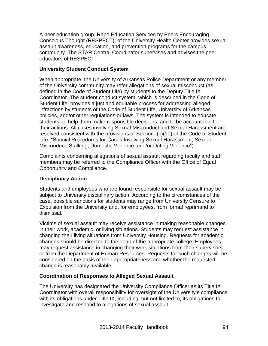A peer education group, Rape Education Services by Peers Encouraging Conscious Thought (RESPECT), of the University Health Center provides sexual assault awareness, education, and prevention programs for the campus community. The STAR Central Coordinator supervises and advises the peer educators of RESPECT.

### **University Student Conduct System**

When appropriate, the University of Arkansas Police Department or any member of the University community may refer allegations of sexual misconduct (as defined in the Code of Student Life) by students to the Deputy Title IX Coordinator. The student conduct system, which is described in the Code of Student Life, provides a just and equitable process for addressing alleged infractions by students of the Code of Student Life, University of Arkansas policies, and/or other regulations or laws. The system is intended to educate students, to help them make responsible decisions, and to be accountable for their actions. All cases involving Sexual Misconduct and Sexual Harassment are resolved consistent with the provisions of Section I(c)(10) of the Code of Student Life ("Special Procedures for Cases Involving Sexual Harassment, Sexual Misconduct, Stalking, Domestic Violence, and/or Dating Violence").

Complaints concerning allegations of sexual assault regarding faculty and staff members may be referred to the Compliance Officer with the Office of Equal Opportunity and Compliance.

### **Disciplinary Action**

Students and employees who are found responsible for sexual assault may be subject to University disciplinary action. According to the circumstances of the case, possible sanctions for students may range from University Censure to Expulsion from the University and, for employees, from formal reprimand to dismissal.

Victims of sexual assault may receive assistance in making reasonable changes in their work, academic, or living situations. Students may request assistance in changing their living situations from University Housing. Requests for academic changes should be directed to the dean of the appropriate college. Employees may request assistance in changing their work situations from their supervisors or from the Department of Human Resources. Requests for such changes will be considered on the basis of their appropriateness and whether the requested change is reasonably available.

### **Coordination of Responses to Alleged Sexual Assault**

The University has designated the University Compliance Officer as its Title IX Coordinator with overall responsibility for oversight of the University's compliance with its obligations under Title IX, including, but not limited to, its obligations to investigate and respond to allegations of sexual assault.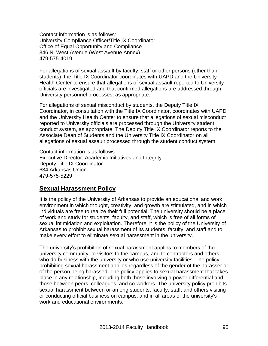Contact information is as follows: University Compliance Officer/Title IX Coordinator Office of Equal Opportunity and Compliance 346 N. West Avenue (West Avenue Annex) 479-575-4019

For allegations of sexual assault by faculty, staff or other persons (other than students), the Title IX Coordinator coordinates with UAPD and the University Health Center to ensure that allegations of sexual assault reported to University officials are investigated and that confirmed allegations are addressed through University personnel processes, as appropriate.

For allegations of sexual misconduct by students, the Deputy Title IX Coordinator, in consultation with the Title IX Coordinator, coordinates with UAPD and the University Health Center to ensure that allegations of sexual misconduct reported to University officials are processed through the University student conduct system, as appropriate. The Deputy Title IX Coordinator reports to the Associate Dean of Students and the University Title IX Coordinator on all allegations of sexual assault processed through the student conduct system.

Contact information is as follows: Executive Director, Academic Initiatives and Integrity Deputy Title IX Coordinator 634 Arkansas Union 479-575-5229

# **Sexual Harassment Policy**

It is the policy of the University of Arkansas to provide an educational and work environment in which thought, creativity, and growth are stimulated, and in which individuals are free to realize their full potential. The university should be a place of work and study for students, faculty, and staff, which is free of all forms of sexual intimidation and exploitation. Therefore, it is the policy of the University of Arkansas to prohibit sexual harassment of its students, faculty, and staff and to make every effort to eliminate sexual harassment in the university.

The university's prohibition of sexual harassment applies to members of the university community, to visitors to the campus, and to contractors and others who do business with the university or who use university facilities. The policy prohibiting sexual harassment applies regardless of the gender of the harasser or of the person being harassed. The policy applies to sexual harassment that takes place in any relationship, including both those involving a power differential and those between peers, colleagues, and co-workers. The university policy prohibits sexual harassment between or among students, faculty, staff, and others visiting or conducting official business on campus, and in all areas of the university's work and educational environments.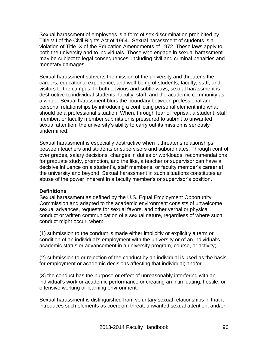Sexual harassment of employees is a form of sex discrimination prohibited by Title VII of the Civil Rights Act of 1964. Sexual harassment of students is a violation of Title IX of the Education Amendments of 1972. These laws apply to both the university and to individuals. Those who engage in sexual harassment may be subject to legal consequences, including civil and criminal penalties and monetary damages.

Sexual harassment subverts the mission of the university and threatens the careers, educational experience, and well-being of students, faculty, staff, and visitors to the campus. In both obvious and subtle ways, sexual harassment is destructive to individual students, faculty, staff, and the academic community as a whole. Sexual harassment blurs the boundary between professional and personal relationships by introducing a conflicting personal element into what should be a professional situation. When, through fear of reprisal, a student, staff member, or faculty member submits or is pressured to submit to unwanted sexual attention, the university's ability to carry out its mission is seriously undermined.

Sexual harassment is especially destructive when it threatens relationships between teachers and students or supervisors and subordinates. Through control over grades, salary decisions, changes in duties or workloads, recommendations for graduate study, promotion, and the like, a teacher or supervisor can have a decisive influence on a student's, staff member's, or faculty member's career at the university and beyond. Sexual harassment in such situations constitutes an abuse of the power inherent in a faculty member's or supervisor's position.

### **Definitions**

Sexual harassment as defined by the U.S. Equal Employment Opportunity Commission and adapted to the academic environment consists of unwelcome sexual advances, requests for sexual favors, and other verbal or physical conduct or written communication of a sexual nature, regardless of where such conduct might occur, when:

(1) submission to the conduct is made either implicitly or explicitly a term or condition of an individual's employment with the university or of an individual's academic status or advancement in a university program, course, or activity;

(2) submission to or rejection of the conduct by an individual is used as the basis for employment or academic decisions affecting that individual; and/or

(3) the conduct has the purpose or effect of unreasonably interfering with an individual's work or academic performance or creating an intimidating, hostile, or offensive working or learning environment.

Sexual harassment is distinguished from voluntary sexual relationships in that it introduces such elements as coercion, threat, unwanted sexual attention, and/or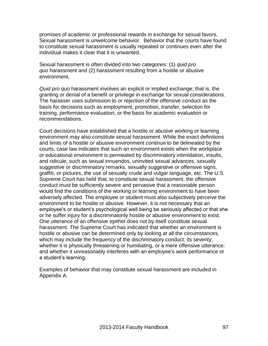promises of academic or professional rewards in exchange for sexual favors. Sexual harassment is *unwelcome* behavior. Behavior that the courts have found to constitute sexual harassment is usually repeated or continues even after the individual makes it clear that it is unwanted.

Sexual harassment is often divided into two categories: (1) *quid pro quo* harassment and (2) harassment resulting from a hostile or abusive environment.

*Quid pro quo* harassment involves an explicit or implied exchange; that is, the granting or denial of a benefit or privilege in exchange for sexual considerations. The harasser uses submission to or rejection of the offensive conduct as the basis for decisions such as employment, promotion, transfer, selection for training, performance evaluation, or the basis for academic evaluation or recommendations.

Court decisions have established that a hostile or abusive working or learning environment may also constitute sexual harassment. While the exact definitions and limits of a hostile or abusive environment continue to be delineated by the courts, case law indicates that such an environment exists when the workplace or educational environment is permeated by discriminatory intimidation, insults, and ridicule, such as sexual innuendos, uninvited sexual advances, sexually suggestive or discriminatory remarks, sexually suggestive or offensive signs, graffiti, or pictures, the use of sexually crude and vulgar language, etc. The U.S. Supreme Court has held that, to constitute sexual harassment, the offensive conduct must be sufficiently severe and pervasive that a reasonable person would find the conditions of the working or learning environment to have been adversely affected. The employee or student must also subjectively perceive the environment to be hostile or abusive. However, it is not necessary that an employee's or student's psychological well being be seriously affected or that she or he suffer injury for a discriminatorily hostile or abusive environment to exist. One utterance of an offensive epithet does not by itself constitute sexual harassment. The Supreme Court has indicated that whether an environment is hostile or abusive can be determined only by looking at all the circumstances, which may include the frequency of the discriminatory conduct; its severity; whether it is physically threatening or humiliating, or a mere offensive utterance; and whether it unreasonably interferes with an employee's work performance or a student's learning.

Examples of behavior that may constitute sexual harassment are included in Appendix A.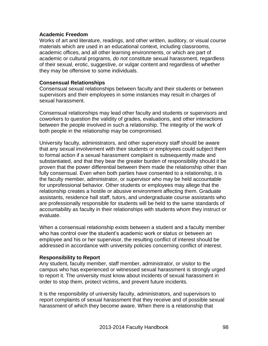#### **Academic Freedom**

Works of art and literature, readings, and other written, auditory, or visual course materials which are used in an educational context, including classrooms, academic offices, and all other learning environments, or which are part of academic or cultural programs, *do not* constitute sexual harassment, regardless of their sexual, erotic, suggestive, or vulgar content and regardless of whether they may be offensive to some individuals.

#### **Consensual Relationships**

Consensual sexual relationships between faculty and their students or between supervisors and their employees in some instances may result in charges of sexual harassment.

Consensual relationships may lead other faculty and students or supervisors and coworkers to question the validity of grades, evaluations, and other interactions between the people involved in such a relationship. The integrity of the work of both people in the relationship may be compromised.

University faculty, administrators, and other supervisory staff should be aware that any sexual involvement with their students or employees could subject them to formal action if a sexual harassment complaint is subsequently made and substantiated, and that they bear the greater burden of responsibility should it be proven that the power differential between them made the relationship other than fully consensual. Even when both parties have consented to a relationship, it is the faculty member, administrator, or supervisor who may be held accountable for unprofessional behavior. Other students or employees may allege that the relationship creates a hostile or abusive environment affecting them. Graduate assistants, residence hall staff, tutors, and undergraduate course assistants who are professionally responsible for students will be held to the same standards of accountability as faculty in their relationships with students whom they instruct or evaluate.

When a consensual relationship exists between a student and a faculty member who has control over the student's academic work or status or between an employee and his or her supervisor, the resulting conflict of interest should be addressed in accordance with university policies concerning conflict of interest.

### **Responsibility to Report**

Any student, faculty member, staff member, administrator, or visitor to the campus who has experienced or witnessed sexual harassment is strongly urged to report it. The university must know about incidents of sexual harassment in order to stop them, protect victims, and prevent future incidents.

It is the responsibility of university faculty, administrators, and supervisors to report complaints of sexual harassment that they receive and of possible sexual harassment of which they become aware. When there is a relationship that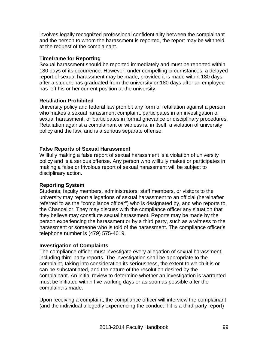involves legally recognized professional confidentiality between the complainant and the person to whom the harassment is reported, the report may be withheld at the request of the complainant.

### **Timeframe for Reporting**

Sexual harassment should be reported immediately and must be reported within 180 days of its occurrence. However, under compelling circumstances, a delayed report of sexual harassment may be made, provided it is made within 180 days after a student has graduated from the university or 180 days after an employee has left his or her current position at the university.

### **Retaliation Prohibited**

University policy and federal law prohibit any form of retaliation against a person who makes a sexual harassment complaint, participates in an investigation of sexual harassment, or participates in formal grievance or disciplinary procedures. Retaliation against a complainant or witness is, in itself, a violation of university policy and the law, and is a serious separate offense.

### **False Reports of Sexual Harassment**

Willfully making a false report of sexual harassment is a violation of university policy and is a serious offense. Any person who willfully makes or participates in making a false or frivolous report of sexual harassment will be subject to disciplinary action.

### **Reporting System**

Students, faculty members, administrators, staff members, or visitors to the university may report allegations of sexual harassment to an official (hereinafter referred to as the "compliance officer") who is designated by, and who reports to, the Chancellor. They may discuss with the compliance officer any situation that they believe may constitute sexual harassment. Reports may be made by the person experiencing the harassment or by a third party, such as a witness to the harassment or someone who is told of the harassment. The compliance officer's telephone number is (479) 575-4019.

### **Investigation of Complaints**

The compliance officer must investigate every allegation of sexual harassment, including third-party reports. The investigation shall be appropriate to the complaint, taking into consideration its seriousness, the extent to which it is or can be substantiated, and the nature of the resolution desired by the complainant. An initial review to determine whether an investigation is warranted must be initiated within five working days or as soon as possible after the complaint is made.

Upon receiving a complaint, the compliance officer will interview the complainant (and the individual allegedly experiencing the conduct if it is a third-party report)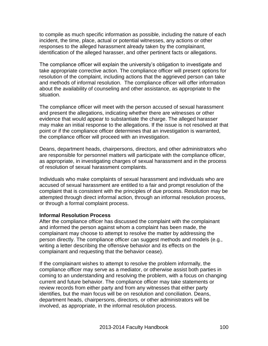to compile as much specific information as possible, including the nature of each incident, the time, place, actual or potential witnesses, any actions or other responses to the alleged harassment already taken by the complainant, identification of the alleged harasser, and other pertinent facts or allegations.

The compliance officer will explain the university's obligation to investigate and take appropriate corrective action. The compliance officer will present options for resolution of the complaint, including actions that the aggrieved person can take and methods of informal resolution. The compliance officer will offer information about the availability of counseling and other assistance, as appropriate to the situation.

The compliance officer will meet with the person accused of sexual harassment and present the allegations, indicating whether there are witnesses or other evidence that would appear to substantiate the charge. The alleged harasser may make an initial response to the allegations. If the issue is not resolved at that point or if the compliance officer determines that an investigation is warranted, the compliance officer will proceed with an investigation.

Deans, department heads, chairpersons, directors, and other administrators who are responsible for personnel matters will participate with the compliance officer, as appropriate, in investigating charges of sexual harassment and in the process of resolution of sexual harassment complaints.

Individuals who make complaints of sexual harassment and individuals who are accused of sexual harassment are entitled to a fair and prompt resolution of the complaint that is consistent with the principles of due process. Resolution may be attempted through direct informal action, through an informal resolution process, or through a formal complaint process.

### **Informal Resolution Process**

After the compliance officer has discussed the complaint with the complainant and informed the person against whom a complaint has been made, the complainant may choose to attempt to resolve the matter by addressing the person directly. The compliance officer can suggest methods and models (e.g., writing a letter describing the offensive behavior and its effects on the complainant and requesting that the behavior cease).

If the complainant wishes to attempt to resolve the problem informally, the compliance officer may serve as a mediator, or otherwise assist both parties in coming to an understanding and resolving the problem, with a focus on changing current and future behavior. The compliance officer may take statements or review records from either party and from any witnesses that either party identifies, but the main focus will be on resolution and conciliation. Deans, department heads, chairpersons, directors, or other administrators will be involved, as appropriate, in the informal resolution process.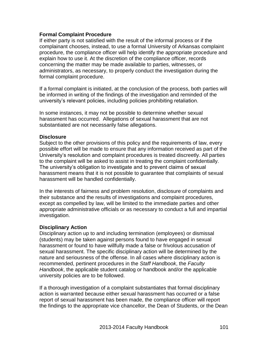#### **Formal Complaint Procedure**

If either party is not satisfied with the result of the informal process or if the complainant chooses, instead, to use a formal University of Arkansas complaint procedure, the compliance officer will help identify the appropriate procedure and explain how to use it. At the discretion of the compliance officer, records concerning the matter may be made available to parties, witnesses, or administrators, as necessary, to properly conduct the investigation during the formal complaint procedure.

If a formal complaint is initiated, at the conclusion of the process, both parties will be informed in writing of the findings of the investigation and reminded of the university's relevant policies, including policies prohibiting retaliation.

In some instances, it may not be possible to determine whether sexual harassment has occurred. Allegations of sexual harassment that are not substantiated are not necessarily false allegations.

#### **Disclosure**

Subject to the other provisions of this policy and the requirements of law, every possible effort will be made to ensure that any information received as part of the University's resolution and complaint procedures is treated discreetly. All parties to the complaint will be asked to assist in treating the complaint confidentially. The university's obligation to investigate and to prevent claims of sexual harassment means that it is not possible to guarantee that complaints of sexual harassment will be handled confidentially.

In the interests of fairness and problem resolution, disclosure of complaints and their substance and the results of investigations and complaint procedures, except as compelled by law, will be limited to the immediate parties and other appropriate administrative officials or as necessary to conduct a full and impartial investigation.

### **Disciplinary Action**

Disciplinary action up to and including termination (employees) or dismissal (students) may be taken against persons found to have engaged in sexual harassment or found to have willfully made a false or frivolous accusation of sexual harassment. The specific disciplinary action will be determined by the nature and seriousness of the offense. In all cases where disciplinary action is recommended, pertinent procedures in the *Staff Handbook*, the *Faculty Handbook*, the applicable student catalog or handbook and/or the applicable university policies are to be followed.

If a thorough investigation of a complaint substantiates that formal disciplinary action is warranted because either sexual harassment has occurred or a false report of sexual harassment has been made, the compliance officer will report the findings to the appropriate vice chancellor, the Dean of Students, or the Dean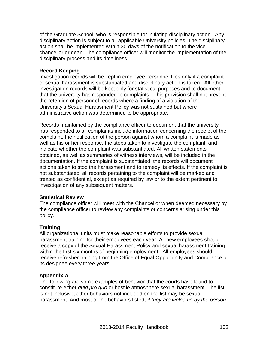of the Graduate School, who is responsible for initiating disciplinary action. Any disciplinary action is subject to all applicable University policies. The disciplinary action shall be implemented within 30 days of the notification to the vice chancellor or dean. The compliance officer will monitor the implementation of the disciplinary process and its timeliness.

#### **Record Keeping**

Investigation records will be kept in employee personnel files only if a complaint of sexual harassment is substantiated and disciplinary action is taken. All other investigation records will be kept only for statistical purposes and to document that the university has responded to complaints. This provision shall not prevent the retention of personnel records where a finding of a violation of the University's Sexual Harassment Policy was not sustained but where administrative action was determined to be appropriate.

Records maintained by the compliance officer to document that the university has responded to all complaints include information concerning the receipt of the complaint, the notification of the person against whom a complaint is made as well as his or her response, the steps taken to investigate the complaint, and indicate whether the complaint was substantiated. All written statements obtained, as well as summaries of witness interviews, will be included in the documentation. If the complaint is substantiated, the records will document actions taken to stop the harassment and to remedy its effects. If the complaint is not substantiated, all records pertaining to the complaint will be marked and treated as confidential, except as required by law or to the extent pertinent to investigation of any subsequent matters.

#### **Statistical Review**

The compliance officer will meet with the Chancellor when deemed necessary by the compliance officer to review any complaints or concerns arising under this policy.

### **Training**

All organizational units must make reasonable efforts to provide sexual harassment training for their employees each year. All new employees should receive a copy of the Sexual Harassment Policy and sexual harassment training within the first six months of beginning employment. All employees should receive refresher training from the Office of Equal Opportunity and Compliance or its designee every three years.

### **Appendix A**

The following are some examples of behavior that the courts have found to constitute either *quid pro quo* or hostile atmosphere sexual harassment. The list is not inclusive; other behaviors not included on the list may be sexual harassment. And most of the behaviors listed, *if they are welcome by the person*